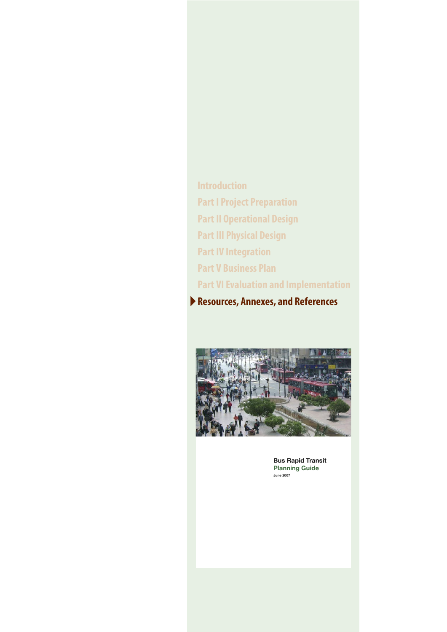**Introduction Part I Project Preparation Part II Operational Design Part III Physical Design Part IV Integration Part V Business Plan Part VI Evaluation and Implementation** Resources, Annexes, and References



**Bus Rapid Transit Planning Guide**  $\n *1* \cdot \, *2007*\n$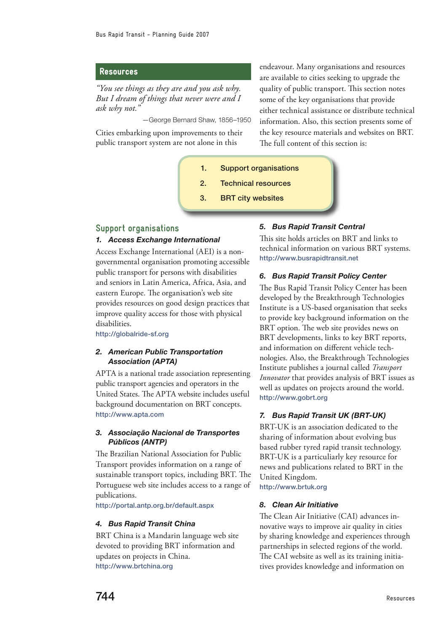# Resources

*"You see things as they are and you ask why. But I dream of things that never were and I ask why not."*

—George Bernard Shaw, 1856–1950

Cities embarking upon improvements to their public transport system are not alone in this

endeavour. Many organisations and resources are available to cities seeking to upgrade the quality of public transport. This section notes some of the key organisations that provide either technical assistance or distribute technical information. Also, this section presents some of the key resource materials and websites on BRT. The full content of this section is:

- 1. Support organisations
- 2. Technical resources
- 3. BRT city websites

# **Support organisations**

# *1. Access Exchange International*

Access Exchange International (AEI) is a nongovernmental organisation promoting accessible public transport for persons with disabilities and seniors in Latin America, Africa, Asia, and eastern Europe. The organisation's web site provides resources on good design practices that improve quality access for those with physical disabilities.

<http://globalride-sf.org>

# *2. American Public Transportation Association (APTA)*

APTA is a national trade association representing public transport agencies and operators in the United States. The APTA website includes useful background documentation on BRT concepts. <http://www.apta.com>

# *3. Associação Nacional de Transportes Públicos (ANTP)*

The Brazilian National Association for Public Transport provides information on a range of sustainable transport topics, including BRT. The Portuguese web site includes access to a range of publications.

<http://portal.antp.org.br/default.aspx>

# *4. Bus Rapid Transit China*

BRT China is a Mandarin language web site devoted to providing BRT information and updates on projects in China. <http://www.brtchina.org>

# *5. Bus Rapid Transit Central*

This site holds articles on BRT and links to technical information on various BRT systems. <http://www.busrapidtransit.net>

# *6. Bus Rapid Transit Policy Center*

The Bus Rapid Transit Policy Center has been developed by the Breakthrough Technologies Institute is a US-based organisation that seeks to provide key background information on the BRT option. The web site provides news on BRT developments, links to key BRT reports, and information on different vehicle technologies. Also, the Breakthrough Technologies Institute publishes a journal called *Transport Innovator* that provides analysis of BRT issues as well as updates on projects around the world. <http://www.gobrt.org>

# *7. Bus Rapid Transit UK (BRT-UK)*

BRT-UK is an association dedicated to the sharing of information about evolving bus based rubber tyred rapid transit technology. BRT-UK is a particuliarly key resource for news and publications related to BRT in the United Kingdom.

<http://www.brtuk.org>

# *8. Clean Air Initiative*

The Clean Air Initiative (CAI) advances innovative ways to improve air quality in cities by sharing knowledge and experiences through partnerships in selected regions of the world. The CAI website as well as its training initiatives provides knowledge and information on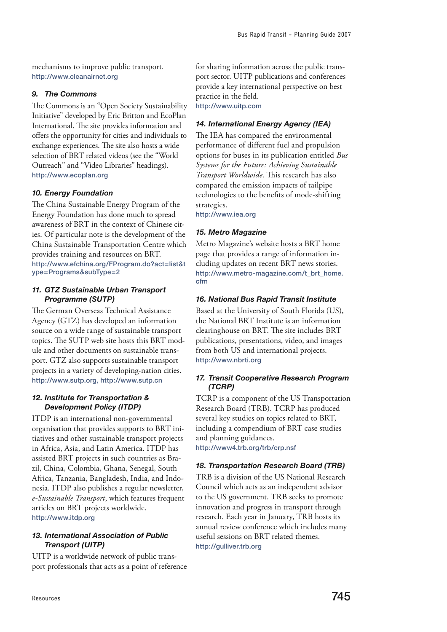mechanisms to improve public transport. <http://www.cleanairnet.org>

# *9. The Commons*

The Commons is an "Open Society Sustainability Initiative" developed by Eric Britton and EcoPlan International. The site provides information and offers the opportunity for cities and individuals to exchange experiences. The site also hosts a wide selection of BRT related videos (see the "World Outreach" and "Video Libraries" headings). <http://www.ecoplan.org>

# *10. Energy Foundation*

The China Sustainable Energy Program of the Energy Foundation has done much to spread awareness of BRT in the context of Chinese cities. Of particular note is the development of the China Sustainable Transportation Centre which provides training and resources on BRT. [http://www.efchina.org/FProgram.do?act=list&t](http://www.efchina.org/FProgram.do?act=list&type=Programs&subType=2) [ype=Programs&subType=2](http://www.efchina.org/FProgram.do?act=list&type=Programs&subType=2)

# *11. GTZ Sustainable Urban Transport Programme (SUTP)*

The German Overseas Technical Assistance Agency (GTZ) has developed an information source on a wide range of sustainable transport topics. The SUTP web site hosts this BRT module and other documents on sustainable transport. GTZ also supports sustainable transport projects in a variety of developing-nation cities. [http://www.sutp.org,](http://www.sutp.org) <http://www.sutp.cn>

# *12. Institute for Transportation & Development Policy (ITDP)*

ITDP is an international non-governmental organisation that provides supports to BRT initiatives and other sustainable transport projects in Africa, Asia, and Latin America. ITDP has assisted BRT projects in such countries as Brazil, China, Colombia, Ghana, Senegal, South Africa, Tanzania, Bangladesh, India, and Indonesia. ITDP also publishes a regular newsletter, *e-Sustainable Transport*, which features frequent articles on BRT projects worldwide. <http://www.itdp.org>

# *13. International Association of Public Transport (UITP)*

UITP is a worldwide network of public transport professionals that acts as a point of reference for sharing information across the public transport sector. UITP publications and conferences provide a key international perspective on best practice in the field. <http://www.uitp.com>

# *14. International Energy Agency (IEA)*

The IEA has compared the environmental performance of different fuel and propulsion options for buses in its publication entitled *Bus Systems for the Future: Achieving Sustainable Transport Worldwide*. This research has also compared the emission impacts of tailpipe technologies to the benefits of mode-shifting strategies.

<http://www.iea.org>

# *15. Metro Magazine*

Metro Magazine's website hosts a BRT home page that provides a range of information including updates on recent BRT news stories. [http://www.metro-magazine.com/t\\_brt\\_home.](http://www.metro-magazine.com/t_brt_home.cfm) [cfm](http://www.metro-magazine.com/t_brt_home.cfm)

# *16. National Bus Rapid Transit Institute*

Based at the University of South Florida (US), the National BRT Institute is an information clearinghouse on BRT. The site includes BRT publications, presentations, video, and images from both US and international projects. <http://www.nbrti.org>

# *17. Transit Cooperative Research Program (TCRP)*

TCRP is a component of the US Transportation Research Board (TRB). TCRP has produced several key studies on topics related to BRT, including a compendium of BRT case studies and planning guidances. <http://www4.trb.org/trb/crp.nsf>

# *18. Transportation Research Board (TRB)*

TRB is a division of the US National Research Council which acts as an independent advisor to the US government. TRB seeks to promote innovation and progress in transport through research. Each year in January, TRB hosts its annual review conference which includes many useful sessions on BRT related themes. <http://gulliver.trb.org>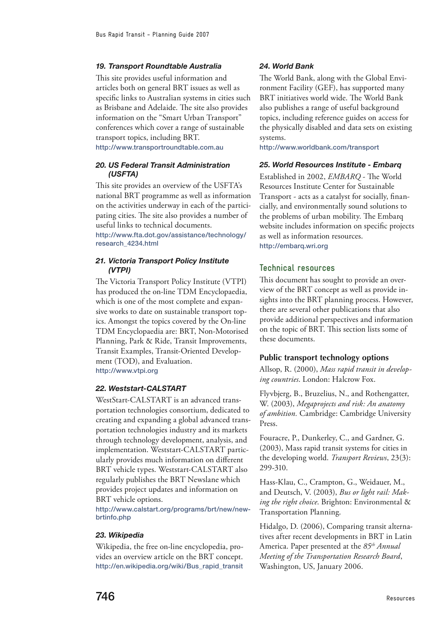#### *19. Transport Roundtable Australia*

This site provides useful information and articles both on general BRT issues as well as specific links to Australian systems in cities such as Brisbane and Adelaide. The site also provides information on the "Smart Urban Transport" conferences which cover a range of sustainable transport topics, including BRT. <http://www.transportroundtable.com.au>

### *20. US Federal Transit Administration (USFTA)*

This site provides an overview of the USFTA's national BRT programme as well as information on the activities underway in each of the participating cities. The site also provides a number of useful links to technical documents. [http://www.fta.dot.gov/assistance/technology/](http://www.fta.dot.gov/assistance/technology/research_4234.html)

[research\\_4234.html](http://www.fta.dot.gov/assistance/technology/research_4234.html)

# *21. Victoria Transport Policy Institute (VTPI)*

The Victoria Transport Policy Institute (VTPI) has produced the on-line TDM Encyclopaedia, which is one of the most complete and expansive works to date on sustainable transport topics. Amongst the topics covered by the On-line TDM Encyclopaedia are: BRT, Non-Motorised Planning, Park & Ride, Transit Improvements, Transit Examples, Transit-Oriented Development (TOD), and Evaluation. <http://www.vtpi.org>

#### *22. Weststart-CALSTART*

WestStart-CALSTART is an advanced transportation technologies consortium, dedicated to creating and expanding a global advanced transportation technologies industry and its markets through technology development, analysis, and implementation. Weststart-CALSTART particularly provides much information on different BRT vehicle types. Weststart-CALSTART also regularly publishes the BRT Newslane which provides project updates and information on BRT vehicle options.

[http://www.calstart.org/programs/brt/new/new](http://www.calstart.org/programs/brt/new/newbrtinfo.php)[brtinfo.php](http://www.calstart.org/programs/brt/new/newbrtinfo.php)

#### *23. Wikipedia*

Wikipedia, the free on-line encyclopedia, provides an overview article on the BRT concept. [http://en.wikipedia.org/wiki/Bus\\_rapid\\_transit](http://en.wikipedia.org/wiki/Bus_rapid_transit)

#### *24. World Bank*

The World Bank, along with the Global Environment Facility (GEF), has supported many BRT initiatives world wide. The World Bank also publishes a range of useful background topics, including reference guides on access for the physically disabled and data sets on existing systems.

<http://www.worldbank.com/transport>

#### *25. World Resources Institute - Embarq*

Established in 2002, *EMBARQ* - The World Resources Institute Center for Sustainable Transport - acts as a catalyst for socially, financially, and environmentally sound solutions to the problems of urban mobility. The Embarq website includes information on specific projects as well as information resources. <http://embarq.wri.org>

# **Technical resources**

This document has sought to provide an overview of the BRT concept as well as provide insights into the BRT planning process. However, there are several other publications that also provide additional perspectives and information on the topic of BRT. This section lists some of these documents.

#### **Public transport technology options**

Allsop, R. (2000), *Mass rapid transit in developing countries*. London: Halcrow Fox.

Flyvbjerg, B., Bruzelius, N., and Rothengatter, W. (2003), *Megaprojects and risk: An anatomy of ambition.* Cambridge: Cambridge University Press.

Fouracre, P., Dunkerley, C., and Gardner, G. (2003), Mass rapid transit systems for cities in the developing world. *Transport Reviews*, 23(3): 299-310.

Hass-Klau, C., Crampton, G., Weidauer, M., and Deutsch, V. (2003), *Bus or light rail: Making the right choice*. Brighton: Environmental & Transportation Planning.

Hidalgo, D. (2006), Comparing transit alternatives after recent developments in BRT in Latin America. Paper presented at the *85th Annual Meeting of the Transportation Research Board*, Washington, US, January 2006.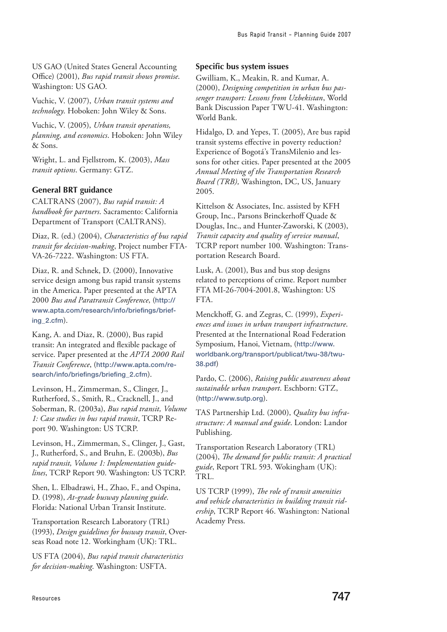US GAO (United States General Accounting Office) (2001), *Bus rapid transit shows promise*. Washington: US GAO.

Vuchic, V. (2007), *Urban transit systems and technology*. Hoboken: John Wiley & Sons.

Vuchic, V. (2005), *Urban transit operations, planning, and economics*. Hoboken: John Wiley & Sons.

Wright, L. and Fjellstrom, K. (2003), *Mass transit options*. Germany: GTZ.

# **General BRT guidance**

CALTRANS (2007), *Bus rapid transit: A handbook for partners*. Sacramento: California Department of Transport (CALTRANS).

Diaz, R. (ed.) (2004), *Characteristics of bus rapid transit for decision-making*, Project number FTA-VA-26-7222. Washington: US FTA.

Diaz, R. and Schnek, D. (2000), Innovative service design among bus rapid transit systems in the America. Paper presented at the APTA 2000 *Bus and Paratransit Conference*, ([http://](http://www.apta.com/research/info/briefings/briefing_2.cfm) [www.apta.com/research/info/briefings/brief](http://www.apta.com/research/info/briefings/briefing_2.cfm)[ing\\_2.cfm](http://www.apta.com/research/info/briefings/briefing_2.cfm)).

Kang, A. and Diaz, R. (2000), Bus rapid transit: An integrated and flexible package of service. Paper presented at the *APTA 2000 Rail Transit Conference*, ([http://www.apta.com/re](http://www.apta.com/research/info/briefings/briefing_2.cfm)[search/info/briefings/briefing\\_2.cfm](http://www.apta.com/research/info/briefings/briefing_2.cfm)).

Levinson, H., Zimmerman, S., Clinger, J., Rutherford, S., Smith, R., Cracknell, J., and Soberman, R. (2003a), *Bus rapid transit, Volume 1: Case studies in bus rapid transit*, TCRP Report 90. Washington: US TCRP.

Levinson, H., Zimmerman, S., Clinger, J., Gast, J., Rutherford, S., and Bruhn, E. (2003b), *Bus rapid transit, Volume 1: Implementation guidelines*, TCRP Report 90. Washington: US TCRP.

Shen, L. Elbadrawi, H., Zhao, F., and Ospina, D. (1998), *At-grade busway planning guide*. Florida: National Urban Transit Institute.

Transportation Research Laboratory (TRL) (1993), *Design guidelines for busway transit*, Overseas Road note 12. Workingham (UK): TRL.

US FTA (2004), *Bus rapid transit characteristics for decision-making*. Washington: USFTA.

### **Specific bus system issues**

Gwilliam, K., Meakin, R. and Kumar, A. (2000), *Designing competition in urban bus passenger transport: Lessons from Uzbekistan*, World Bank Discussion Paper TWU-41. Washington: World Bank.

Hidalgo, D. and Yepes, T. (2005), Are bus rapid transit systems effective in poverty reduction? Experience of Bogotá's TransMilenio and lessons for other cities. Paper presented at the 2005 *Annual Meeting of the Transportation Research Board (TRB),* Washington, DC, US, January 2005.

Kittelson & Associates, Inc. assisted by KFH Group, Inc., Parsons Brinckerhoff Quade & Douglas, Inc., and Hunter-Zaworski, K (2003), *Transit capacity and quality of service manual*, TCRP report number 100. Washington: Transportation Research Board.

Lusk, A. (2001), Bus and bus stop designs related to perceptions of crime. Report number FTA MI-26-7004-2001.8, Washington: US FTA.

Menckhoff, G. and Zegras, C. (1999), *Experiences and issues in urban transport infrastructure*. Presented at the International Road Federation Symposium, Hanoi, Vietnam, ([http://www.](http://www.world-bank.org/transport/publicat/twu-38/twu-38.pdf) [worldbank.org/transport/publicat/twu-38/twu-](http://www.world-bank.org/transport/publicat/twu-38/twu-38.pdf)[38.pdf](http://www.world-bank.org/transport/publicat/twu-38/twu-38.pdf))

Pardo, C. (2006), *Raising public awareness about sustainable urban transport*. Eschborn: GTZ, (<http://www.sutp.org>).

TAS Partnership Ltd. (2000), *Quality bus infrastructure: A manual and guide*. London: Landor Publishing.

Transportation Research Laboratory (TRL) (2004), *The demand for public transit: A practical guide*, Report TRL 593. Wokingham (UK): TRL.

US TCRP (1999), *The role of transit amenities and vehicle characteristics in building transit ridership*, TCRP Report 46. Washington: National Academy Press.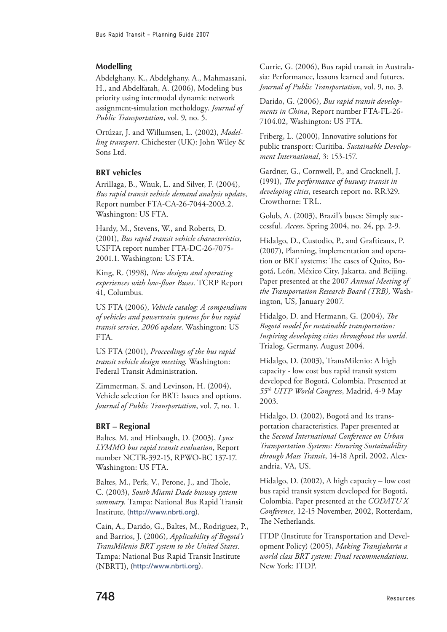# **Modelling**

Abdelghany, K., Abdelghany, A., Mahmassani, H., and Abdelfatah, A. (2006), Modeling bus priority using intermodal dynamic network assignment-simulation metholdogy. *Journal of Public Transportation*, vol. 9, no. 5.

Ortúzar, J. and Willumsen, L. (2002), *Modelling transport*. Chichester (UK): John Wiley & Sons Ltd.

# **BRT vehicles**

Arrillaga, B., Wnuk, L. and Silver, F. (2004), *Bus rapid transit vehicle demand analysis update*, Report number FTA-CA-26-7044-2003.2. Washington: US FTA.

Hardy, M., Stevens, W., and Roberts, D. (2001), *Bus rapid transit vehicle characteristics*, USFTA report number FTA-DC-26-7075- 2001.1. Washington: US FTA.

King, R. (1998), *New designs and operating experiences with low-floor Buses*. TCRP Report 41, Columbus.

US FTA (2006), *Vehicle catalog: A compendium of vehicles and powertrain systems for bus rapid transit service, 2006 update*. Washington: US FTA.

US FTA (2001), *Proceedings of the bus rapid transit vehicle design meeting*. Washington: Federal Transit Administration.

Zimmerman, S. and Levinson, H. (2004), Vehicle selection for BRT: Issues and options. *Journal of Public Transportation*, vol. 7, no. 1.

# **BRT – Regional**

Baltes, M. and Hinbaugh, D. (2003), *Lynx LYMMO bus rapid transit evaluation*, Report number NCTR-392-15, RPWO-BC 137-17. Washington: US FTA.

Baltes, M., Perk, V., Perone, J., and Thole, C. (2003), *South Miami Dade busway system summary*. Tampa: National Bus Rapid Transit Institute, (<http://www.nbrti.org>).

Cain, A., Darido, G., Baltes, M., Rodriguez, P., and Barrios, J. (2006), *Applicability of Bogotá's TransMilenio BRT system to the United States*. Tampa: National Bus Rapid Transit Institute (NBRTI), (<http://www.nbrti.org>).

Currie, G. (2006), Bus rapid transit in Australasia: Performance, lessons learned and futures. *Journal of Public Transportation*, vol. 9, no. 3.

Darido, G. (2006), *Bus rapid transit developments in China*, Report number FTA-FL-26- 7104.02, Washington: US FTA.

Friberg, L. (2000), Innovative solutions for public transport: Curitiba. *Sustainable Development International*, 3: 153-157.

Gardner, G., Cornwell, P., and Cracknell, J. (1991), *The performance of busway transit in developing cities*, research report no. RR329. Crowthorne: TRL.

Golub, A. (2003), Brazil's buses: Simply successful. *Access*, Spring 2004, no. 24, pp. 2-9.

Hidalgo, D., Custodio, P., and Graftieaux, P. (2007), Planning, implementation and operation or BRT systems: The cases of Quito, Bogotá, León, México City, Jakarta, and Beijing. Paper presented at the 2007 *Annual Meeting of the Transportation Research Board (TRB),* Washington, US, January 2007.

Hidalgo, D. and Hermann, G. (2004), *The Bogotá model for sustainable transportation: Inspiring developing cities throughout the world*. Trialog, Germany, August 2004.

Hidalgo, D. (2003), TransMilenio: A high capacity - low cost bus rapid transit system developed for Bogotá, Colombia. Presented at *55th UITP World Congress*, Madrid, 4-9 May 2003.

Hidalgo, D. (2002), Bogotá and Its transportation characteristics. Paper presented at the *Second International Conference on Urban Transportation Systems: Ensuring Sustainability through Mass Transit*, 14-18 April, 2002, Alexandria, VA, US.

Hidalgo, D. (2002), A high capacity – low cost bus rapid transit system developed for Bogotá, Colombia. Paper presented at the *CODATU X Conference*, 12-15 November, 2002, Rotterdam, The Netherlands.

ITDP (Institute for Transportation and Development Policy) (2005), *Making Transjakarta a world class BRT system: Final recommendations*. New York: ITDP.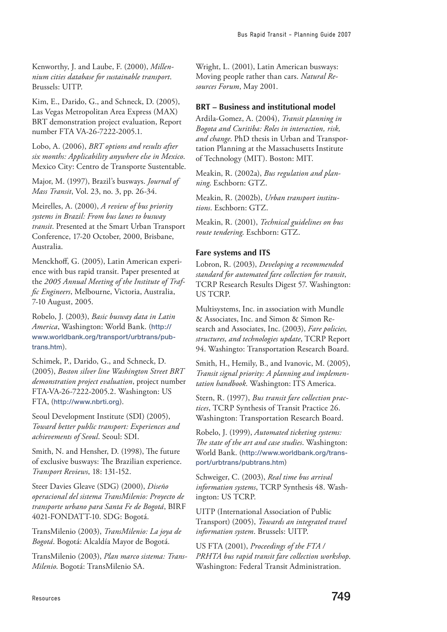Kenworthy, J. and Laube, F. (2000), *Millennium cities database for sustainable transport*. Brussels: UITP.

Kim, E., Darido, G., and Schneck, D. (2005), Las Vegas Metropolitan Area Express (MAX) BRT demonstration project evaluation, Report number FTA VA-26-7222-2005.1.

Lobo, A. (2006), *BRT options and results after six months: Applicability anywhere else in Mexico*. Mexico City: Centro de Transporte Sustentable.

Major, M. (1997), Brazil's busways. *Journal of Mass Transit*, Vol. 23, no. 3, pp. 26-34.

Meirelles, A. (2000), *A review of bus priority systems in Brazil: From bus lanes to busway transit*. Presented at the Smart Urban Transport Conference, 17-20 October, 2000, Brisbane, Australia.

Menckhoff, G. (2005), Latin American experience with bus rapid transit. Paper presented at the *2005 Annual Meeting of the Institute of Traffic Engineers*, Melbourne, Victoria, Australia, 7-10 August, 2005.

Robelo, J. (2003), *Basic busway data in Latin America*, Washington: World Bank. ([http://](http://www.worldbank.org/transport/urbtrans/pubtrans.htm) [www.worldbank.org/transport/urbtrans/pub](http://www.worldbank.org/transport/urbtrans/pubtrans.htm)[trans.htm](http://www.worldbank.org/transport/urbtrans/pubtrans.htm)).

Schimek, P., Darido, G., and Schneck, D. (2005), *Boston silver line Washington Street BRT demonstration project evaluation*, project number FTA-VA-26-7222-2005.2. Washington: US FTA, (<http://www.nbrti.org>).

Seoul Development Institute (SDI) (2005), *Toward better public transport: Experiences and achievements of Seoul*. Seoul: SDI.

Smith, N. and Hensher, D. (1998), The future of exclusive busways: The Brazilian experience. *Transport Reviews*, 18: 131-152.

Steer Davies Gleave (SDG) (2000), *Diseño operacional del sistema TransMilenio: Proyecto de transporte urbano para Santa Fe de Bogotá*, BIRF 4021-FONDATT-10. SDG: Bogotá.

TransMilenio (2003), *TransMilenio: La joya de Bogotá*. Bogotá: Alcaldía Mayor de Bogotá.

TransMilenio (2003), *Plan marco sistema: Trans-Milenio*. Bogotá: TransMilenio SA.

Wright, L. (2001), Latin American busways: Moving people rather than cars. *Natural Resources Forum*, May 2001.

# **BRT – Business and institutional model**

Ardila-Gomez, A. (2004), *Transit planning in Bogota and Curitiba: Roles in interaction, risk, and change*. PhD thesis in Urban and Transportation Planning at the Massachusetts Institute of Technology (MIT). Boston: MIT.

Meakin, R. (2002a), *Bus regulation and planning*. Eschborn: GTZ.

Meakin, R. (2002b), *Urban transport institutions*. Eschborn: GTZ.

Meakin, R. (2001), *Technical guidelines on bus route tendering*. Eschborn: GTZ.

# **Fare systems and ITS**

Lobron, R. (2003), *Developing a recommended standard for automated fare collection for transit*, TCRP Research Results Digest 57. Washington: US TCRP.

Multisystems, Inc. in association with Mundle & Associates, Inc. and Simon & Simon Research and Associates, Inc. (2003), *Fare policies, structures, and technologies update*, TCRP Report 94. Washingto: Transportation Research Board.

Smith, H., Hemily, B., and Ivanovic, M. (2005), *Transit signal priority: A planning and implementation handbook*. Washington: ITS America.

Stern, R. (1997), *Bus transit fare collection practices*, TCRP Synthesis of Transit Practice 26. Washington: Transportation Research Board.

Robelo, J. (1999), *Automated ticketing systems: The state of the art and case studies*. Washington: World Bank. (http://www.worldbank.org/transport/urbtrans/pubtrans.htm)

Schweiger, C. (2003), *Real time bus arrival information systems*, TCRP Synthesis 48. Washington: US TCRP.

UITP (International Association of Public Transport) (2005), *Towards an integrated travel information system*. Brussels: UITP.

US FTA (2001), *Proceedings of the FTA / PRHTA bus rapid transit fare collection workshop*. Washington: Federal Transit Administration.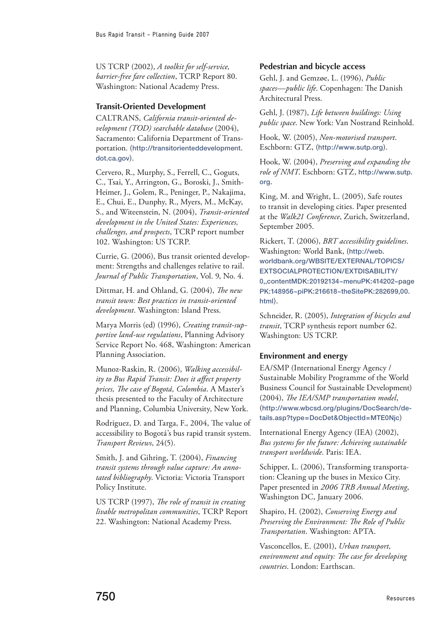US TCRP (2002), *A toolkit for self-service, barrier-free fare collection*, TCRP Report 80. Washington: National Academy Press.

# **Transit-Oriented Development**

CALTRANS, *California transit-oriented development (TOD) searchable database* (2004), Sacramento: California Department of Transportation. ([http://transitorienteddevelopment.](http://transitorienteddevelopment.dot.ca.gov) [dot.ca.gov](http://transitorienteddevelopment.dot.ca.gov)).

Cervero, R., Murphy, S., Ferrell, C., Goguts, C., Tsai, Y., Arrington, G., Boroski, J., Smith-Heimer, J., Golem, R., Peninger, P., Nakajima, E., Chui, E., Dunphy, R., Myers, M., McKay, S., and Witeenstein, N. (2004), *Transit-oriented development in the United States: Experiences, challenges, and prospects*, TCRP report number 102. Washington: US TCRP.

Currie, G. (2006), Bus transit oriented development: Strengths and challenges relative to rail. *Journal of Public Transportation*, Vol. 9, No. 4.

Dittmar, H. and Ohland, G. (2004), *The new transit town: Best practices in transit-oriented development*. Washington: Island Press.

Marya Morris (ed) (1996), *Creating transit-supportive land-use regulations*, Planning Advisory Service Report No. 468, Washington: American Planning Association.

Munoz-Raskin, R. (2006), *Walking accessibility to Bus Rapid Transit: Does it affect property prices, The case of Bogotá, Colombia*. A Master's thesis presented to the Faculty of Architecture and Planning, Columbia University, New York.

Rodriguez, D. and Targa, F., 2004, The value of accessibility to Bogotá's bus rapid transit system. *Transport Reviews*, 24(5).

Smith, J. and Gihring, T. (2004), *Financing transit systems through value capture: An annotated bibliography*. Victoria: Victoria Transport Policy Institute.

US TCRP (1997), *The role of transit in creating livable metropolitan communities*, TCRP Report 22. Washington: National Academy Press.

# **Pedestrian and bicycle access**

Gehl, J. and Gemzøe, L. (1996), *Public spaces—public life*. Copenhagen: The Danish Architectural Press.

Gehl, J. (1987), *Life between buildings: Using public space*. New York: Van Nostrand Reinhold.

Hook, W. (2005), *Non-motorised transport*. Eschborn: GTZ, (<http://www.sutp.org>).

Hook, W. (2004), *Preserving and expanding the role of NMT*. Eschborn: GTZ, [http://www.sutp.](http://www.sutp.org) [org](http://www.sutp.org).

King, M. and Wright, L. (2005), Safe routes to transit in developing cities. Paper presented at the *Walk21 Conference*, Zurich, Switzerland, September 2005.

Rickert, T. (2006), *BRT accessibility guidelines*. Washington: World Bank, ([http://web.](http://web.worldbank.org/WBSITE/EXTERNAL/TOPICS/EXTSOCIALPROTECTION/EXTDISABILITY/0,,contentMDK:2019) [worldbank.org/WBSITE/EXTERNAL/TOPICS/](http://web.worldbank.org/WBSITE/EXTERNAL/TOPICS/EXTSOCIALPROTECTION/EXTDISABILITY/0,,contentMDK:2019) [EXTSOCIALPROTECTION/EXTDISABILITY/](http://web.worldbank.org/WBSITE/EXTERNAL/TOPICS/EXTSOCIALPROTECTION/EXTDISABILITY/0,,contentMDK:2019) [0,,contentMDK:20192134~menuPK:414202~page](http://web.worldbank.org/WBSITE/EXTERNAL/TOPICS/EXTSOCIALPROTECTION/EXTDISABILITY/0,,contentMDK:2019) [PK:148956~piPK:216618~theSitePK:282699,00.](http://web.worldbank.org/WBSITE/EXTERNAL/TOPICS/EXTSOCIALPROTECTION/EXTDISABILITY/0,,contentMDK:2019) [html](http://web.worldbank.org/WBSITE/EXTERNAL/TOPICS/EXTSOCIALPROTECTION/EXTDISABILITY/0,,contentMDK:2019)).

Schneider, R. (2005), *Integration of bicycles and transit*, TCRP synthesis report number 62. Washington: US TCRP.

# **Environment and energy**

EA/SMP (International Energy Agency / Sustainable Mobility Programme of the World Business Council for Sustainable Development) (2004), *The IEA/SMP transportation model*, ([http://www.wbcsd.org/plugins/DocSearch/de](http://www.wbcsd.org/plugins/DocSearch/details.asp?type=DocDet&ObjectId=MTE0Njc)[tails.asp?type=DocDet&ObjectId=MTE0Njc](http://www.wbcsd.org/plugins/DocSearch/details.asp?type=DocDet&ObjectId=MTE0Njc))

International Energy Agency (IEA) (2002), *Bus systems for the future: Achieving sustainable transport worldwide*. Paris: IEA.

Schipper, L. (2006), Transforming transportation: Cleaning up the buses in Mexico City. Paper presented in *2006 TRB Annual Meeting*, Washington DC, January 2006.

Shapiro, H. (2002), *Conserving Energy and Preserving the Environment: The Role of Public Transportation*. Washington: APTA.

Vasconcellos, E. (2001), *Urban transport, environment and equity: The case for developing countries*. London: Earthscan.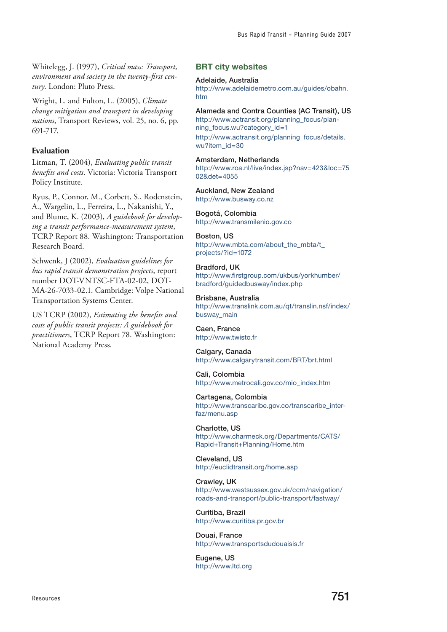Whitelegg, J. (1997), *Critical mass: Transport, environment and society in the twenty-first century*. London: Pluto Press.

Wright, L. and Fulton, L. (2005), *Climate change mitigation and transport in developing nations*, Transport Reviews, vol. 25, no. 6, pp. 691-717.

# **Evaluation**

Litman, T. (2004), *Evaluating public transit benefits and costs*. Victoria: Victoria Transport Policy Institute.

Ryus, P., Connor, M., Corbett, S., Rodenstein, A., Wargelin, L., Ferreira, L., Nakanishi, Y., and Blume, K. (2003), *A guidebook for developing a transit performance-measurement system*, TCRP Report 88. Washington: Transportation Research Board.

Schwenk, J (2002), *Evaluation guidelines for bus rapid transit demonstration projects*, report number DOT-VNTSC-FTA-02-02, DOT-MA-26-7033-02.1. Cambridge: Volpe National Transportation Systems Center.

US TCRP (2002), *Estimating the benefits and costs of public transit projects: A guidebook for practitioners*, TCRP Report 78. Washington: National Academy Press.

**BRT city websites**

#### Adelaide, Australia

[http://www.adelaidemetro.com.au/guides/obahn.](http://www.adelaidemetro.com.au/guides/obahn.htm) [htm](http://www.adelaidemetro.com.au/guides/obahn.htm)

#### Alameda and Contra Counties (AC Transit), US

[http://www.actransit.org/planning\\_focus/plan](http://www.actransit.org/planning_focus/planning_focus.wu?category_id=1)[ning\\_focus.wu?category\\_id=1](http://www.actransit.org/planning_focus/planning_focus.wu?category_id=1) [http://www.actransit.org/planning\\_focus/details.](http://www.actransit.org/planning_focus/details.wu?item_id=30) [wu?item\\_id=30](http://www.actransit.org/planning_focus/details.wu?item_id=30)

### Amsterdam, Netherlands

[http://www.roa.nl/live/index.jsp?nav=423&loc=75](http://www.roa.nl/live/index.jsp?nav=423&loc=7502&det=4055) [02&det=4055](http://www.roa.nl/live/index.jsp?nav=423&loc=7502&det=4055)

#### Auckland, New Zealand <http://www.busway.co.nz>

Bogotá, Colombia <http://www.transmilenio.gov.co>

#### Boston, US

http://www.mbta.com/about\_the\_mbta/t [projects/?id=1072](http://www.mbta.com/about_the_mbta/t_projects/?id=1072)

#### Bradford, UK [http://www.firstgroup.com/ukbus/yorkhumber/](http://www.firstgroup.com/ukbus/yorkhumber/bradford/guidedbusway/index.php) [bradford/guidedbusway/index.php](http://www.firstgroup.com/ukbus/yorkhumber/bradford/guidedbusway/index.php)

#### Brisbane, Australia

[http://www.translink.com.au/qt/translin.nsf/index/](http://www.translink.com.au/qt/translin.nsf/index/busway_main) [busway\\_main](http://www.translink.com.au/qt/translin.nsf/index/busway_main)

#### Caen, France <http://www.twisto.fr>

Calgary, Canada <http://www.calgarytransit.com/BRT/brt.html>

#### Cali, Colombia [http://www.metrocali.gov.co/mio\\_index.htm](http://www.metrocali.gov.co/mio_index.htm)

Cartagena, Colombia [http://www.transcaribe.gov.co/transcaribe\\_inter](http://www.transcaribe.gov.co/transcaribe_interfaz/menu.asp)[faz/menu.asp](http://www.transcaribe.gov.co/transcaribe_interfaz/menu.asp)

Charlotte, US [http://www.charmeck.org/Departments/CATS/](http://www.charmeck.org/Departments/CATS/Rapid+Transit+Planning/Home.htm) [Rapid+Transit+Planning/Home.htm](http://www.charmeck.org/Departments/CATS/Rapid+Transit+Planning/Home.htm)

Cleveland, US <http://euclidtransit.org/home.asp>

#### Crawley, UK [http://www.westsussex.gov.uk/ccm/navigation/](http://www.westsussex.gov.uk/ccm/navigation/roads-and-transport/public-transport/fastway/) [roads-and-transport/public-transport/fastway/](http://www.westsussex.gov.uk/ccm/navigation/roads-and-transport/public-transport/fastway/)

Curitiba, Brazil <http://www.curitiba.pr.gov.br>

Douai, France <http://www.transportsdudouaisis.fr>

Eugene, US <http://www.ltd.org>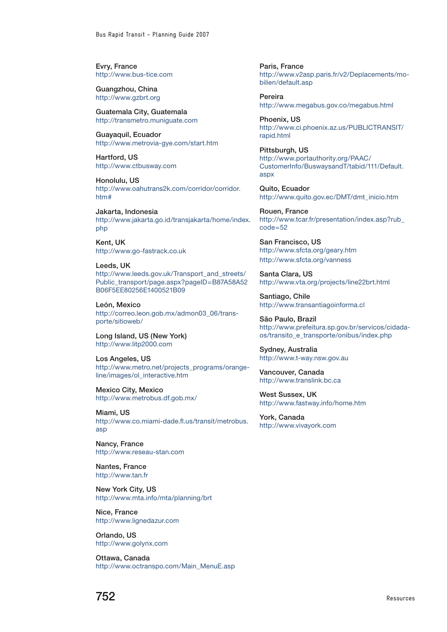Evry, France <http://www.bus-tice.com>

Guangzhou, China <http://www.gzbrt.org>

Guatemala City, Guatemala <http://transmetro.muniguate.com>

Guayaquil, Ecuador <http://www.metrovia-gye.com/start.htm>

Hartford, US <http://www.ctbusway.com>

Honolulu, US [http://www.oahutrans2k.com/corridor/corridor.](http://www.oahutrans2k.com/corridor/corridor.htm#) [htm#](http://www.oahutrans2k.com/corridor/corridor.htm#)

Jakarta, Indonesia [http://www.jakarta.go.id/transjakarta/home/index.](http://www.jakarta.go.id/transjakarta/home/index.php ) [php](http://www.jakarta.go.id/transjakarta/home/index.php )

Kent, UK <http://www.go-fastrack.co.uk>

Leeds, UK [http://www.leeds.gov.uk/Transport\\_and\\_streets/](http://www.leeds.gov.uk/Transport_and_streets/Public_transport/page.aspx?pageID=B87A58A52B06F5EE8025) [Public\\_transport/page.aspx?pageID=B87A58A52](http://www.leeds.gov.uk/Transport_and_streets/Public_transport/page.aspx?pageID=B87A58A52B06F5EE8025) [B06F5EE80256E1400521B09](http://www.leeds.gov.uk/Transport_and_streets/Public_transport/page.aspx?pageID=B87A58A52B06F5EE8025)

León, Mexico [http://correo.leon.gob.mx/admon03\\_06/trans](http://correo.leon.gob.mx/admon03_06/transporte/sitioweb)[porte/sitioweb](http://correo.leon.gob.mx/admon03_06/transporte/sitioweb)/

Long Island, US (New York) <http://www.litp2000.com>

Los Angeles, US [http://www.metro.net/projects\\_programs/orange](http://www.metro.net/projects_programs/orangeline/images/ol_interactive.htm)[line/images/ol\\_interactive.htm](http://www.metro.net/projects_programs/orangeline/images/ol_interactive.htm)

Mexico City, Mexico <http://www.metrobus.df.gob.mx>/

Miami, US [http://www.co.miami-dade.fl.us/transit/metrobus.](http://www.co.miami-dade.fl.us/transit/metrobus.asp) [asp](http://www.co.miami-dade.fl.us/transit/metrobus.asp)

Nancy, France <http://www.reseau-stan.com>

Nantes, France <http://www.tan.fr>

New York City, US <http://www.mta.info/mta/planning/brt>

Nice, France <http://www.lignedazur.com>

Orlando, US <http://www.golynx.com>

Ottawa, Canada [http://www.octranspo.com/Main\\_MenuE.asp](http://www.octranspo.com/Main_MenuE.asp) Paris, France [http://www.v2asp.paris.fr/v2/Deplacements/mo](http://www.v2asp.paris.fr/v2/Deplacements/mobilien/default.asp)[bilien/default.asp](http://www.v2asp.paris.fr/v2/Deplacements/mobilien/default.asp)

Pereira <http://www.megabus.gov.co/megabus.html>

Phoenix, US [http://www.ci.phoenix.az.us/PUBLICTRANSIT/](http://www.ci.phoenix.az.us/PUBLICTRANSIT/rapid.html) [rapid.html](http://www.ci.phoenix.az.us/PUBLICTRANSIT/rapid.html)

Pittsburgh, US [http://www.portauthority.org/PAAC/](http://www.portauthority.org/PAAC/CustomerInfo/BuswaysandT/tabid/111/Default.aspx) [CustomerInfo/BuswaysandT/tabid/111/Default.](http://www.portauthority.org/PAAC/CustomerInfo/BuswaysandT/tabid/111/Default.aspx) [aspx](http://www.portauthority.org/PAAC/CustomerInfo/BuswaysandT/tabid/111/Default.aspx)

Quito, Ecuador [http://www.quito.gov.ec/DMT/dmt\\_inicio.htm](http://www.quito.gov.ec/DMT/dmt_inicio.htm)

Rouen, France [http://www.tcar.fr/presentation/index.asp?rub\\_](http://www.tcar.fr/presentation/index.asp?rub_code=52) [code=52](http://www.tcar.fr/presentation/index.asp?rub_code=52)

San Francisco, US <http://www.sfcta.org/geary.htm> <http://www.sfcta.org/vanness>

Santa Clara, US <http://www.vta.org/projects/line22brt.html>

Santiago, Chile <http://www.transantiagoinforma.cl>

São Paulo, Brazil [http://www.prefeitura.sp.gov.br/servicos/cidada](http://www.prefeitura.sp.gov.br/servicos/cidadaos/transito_e_transporte/onibus/index.php)[os/transito\\_e\\_transporte/onibus/index.php](http://www.prefeitura.sp.gov.br/servicos/cidadaos/transito_e_transporte/onibus/index.php)

Sydney, Australia <http://www.t-way.nsw.gov.au>

Vancouver, Canada <http://www.translink.bc.ca>

West Sussex, UK <http://www.fastway.info/home.htm>

York, Canada <http://www.vivayork.com>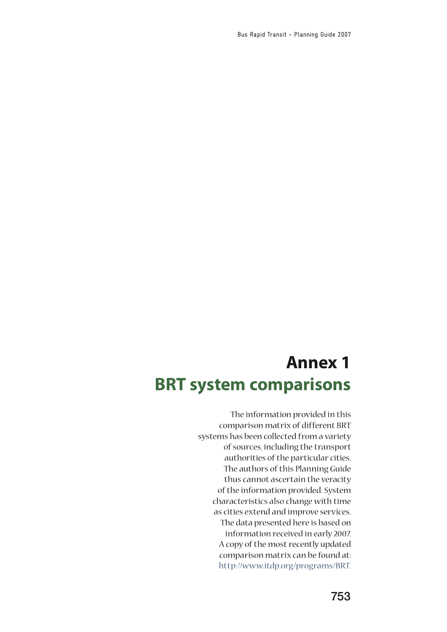Bus Rapid Transit - Planning Guide 2007

# **Annex 1 BRT system comparisons**

The information provided in this comparison matrix of different BRT systems has been collected from a variety of sources, including the transport authorities of the particular cities. The authors of this Planning Guide thus cannot ascertain the veracity of the information provided. System characteristics also change with time as cities extend and improve services. The data presented here is based on information received in early 2007. A copy of the most recently updated comparison matrix can be found at: [http://www.itdp.org/programs/BRT.](http://www.itdp.org/programs/BRT)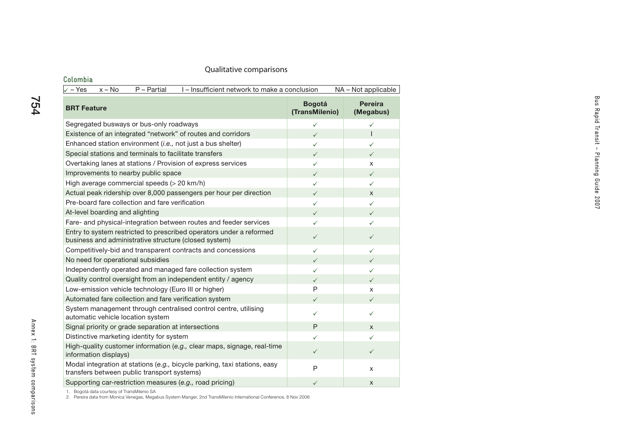#### **Colombia** $\sqrt{-1}$  Yes  $x - No$  P – Partial I – Insufficient network to make a conclusion NA – Not applicable **BRT Feature Bogotá (TransMilenio) Pereira (Megabus)** Segregated busways or bus-only roadways  $\checkmark$  $\checkmark$  ,  $\checkmark$ Existence of an integrated "network" of routes and corridors ¸ $\checkmark$  is the set of  $\checkmark$ Enhanced station environment (*i.e.*, not just a bus shelter)  $\checkmark$  $\checkmark$  ,  $\checkmark$ Special stations and terminals to facilitate transfers  $\sim$  $\checkmark$  , where  $\checkmark$ Overtaking lanes at stations / Provision of express services  $\checkmark$  $\checkmark$  x Improvements to nearby public space  $\Box$  $\checkmark$  , where  $\checkmark$ High average commercial speeds ( $>$  20 km/h)  $\checkmark$  $\checkmark$  ,  $\checkmark$ Actual peak ridership over 8,000 passengers per hour per direction  $\sqrt{ }$  $\checkmark$  x Pre-board fare collection and fare verificationn  $\checkmark$  $\checkmark$  ,  $\checkmark$ At-level boarding and alighting  $\sqrt{ }$  $\checkmark$  , where  $\checkmark$ Fare- and physical-integration between routes and feeder services  $\sqrt{ }$  $\checkmark$  , where  $\checkmark$ Entry to system restricted to prescribed operators under a reformed business and administrative structure (closed system)  $\checkmark$ Competitively-bid and transparent contracts and concessions  $\sqrt{2}$  $\checkmark$  ,  $\checkmark$ No need for operational subsidies ¸ $\sqrt{2}$ Independently operated and managed fare collection system  $\checkmark$  $\checkmark$  ,  $\checkmark$ Quality control oversight from an independent entity / agency  $\sqrt{ }$  $\checkmark$  , where  $\checkmark$ Low-emission vehicle technology (Euro III or higher) P x x Automated fare collection and fare verification system  $\sqrt{ }$  $\checkmark$  , where  $\checkmark$ System management through centralised control centre, utilising  $\sim$  automatic vehicle location system  $\sim$ Signal priority or grade separation at intersections **P R z x** Distinctive marketing identity for system  $\sqrt{ }$  $\checkmark$  , where  $\checkmark$ High-quality customer information (*e.g.,* clear maps, signage, real-time  $\frac{1}{10}$  information displays)  $\checkmark$  information (e.g., clear maps, signage, rear-time Modal integration at stations (*e.g.,* bicycle parking, taxi stations, easy Thodal integration at stations (e.g., bicycle parking, taxi stations, easy<br>transfers between public transport systems) Supporting car-restriction measures (*e.g.*, road pricing)  $\checkmark$  $\checkmark$  x

1. Bogotá data courtesy of TransMilenio SA

2. Pereira data from Monica Venegas, Megabus System Manger, 2nd TransMilenio International Conference, 8 Nov 2006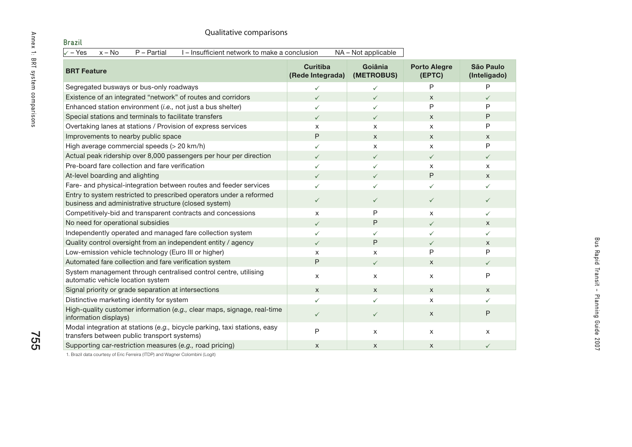| Qualitative comparisons                                                                                                      |                                     |                       |                               |                           |
|------------------------------------------------------------------------------------------------------------------------------|-------------------------------------|-----------------------|-------------------------------|---------------------------|
| <b>Brazil</b>                                                                                                                |                                     |                       |                               |                           |
| $\sqrt{-Y}$ es<br>$x - No$<br>$P - Partial$<br>I-Insufficient network to make a conclusion                                   |                                     | NA - Not applicable   |                               |                           |
| <b>BRT Feature</b>                                                                                                           | <b>Curitiba</b><br>(Rede Integrada) | Goiânia<br>(METROBUS) | <b>Porto Alegre</b><br>(EPTC) | São Paulo<br>(Inteligado) |
| Segregated busways or bus-only roadways                                                                                      | $\checkmark$                        | $\checkmark$          | P                             | P                         |
| Existence of an integrated "network" of routes and corridors                                                                 | $\checkmark$                        | $\checkmark$          | $\mathsf{x}$                  | $\checkmark$              |
| Enhanced station environment (i.e., not just a bus shelter)                                                                  | $\checkmark$                        | $\checkmark$          | P                             | P                         |
| Special stations and terminals to facilitate transfers                                                                       | $\checkmark$                        | $\checkmark$          | X                             | P                         |
| Overtaking lanes at stations / Provision of express services                                                                 | X                                   | X                     | X                             | P                         |
| Improvements to nearby public space                                                                                          | P                                   | $\mathsf{x}$          | $\mathsf{x}$                  | $\mathsf{x}$              |
| High average commercial speeds (> 20 km/h)                                                                                   | $\checkmark$                        | X                     | X                             | P                         |
| Actual peak ridership over 8,000 passengers per hour per direction                                                           | $\checkmark$                        | $\checkmark$          | $\checkmark$                  | $\checkmark$              |
| Pre-board fare collection and fare verification                                                                              | $\checkmark$                        | $\checkmark$          | X                             | X                         |
| At-level boarding and alighting                                                                                              | $\checkmark$                        | $\checkmark$          | P                             | $\boldsymbol{\mathsf{x}}$ |
| Fare- and physical-integration between routes and feeder services                                                            | $\checkmark$                        | $\checkmark$          | ✓                             | $\checkmark$              |
| Entry to system restricted to prescribed operators under a reformed<br>business and administrative structure (closed system) | $\checkmark$                        | $\checkmark$          | $\checkmark$                  | $\checkmark$              |
| Competitively-bid and transparent contracts and concessions                                                                  | X                                   | P                     | X                             | $\checkmark$              |
| No need for operational subsidies                                                                                            | $\checkmark$                        | P                     | $\checkmark$                  | $\times$                  |
| Independently operated and managed fare collection system                                                                    | $\checkmark$                        | $\checkmark$          | ✓                             | ✓                         |
| Quality control oversight from an independent entity / agency                                                                | $\checkmark$                        | Ρ                     | $\checkmark$                  | $\mathsf{X}$              |
| Low-emission vehicle technology (Euro III or higher)                                                                         | X                                   | X                     | P                             | P                         |
| Automated fare collection and fare verification system                                                                       | P                                   | $\checkmark$          | X                             | ✓                         |
| System management through centralised control centre, utilising<br>automatic vehicle location system                         | X                                   | X                     | X                             | P                         |
| Signal priority or grade separation at intersections                                                                         | X                                   | X                     | X                             | $\mathsf{x}$              |
| Distinctive marketing identity for system                                                                                    | $\checkmark$                        | $\checkmark$          | X                             | ✓                         |
| High-quality customer information (e.g., clear maps, signage, real-time<br>information displays)                             | $\checkmark$                        | $\checkmark$          | $\mathsf{x}$                  | P                         |
| Modal integration at stations (e.g., bicycle parking, taxi stations, easy<br>transfers between public transport systems)     | P                                   | X                     | X                             | $\mathsf{x}$              |
| Supporting car-restriction measures (e.g., road pricing)                                                                     | X                                   | X                     | X                             | ✓                         |

1. Brazil data courtesy of Eric Ferreira (ITDP) and Wagner Colombini (Logit)

755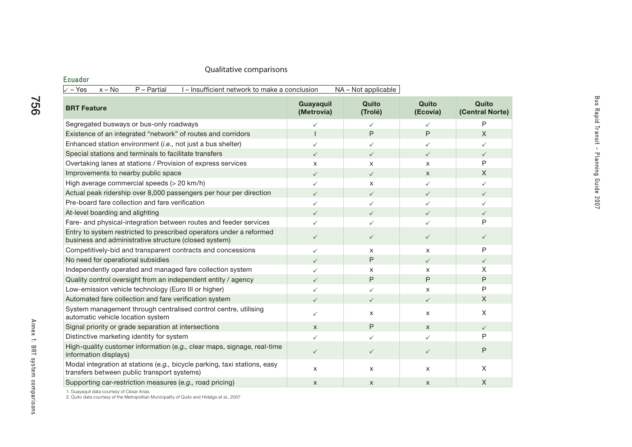### **Ecuador**

| $x - No$<br>$P - Partial$<br>I-Insufficient network to make a conclusion<br>$\checkmark$ – Yes                               |                         | NA - Not applicable |                   |                          |
|------------------------------------------------------------------------------------------------------------------------------|-------------------------|---------------------|-------------------|--------------------------|
| <b>BRT Feature</b>                                                                                                           | Guayaquil<br>(Metrovía) | Quito<br>(Trolé)    | Quito<br>(Ecovía) | Quito<br>(Central Norte) |
| Segregated busways or bus-only roadways                                                                                      | $\checkmark$            | ✓                   | $\checkmark$      | P                        |
| Existence of an integrated "network" of routes and corridors                                                                 |                         | P                   | P                 | X                        |
| Enhanced station environment (i.e., not just a bus shelter)                                                                  | ✓                       | ✓                   | $\checkmark$      | ✓                        |
| Special stations and terminals to facilitate transfers                                                                       | $\checkmark$            | $\checkmark$        | $\checkmark$      | $\checkmark$             |
| Overtaking lanes at stations / Provision of express services                                                                 | $\times$                | X                   | X                 | P                        |
| Improvements to nearby public space                                                                                          | ✓                       | $\checkmark$        | $\mathsf{X}$      | X                        |
| High average commercial speeds (> 20 km/h)                                                                                   | $\checkmark$            | X                   | $\checkmark$      | ✓                        |
| Actual peak ridership over 8,000 passengers per hour per direction                                                           | ✓                       | $\checkmark$        | $\checkmark$      | $\checkmark$             |
| Pre-board fare collection and fare verification                                                                              | ✓                       | ✓                   | $\checkmark$      | ✓                        |
| At-level boarding and alighting                                                                                              | $\checkmark$            | $\checkmark$        | $\checkmark$      | $\checkmark$             |
| Fare- and physical-integration between routes and feeder services                                                            | ✓                       | ✓                   | ✓                 | P                        |
| Entry to system restricted to prescribed operators under a reformed<br>business and administrative structure (closed system) | $\checkmark$            | $\checkmark$        | $\checkmark$      | $\checkmark$             |
| Competitively-bid and transparent contracts and concessions                                                                  | $\checkmark$            | X                   | X                 | P                        |
| No need for operational subsidies                                                                                            | $\checkmark$            | P                   | $\checkmark$      | $\checkmark$             |
| Independently operated and managed fare collection system                                                                    | ✓                       | X                   | X                 | X                        |
| Quality control oversight from an independent entity / agency                                                                | ✓                       | P                   | P                 | P                        |
| Low-emission vehicle technology (Euro III or higher)                                                                         |                         | ✓                   | X                 | P                        |
| Automated fare collection and fare verification system                                                                       |                         | $\checkmark$        | $\checkmark$      | X                        |
| System management through centralised control centre, utilising<br>automatic vehicle location system                         | ✓                       | X                   | X                 | X                        |
| Signal priority or grade separation at intersections                                                                         | $\mathsf{x}$            | P                   | $\mathsf{X}$      | $\checkmark$             |
| Distinctive marketing identity for system                                                                                    | ✓                       | ✓                   | ✓                 | P                        |
| High-quality customer information (e.g., clear maps, signage, real-time<br>information displays)                             | $\checkmark$            | $\checkmark$        | $\checkmark$      | P                        |
| Modal integration at stations (e.g., bicycle parking, taxi stations, easy<br>transfers between public transport systems)     | X                       | X                   | X                 | X                        |
| Supporting car-restriction measures (e.g., road pricing)                                                                     | $\mathsf{x}$            | X                   | X                 | $\chi$                   |

1. Guayaquil data courtesy of César Arias. 2. Quito data courtesy of the Metropolitan Municipality of Quito and Hidalgo et al., 2007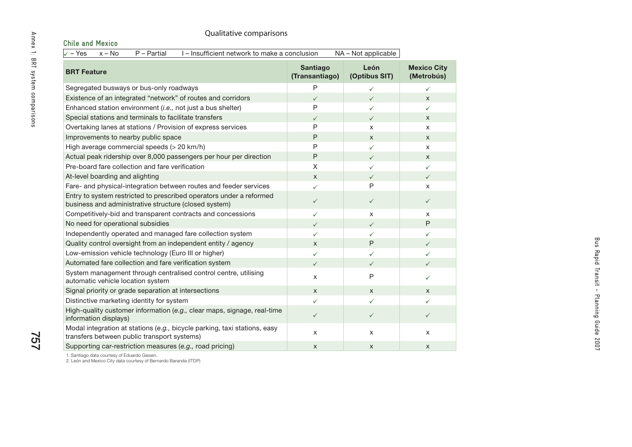| l – Insufficient network to make a conclusion<br>$NA - Not applicable1$<br>– No<br>P – Partial<br>∡ – Yes I |
|-------------------------------------------------------------------------------------------------------------|
|-------------------------------------------------------------------------------------------------------------|

| Qualitative comparisons                                                                                                      |                                   |                       |                                  |
|------------------------------------------------------------------------------------------------------------------------------|-----------------------------------|-----------------------|----------------------------------|
| <b>Chile and Mexico</b><br>$\sqrt{-1}$ Yes<br>$x - No$<br>$P - Partial$<br>I - Insufficient network to make a conclusion     |                                   | NA - Not applicable   |                                  |
| <b>BRT Feature</b>                                                                                                           | <b>Santiago</b><br>(Transantiago) | León<br>(Optibus SIT) | <b>Mexico City</b><br>(Metrobús) |
| Segregated busways or bus-only roadways                                                                                      | P                                 | ✓                     | ✓                                |
| Existence of an integrated "network" of routes and corridors                                                                 | $\checkmark$                      | $\checkmark$          | $\mathsf{x}$                     |
| Enhanced station environment (i.e., not just a bus shelter)                                                                  | P                                 | ✓                     | ✓                                |
| Special stations and terminals to facilitate transfers                                                                       | $\checkmark$                      | $\checkmark$          | X                                |
| Overtaking lanes at stations / Provision of express services                                                                 | P                                 | X                     | $\mathsf{x}$                     |
| Improvements to nearby public space                                                                                          | P                                 | $\mathsf{x}$          | $\mathsf{x}$                     |
| High average commercial speeds (> 20 km/h)                                                                                   | P                                 | $\checkmark$          | X                                |
| Actual peak ridership over 8,000 passengers per hour per direction                                                           | P                                 | $\checkmark$          | X                                |
| Pre-board fare collection and fare verification                                                                              | $\mathsf X$                       | ✓                     | $\checkmark$                     |
| At-level boarding and alighting                                                                                              | $\mathsf{x}$                      | $\checkmark$          | $\checkmark$                     |
| Fare- and physical-integration between routes and feeder services                                                            | ✓                                 | P                     | $\times$                         |
| Entry to system restricted to prescribed operators under a reformed<br>business and administrative structure (closed system) | $\checkmark$                      | $\checkmark$          | $\checkmark$                     |
| Competitively-bid and transparent contracts and concessions                                                                  | $\checkmark$                      | $\pmb{\times}$        | X                                |
| No need for operational subsidies                                                                                            | $\checkmark$                      | $\checkmark$          | P                                |
| Independently operated and managed fare collection system                                                                    | $\checkmark$                      | ✓                     | ✓                                |
| Quality control oversight from an independent entity / agency                                                                | $\mathsf{x}$                      | P                     | $\checkmark$                     |
| Low-emission vehicle technology (Euro III or higher)                                                                         | $\checkmark$                      | ✓                     | ✓                                |
| Automated fare collection and fare verification system                                                                       | $\checkmark$                      | $\checkmark$          | $\checkmark$                     |
| System management through centralised control centre, utilising<br>automatic vehicle location system                         | X                                 | P                     | ✓                                |
| Signal priority or grade separation at intersections                                                                         | $\mathsf{x}$                      | X                     | X                                |
| Distinctive marketing identity for system                                                                                    | ✓                                 | ✓                     | ✓                                |
| High-quality customer information (e.g., clear maps, signage, real-time<br>information displays)                             | $\checkmark$                      | $\checkmark$          | $\checkmark$                     |
| Modal integration at stations (e.g., bicycle parking, taxi stations, easy<br>transfers between public transport systems)     | $\pmb{\times}$                    | X                     | X                                |
| Supporting car-restriction measures (e.g., road pricing)                                                                     | $\mathsf{x}$                      | $\mathsf{x}$          | $\mathsf{x}$                     |

1. Santiago data courtesy of Eduardo Giesen. 2. León and Mexico City data courtesy of Bernardo Baranda (ITDP)

757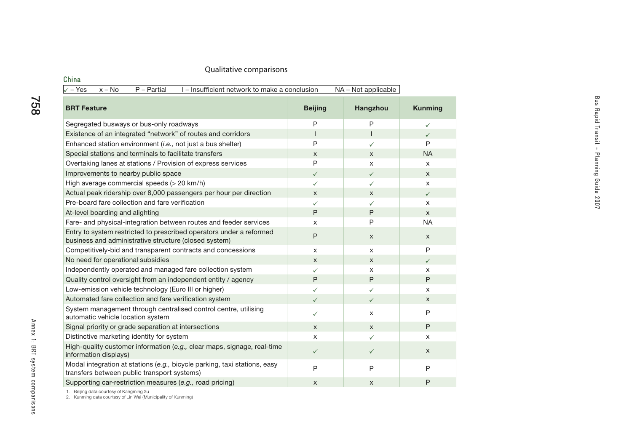| China                                                                                                                        |                |                     |                |
|------------------------------------------------------------------------------------------------------------------------------|----------------|---------------------|----------------|
| $\sqrt{-Y}$ es<br>$P - Partial$<br>$x - No$<br>I – Insufficient network to make a conclusion                                 |                | NA - Not applicable |                |
| <b>BRT Feature</b>                                                                                                           | <b>Beijing</b> | Hangzhou            | <b>Kunming</b> |
| Segregated busways or bus-only roadways                                                                                      | P              | P                   | $\checkmark$   |
| Existence of an integrated "network" of routes and corridors                                                                 | $\overline{1}$ | $\mathsf{I}$        | $\checkmark$   |
| Enhanced station environment (i.e., not just a bus shelter)                                                                  | P              | $\checkmark$        | P              |
| Special stations and terminals to facilitate transfers                                                                       | $\mathsf{X}$   | X                   | <b>NA</b>      |
| Overtaking lanes at stations / Provision of express services                                                                 | $\mathsf{P}$   | X                   | $\times$       |
| Improvements to nearby public space                                                                                          | $\checkmark$   | $\checkmark$        | X              |
| High average commercial speeds (> 20 km/h)                                                                                   | $\checkmark$   | ✓                   | X              |
| Actual peak ridership over 8,000 passengers per hour per direction                                                           | X              | X                   | $\checkmark$   |
| Pre-board fare collection and fare verification                                                                              | ✓              | $\checkmark$        | X              |
| At-level boarding and alighting                                                                                              | P              | P                   | $\mathsf{x}$   |
| Fare- and physical-integration between routes and feeder services                                                            | X              | P                   | <b>NA</b>      |
| Entry to system restricted to prescribed operators under a reformed<br>business and administrative structure (closed system) | $\mathsf{P}$   | X                   | X              |
| Competitively-bid and transparent contracts and concessions                                                                  | X              | X                   | P              |
| No need for operational subsidies                                                                                            | X              | X                   | $\checkmark$   |
| Independently operated and managed fare collection system                                                                    | ✓              | X                   | X              |
| Quality control oversight from an independent entity / agency                                                                | P              | P                   | P              |
| Low-emission vehicle technology (Euro III or higher)                                                                         | ✓              | ✓                   | X              |
| Automated fare collection and fare verification system                                                                       | $\checkmark$   | $\checkmark$        | X              |
| System management through centralised control centre, utilising<br>automatic vehicle location system                         | $\checkmark$   | X                   | P              |
| Signal priority or grade separation at intersections                                                                         | $\mathsf{x}$   | $\mathsf{X}$        | P              |
| Distinctive marketing identity for system                                                                                    | X              | $\checkmark$        | X              |
| High-quality customer information (e.g., clear maps, signage, real-time<br>information displays)                             | $\checkmark$   | $\checkmark$        | $\mathsf{x}$   |
| Modal integration at stations (e.g., bicycle parking, taxi stations, easy<br>transfers between public transport systems)     | $\mathsf{P}$   | P                   | P              |
| Supporting car-restriction measures (e.g., road pricing)                                                                     | $\pmb{\times}$ | $\mathsf{x}$        | P              |

758

1. Beijing data courtesy of Kangming Xu 2. Kunming data courtesy of Lin Wei (Municipality of Kunming)

Bus Rapid Transit - Planning Guide 2007

Bus Rapid Transit - Planning Guide 2007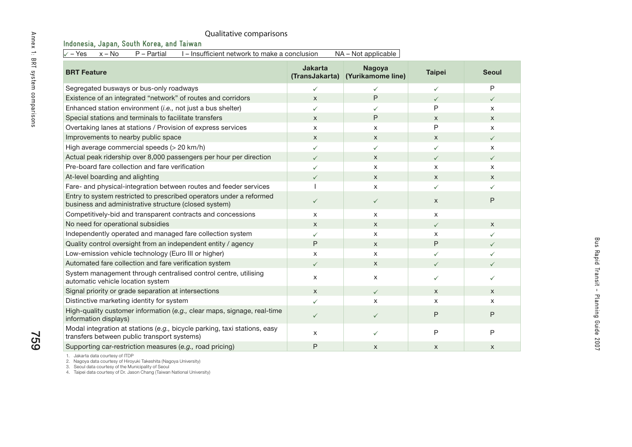| Qualitative comparisons<br>Indonesia, Japan, South Korea, and Taiwan                                                         |                           |                                    |               |              |
|------------------------------------------------------------------------------------------------------------------------------|---------------------------|------------------------------------|---------------|--------------|
| I - Insufficient network to make a conclusion<br>$x - No$<br>$\sqrt{-1}$ Yes<br>$P - Partial$                                |                           | NA - Not applicable                |               |              |
| <b>BRT Feature</b>                                                                                                           | Jakarta<br>(TransJakarta) | <b>Nagoya</b><br>(Yurikamome line) | <b>Taipei</b> | <b>Seoul</b> |
| Segregated busways or bus-only roadways                                                                                      | $\checkmark$              | ✓                                  | ✓             | P            |
| Existence of an integrated "network" of routes and corridors                                                                 | X                         | $\mathsf{P}$                       | $\checkmark$  | $\checkmark$ |
| Enhanced station environment (i.e., not just a bus shelter)                                                                  | $\checkmark$              | ✓                                  | P             | X            |
| Special stations and terminals to facilitate transfers                                                                       | X                         | P                                  | $\mathsf{x}$  | $\mathsf{X}$ |
| Overtaking lanes at stations / Provision of express services                                                                 | X                         | X                                  | P             | X            |
| Improvements to nearby public space                                                                                          | $\mathsf{x}$              | $\boldsymbol{\mathsf{x}}$          | $\mathsf{x}$  | $\checkmark$ |
| High average commercial speeds (> 20 km/h)                                                                                   | ✓                         | ✓                                  | ✓             | X            |
| Actual peak ridership over 8,000 passengers per hour per direction                                                           | $\checkmark$              | X                                  | $\checkmark$  | $\checkmark$ |
| Pre-board fare collection and fare verification                                                                              | $\checkmark$              | X                                  | X             | X            |
| At-level boarding and alighting                                                                                              | $\checkmark$              | X                                  | $\mathsf{x}$  | X            |
| Fare- and physical-integration between routes and feeder services                                                            |                           | X                                  | ✓             | $\checkmark$ |
| Entry to system restricted to prescribed operators under a reformed<br>business and administrative structure (closed system) | $\checkmark$              | $\checkmark$                       | $\mathsf{x}$  | P            |
| Competitively-bid and transparent contracts and concessions                                                                  | X                         | $\boldsymbol{\mathsf{x}}$          | X             |              |
| No need for operational subsidies                                                                                            | X                         | X                                  | $\checkmark$  | X            |
| Independently operated and managed fare collection system                                                                    | $\checkmark$              | X                                  | $\times$      | $\checkmark$ |
| Quality control oversight from an independent entity / agency                                                                | P                         | $\mathsf{x}$                       | P             | $\checkmark$ |
| Low-emission vehicle technology (Euro III or higher)                                                                         | X                         | $\times$                           | ✓             | $\checkmark$ |
| Automated fare collection and fare verification system                                                                       | $\checkmark$              | X                                  | $\checkmark$  | $\checkmark$ |
| System management through centralised control centre, utilising<br>automatic vehicle location system                         | X                         | X                                  | ✓             | $\checkmark$ |
| Signal priority or grade separation at intersections                                                                         | $\mathsf{X}$              | $\checkmark$                       | $\mathsf{x}$  | $\mathsf{X}$ |
| Distinctive marketing identity for system                                                                                    | $\checkmark$              | $\mathsf{x}$                       | X             | X            |
| High-quality customer information (e.g., clear maps, signage, real-time<br>information displays)                             | $\checkmark$              | $\checkmark$                       | P             | P            |
| Modal integration at stations (e.g., bicycle parking, taxi stations, easy<br>transfers between public transport systems)     | X                         | ✓                                  | P             | P            |
| Supporting car-restriction measures (e.g., road pricing)                                                                     | Ρ                         | X                                  | X             | X            |

1. Jakarta data courtesy of ITDP

2. Nagoya data courtesy of Hiroyuki Takeshita (Nagoya University) 3. Seoul data courtesy of the Municipality of Seoul 4. Taipei data courtesy of Dr. Jason Chang (Taiwan National University)

759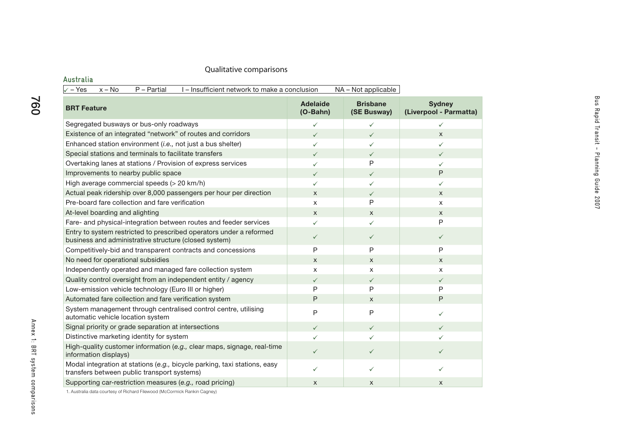| $x - No$<br>P - Partial<br>I - Insufficient network to make a conclusion<br>$\sqrt{-Y}$ es                                   |                               | NA – Not applicable            |                                         |
|------------------------------------------------------------------------------------------------------------------------------|-------------------------------|--------------------------------|-----------------------------------------|
| <b>BRT Feature</b>                                                                                                           | <b>Adelaide</b><br>$(O-Bahn)$ | <b>Brisbane</b><br>(SE Busway) | <b>Sydney</b><br>(Liverpool - Parmatta) |
| Segregated busways or bus-only roadways                                                                                      | $\checkmark$                  | $\checkmark$                   | $\checkmark$                            |
| Existence of an integrated "network" of routes and corridors                                                                 | $\checkmark$                  | $\checkmark$                   | X                                       |
| Enhanced station environment (i.e., not just a bus shelter)                                                                  | ✓                             | ✓                              | ✓                                       |
| Special stations and terminals to facilitate transfers                                                                       | $\checkmark$                  | $\checkmark$                   | $\checkmark$                            |
| Overtaking lanes at stations / Provision of express services                                                                 | ✓                             | P                              | ✓                                       |
| Improvements to nearby public space                                                                                          | $\checkmark$                  | $\checkmark$                   | P                                       |
| High average commercial speeds (> 20 km/h)                                                                                   | ✓                             | ✓                              | ✓                                       |
| Actual peak ridership over 8,000 passengers per hour per direction                                                           | X                             | $\checkmark$                   | X                                       |
| Pre-board fare collection and fare verification                                                                              | X                             | P                              | x                                       |
| At-level boarding and alighting                                                                                              | X                             | X                              | X                                       |
| Fare- and physical-integration between routes and feeder services                                                            | ✓                             | ✓                              | P                                       |
| Entry to system restricted to prescribed operators under a reformed<br>business and administrative structure (closed system) | $\checkmark$                  | $\checkmark$                   | $\checkmark$                            |
| Competitively-bid and transparent contracts and concessions                                                                  | P                             | P                              | P                                       |
| No need for operational subsidies                                                                                            | X                             | $\mathsf{x}$                   | X                                       |
| Independently operated and managed fare collection system                                                                    | X                             | X                              | X                                       |
| Quality control oversight from an independent entity / agency                                                                | $\checkmark$                  | $\checkmark$                   | $\checkmark$                            |
| Low-emission vehicle technology (Euro III or higher)                                                                         | P                             | P                              | P                                       |
| Automated fare collection and fare verification system                                                                       | P                             | X                              | P                                       |
| System management through centralised control centre, utilising<br>automatic vehicle location system                         | P                             | P                              | ✓                                       |
| Signal priority or grade separation at intersections                                                                         | $\checkmark$                  | $\checkmark$                   | $\checkmark$                            |
| Distinctive marketing identity for system                                                                                    | ✓                             | ✓                              | ✓                                       |
| High-quality customer information (e.g., clear maps, signage, real-time<br>information displays)                             | $\checkmark$                  | $\checkmark$                   | $\checkmark$                            |
| Modal integration at stations (e.g., bicycle parking, taxi stations, easy<br>transfers between public transport systems)     | ✓                             | ✓                              | ✓                                       |
| Supporting car-restriction measures (e.g., road pricing)                                                                     | X                             | X                              | X                                       |

760

1. Australia data courtesy of Richard Filewood (McCormick Rankin Cagney)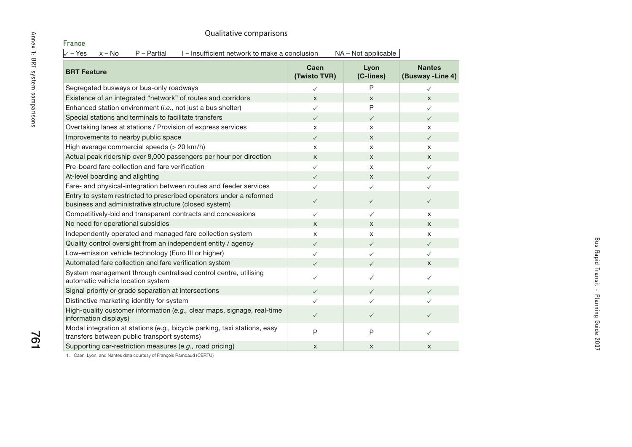#### Prance<br>
Annex 1:<br>
<del>Contract Comparisons</del><br> **ERT Feature**<br>
Segregated busways or bus-only roadways<br>
Existence of an integrated "network" of routes and corridors<br>
Enhanced station environment (*i.e.*, not just a bus shelter)  $\sqrt{-1}$  Yes  $x - No$  P – Partial I – Insufficient network to make a conclusion NA – Not applicable **BRT Feature Caen (Twisto TVR) Lyon (C-lines) Nantes (Busway -Line 4)** Segregated busways or bus-only roadways  $\checkmark$ P $\checkmark$ Existence of an integrated "network" of routes and corridors  $\begin{array}{ccc} x & x \\ x & x \end{array}$ Enhanced station environment (*i.e.,* not just a bus shelter)  $\checkmark$ P $\checkmark$ Special stations and terminals to facilitate transfers  $\checkmark$  $\checkmark$  $\checkmark$ Overtaking lanes at stations / Provision of express services  $\begin{array}{ccc} x & x \\ x & x \end{array}$ Improvements to nearby public space  $\checkmark$  $\checkmark$  x  $\checkmark$ High average commercial speeds (> 20 km/h) <sup>x</sup> <sup>x</sup> <sup>x</sup> Actual peak ridership over 8,000 passengers per hour per direction  $\begin{array}{ccc} x & x \\ x & x \end{array}$ Pre-board fare collection and fare verification $\checkmark$  $\checkmark$  x  $\checkmark$ At-level boarding and alighting  $\checkmark$  $\checkmark$  x  $\checkmark$ Fare- and physical-integration between routes and feeder services  $\checkmark$  $\checkmark$  $\checkmark$ Entry to system restricted to prescribed operators under a reformed business and administrative structure (closed system)  $\checkmark$  $\checkmark$  $\checkmark$ Competitively-bid and transparent contracts and concessions  $\checkmark$  $\checkmark$  $\checkmark$  x No need for operational subsidies <sup>x</sup> <sup>x</sup> <sup>x</sup> Independently operated and managed fare collection system  $\begin{array}{ccc} x & x \\ x & x \end{array}$ Quality control oversight from an independent entity / agency  $\checkmark$  $\checkmark$  $\checkmark$ Low-emission vehicle technology (Euro III or higher)  $\checkmark$  $\checkmark$  $\checkmark$ Automated fare collection and fare verification system  $\checkmark$  $\checkmark$  $\checkmark$  x System management through centralised control centre, utilising automatic vehicle location system  $\checkmark$  $\checkmark$  $\checkmark$ Signal priority or grade separation at intersections  $\checkmark$  $\checkmark$  $\checkmark$ Distinctive marketing identity for system  $\checkmark$  $\checkmark$  $\checkmark$ High-quality customer information (*e.g.,* clear maps, signage, real-time information displays)  $\checkmark$  $\checkmark$  $\checkmark$ Modal integration at stations (*e.g.,* bicycle parking, taxi stations, easy transfers between public transport systems) PP $\checkmark$ Supporting car-restriction measures (*e.g.,* road pricing)  $\begin{array}{ccc} x & x \\ x & x \end{array}$  x x x x x

1. Caen, Lyon, and Nantes data courtesy of François Rambaud (CERTU)

 $\overline{\mathbf{Q}}$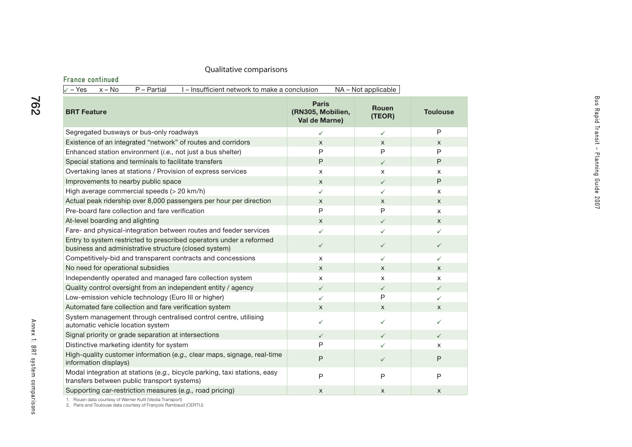### **France continued**

| P - Partial<br>I – Insufficient network to make a conclusion<br>√ – Yes<br>$x - No$                                          |                                                    | NA - Not applicable    |                 |
|------------------------------------------------------------------------------------------------------------------------------|----------------------------------------------------|------------------------|-----------------|
| <b>BRT Feature</b>                                                                                                           | <b>Paris</b><br>(RN305, Mobilien,<br>Val de Marne) | <b>Rouen</b><br>(TEOR) | <b>Toulouse</b> |
| Segregated busways or bus-only roadways                                                                                      | $\checkmark$                                       | $\checkmark$           | P               |
| Existence of an integrated "network" of routes and corridors                                                                 | $\mathsf{x}$                                       | $\mathsf{X}$           | X               |
| Enhanced station environment (i.e., not just a bus shelter)                                                                  | P                                                  | P                      | P               |
| Special stations and terminals to facilitate transfers                                                                       | P                                                  | $\checkmark$           | P               |
| Overtaking lanes at stations / Provision of express services                                                                 | X                                                  | X                      | x               |
| Improvements to nearby public space                                                                                          | $\mathsf{x}$                                       | $\checkmark$           | P               |
| High average commercial speeds (> 20 km/h)                                                                                   | ✓                                                  | $\checkmark$           | X               |
| Actual peak ridership over 8,000 passengers per hour per direction                                                           | $\mathsf{x}$                                       | $\mathsf{x}$           | $\mathsf{x}$    |
| Pre-board fare collection and fare verification                                                                              | P                                                  | $\mathsf{P}$           | X               |
| At-level boarding and alighting                                                                                              | $\mathsf{x}$                                       | $\checkmark$           | $\times$        |
| Fare- and physical-integration between routes and feeder services                                                            | ✓                                                  | $\checkmark$           | $\checkmark$    |
| Entry to system restricted to prescribed operators under a reformed<br>business and administrative structure (closed system) | $\checkmark$                                       | $\checkmark$           | $\checkmark$    |
| Competitively-bid and transparent contracts and concessions                                                                  | X                                                  | ✓                      | $\checkmark$    |
| No need for operational subsidies                                                                                            | $\mathsf{x}$                                       | $\mathsf{x}$           | $\mathsf{x}$    |
| Independently operated and managed fare collection system                                                                    | X                                                  | $\pmb{\times}$         | X               |
| Quality control oversight from an independent entity / agency                                                                | $\checkmark$                                       | $\checkmark$           | $\checkmark$    |
| Low-emission vehicle technology (Euro III or higher)                                                                         | ✓                                                  | P                      | $\checkmark$    |
| Automated fare collection and fare verification system                                                                       | X                                                  | X                      | X               |
| System management through centralised control centre, utilising<br>automatic vehicle location system                         | $\checkmark$                                       | ✓                      | ✓               |
| Signal priority or grade separation at intersections                                                                         | $\checkmark$                                       | $\checkmark$           | $\checkmark$    |
| Distinctive marketing identity for system                                                                                    | P                                                  | $\checkmark$           | X               |
| High-quality customer information (e.g., clear maps, signage, real-time<br>information displays)                             | P                                                  | $\checkmark$           | P               |
| Modal integration at stations (e.g., bicycle parking, taxi stations, easy<br>transfers between public transport systems)     | $\mathsf{P}$                                       | $\overline{P}$         | $\mathsf{P}$    |
| Supporting car-restriction measures (e.g., road pricing)                                                                     | X                                                  | $\mathsf{x}$           | $\mathsf{x}$    |

762

1. Rouen data courtesy of Werner Kutil (Veolia Transport) 2, Paris and Toulouse data courtesy of François Rambaud (CERTU)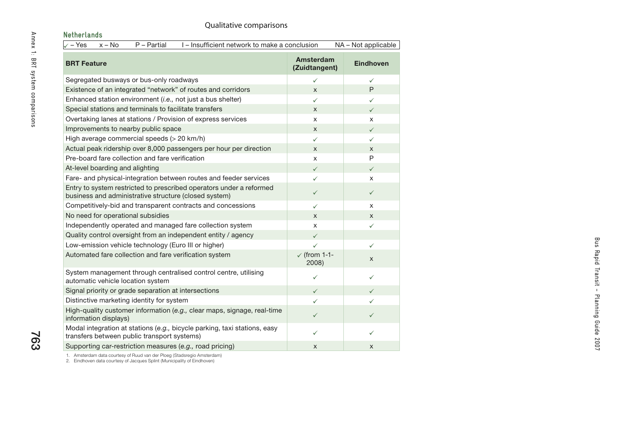763

| Netherlands                                                                                                                  |                                  |                     |
|------------------------------------------------------------------------------------------------------------------------------|----------------------------------|---------------------|
| $\sqrt{-Y}$ es<br>$x - No$<br>$P - Partial$<br>I-Insufficient network to make a conclusion                                   |                                  | NA - Not applicable |
| <b>BRT Feature</b>                                                                                                           | Amsterdam<br>(Zuidtangent)       | <b>Eindhoven</b>    |
| Segregated busways or bus-only roadways                                                                                      | $\checkmark$                     | $\checkmark$        |
| Existence of an integrated "network" of routes and corridors                                                                 | X                                | P                   |
| Enhanced station environment (i.e., not just a bus shelter)                                                                  | ✓                                | ✓                   |
| Special stations and terminals to facilitate transfers                                                                       | X                                | $\checkmark$        |
| Overtaking lanes at stations / Provision of express services                                                                 | X                                | X                   |
| Improvements to nearby public space                                                                                          | X                                | $\checkmark$        |
| High average commercial speeds (> 20 km/h)                                                                                   | $\checkmark$                     | ✓                   |
| Actual peak ridership over 8,000 passengers per hour per direction                                                           | X                                | X                   |
| Pre-board fare collection and fare verification                                                                              | X                                | P                   |
| At-level boarding and alighting                                                                                              | $\checkmark$                     | $\checkmark$        |
| Fare- and physical-integration between routes and feeder services                                                            | ✓                                | X                   |
| Entry to system restricted to prescribed operators under a reformed<br>business and administrative structure (closed system) | $\checkmark$                     | $\checkmark$        |
| Competitively-bid and transparent contracts and concessions                                                                  | $\checkmark$                     | X                   |
| No need for operational subsidies                                                                                            | X                                | X                   |
| Independently operated and managed fare collection system                                                                    | X                                | $\checkmark$        |
| Quality control oversight from an independent entity / agency                                                                | $\checkmark$                     |                     |
| Low-emission vehicle technology (Euro III or higher)                                                                         | $\checkmark$                     | ✓                   |
| Automated fare collection and fare verification system                                                                       | $\checkmark$ (from 1-1-<br>2008) | X                   |
| System management through centralised control centre, utilising<br>automatic vehicle location system                         | $\checkmark$                     | ✓                   |
| Signal priority or grade separation at intersections                                                                         | $\checkmark$                     | $\checkmark$        |
| Distinctive marketing identity for system                                                                                    | ✓                                | ✓                   |
| High-quality customer information (e.g., clear maps, signage, real-time<br>information displays)                             | ✓                                | $\checkmark$        |
| Modal integration at stations (e.g., bicycle parking, taxi stations, easy<br>transfers between public transport systems)     | ✓                                | ✓                   |
| Supporting car-restriction measures (e.g., road pricing)                                                                     | X                                | X                   |
|                                                                                                                              |                                  |                     |

1. Amsterdam data courtesy of Ruud van der Ploeg (Stadsregio Amsterdam) 2. Eindhoven data courtesy of Jacques Splint (Municipality of Eindhoven)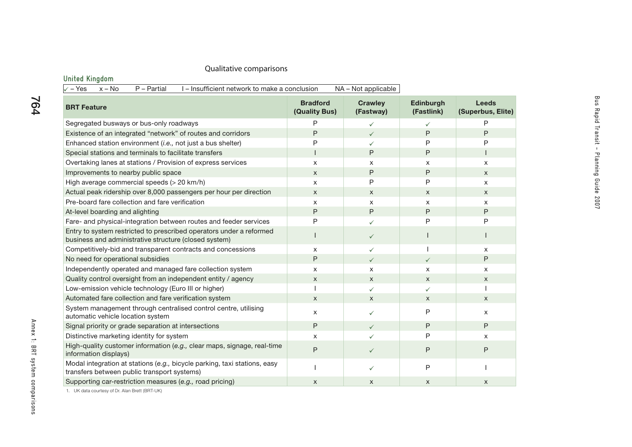# **United Kingdom**

| $x - No$<br>P - Partial<br>I-Insufficient network to make a conclusion<br>NA - Not applicable<br>$\sqrt{-1}$ Yes             |                                  |                             |                         |                                   |
|------------------------------------------------------------------------------------------------------------------------------|----------------------------------|-----------------------------|-------------------------|-----------------------------------|
| <b>BRT Feature</b>                                                                                                           | <b>Bradford</b><br>(Quality Bus) | <b>Crawley</b><br>(Fastway) | Edinburgh<br>(Fastlink) | <b>Leeds</b><br>(Superbus, Elite) |
| Segregated busways or bus-only roadways                                                                                      | P                                | ✓                           | $\checkmark$            | P                                 |
| Existence of an integrated "network" of routes and corridors                                                                 | P                                | $\checkmark$                | P                       | P                                 |
| Enhanced station environment (i.e., not just a bus shelter)                                                                  | P                                | ✓                           | P                       | P                                 |
| Special stations and terminals to facilitate transfers                                                                       |                                  | P                           | P                       |                                   |
| Overtaking lanes at stations / Provision of express services                                                                 | X                                | x                           | X                       | X                                 |
| Improvements to nearby public space                                                                                          | X                                | P                           | P                       | X                                 |
| High average commercial speeds (> 20 km/h)                                                                                   | X                                | P                           | P                       | X                                 |
| Actual peak ridership over 8,000 passengers per hour per direction                                                           | X                                | X                           | X                       | X                                 |
| Pre-board fare collection and fare verification                                                                              | x                                | X                           | X                       | X                                 |
| At-level boarding and alighting                                                                                              | P                                | P                           | P                       | $\sf P$                           |
| Fare- and physical-integration between routes and feeder services                                                            | P                                | ✓                           | P                       | P                                 |
| Entry to system restricted to prescribed operators under a reformed<br>business and administrative structure (closed system) |                                  | $\checkmark$                |                         |                                   |
| Competitively-bid and transparent contracts and concessions                                                                  | X                                | ✓                           |                         | X                                 |
| No need for operational subsidies                                                                                            | P                                | $\checkmark$                | $\checkmark$            | P                                 |
| Independently operated and managed fare collection system                                                                    | X                                | $\times$                    | X                       | X                                 |
| Quality control oversight from an independent entity / agency                                                                | X                                | $\times$                    | X                       | X                                 |
| Low-emission vehicle technology (Euro III or higher)                                                                         |                                  | ✓                           | $\checkmark$            |                                   |
| Automated fare collection and fare verification system                                                                       | X                                | X                           | X                       | $\mathsf{x}$                      |
| System management through centralised control centre, utilising<br>automatic vehicle location system                         | x                                | ✓                           | P                       | X                                 |
| Signal priority or grade separation at intersections                                                                         | P                                | $\checkmark$                | P                       | P                                 |
| Distinctive marketing identity for system                                                                                    | X                                | ✓                           | P                       | X                                 |
| High-quality customer information (e.g., clear maps, signage, real-time<br>information displays)                             | P                                | $\checkmark$                | P                       | $\mathsf{P}$                      |
| Modal integration at stations (e.g., bicycle parking, taxi stations, easy<br>transfers between public transport systems)     |                                  | ✓                           | P                       |                                   |
| Supporting car-restriction measures (e.g., road pricing)                                                                     | X                                | X                           | X                       | X                                 |

1. UK data courtesy of Dr. Alan Brett (BRT-UK)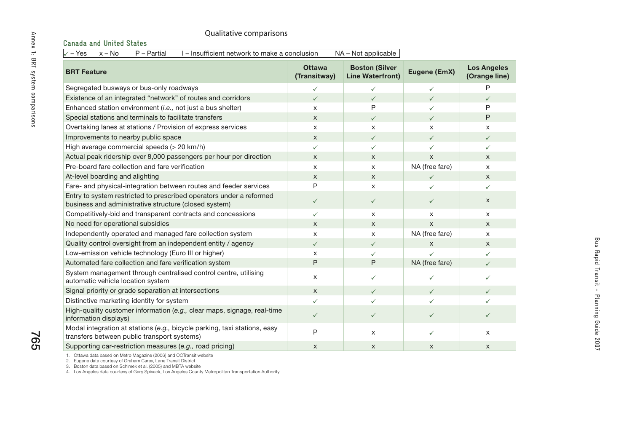| Qualitative comparisons                                                                                                      |                               |                                                  |                |                                     |
|------------------------------------------------------------------------------------------------------------------------------|-------------------------------|--------------------------------------------------|----------------|-------------------------------------|
| <b>Canada and United States</b>                                                                                              |                               |                                                  |                |                                     |
| $\sqrt{-Y}$ es<br>$x - No$<br>I - Insufficient network to make a conclusion<br>P - Partial                                   |                               | NA - Not applicable                              |                |                                     |
| <b>BRT Feature</b>                                                                                                           | <b>Ottawa</b><br>(Transitway) | <b>Boston (Silver</b><br><b>Line Waterfront)</b> | Eugene (EmX)   | <b>Los Angeles</b><br>(Orange line) |
| Segregated busways or bus-only roadways                                                                                      | $\checkmark$                  | $\checkmark$                                     | $\checkmark$   | P                                   |
| Existence of an integrated "network" of routes and corridors                                                                 | $\checkmark$                  | $\checkmark$                                     | $\checkmark$   | $\checkmark$                        |
| Enhanced station environment (i.e., not just a bus shelter)                                                                  | X                             | P                                                | $\checkmark$   | P                                   |
| Special stations and terminals to facilitate transfers                                                                       | $\boldsymbol{\mathsf{x}}$     | $\checkmark$                                     | $\checkmark$   | P                                   |
| Overtaking lanes at stations / Provision of express services                                                                 | X                             | X                                                | X              | X                                   |
| Improvements to nearby public space                                                                                          | $\mathsf{x}$                  | $\checkmark$                                     | $\checkmark$   | $\checkmark$                        |
| High average commercial speeds (> 20 km/h)                                                                                   | $\checkmark$                  | $\checkmark$                                     | $\checkmark$   | ✓                                   |
| Actual peak ridership over 8,000 passengers per hour per direction                                                           | $\mathsf{x}$                  | $\mathsf{x}$                                     | $\mathsf{x}$   | $\mathsf{X}$                        |
| Pre-board fare collection and fare verification                                                                              | $\mathsf{x}$                  | $\times$                                         | NA (free fare) | X                                   |
| At-level boarding and alighting                                                                                              | $\mathsf{x}$                  | $\mathsf{X}$                                     | $\checkmark$   | $\mathsf{X}$                        |
| Fare- and physical-integration between routes and feeder services                                                            | P                             | X                                                | ✓              | ✓                                   |
| Entry to system restricted to prescribed operators under a reformed<br>business and administrative structure (closed system) | $\checkmark$                  | $\checkmark$                                     | $\checkmark$   | X                                   |
| Competitively-bid and transparent contracts and concessions                                                                  | $\checkmark$                  | X                                                | X              | X                                   |
| No need for operational subsidies                                                                                            | $\mathsf{x}$                  | $\mathsf{X}$                                     | $\mathsf{x}$   | X                                   |
| Independently operated and managed fare collection system                                                                    | X                             | X                                                | NA (free fare) | X                                   |
| Quality control oversight from an independent entity / agency                                                                | $\checkmark$                  | $\checkmark$                                     | X              | $\mathsf{X}$                        |
| Low-emission vehicle technology (Euro III or higher)                                                                         | X                             | ✓                                                | ✓              | ✓                                   |
| Automated fare collection and fare verification system                                                                       | $\mathsf{P}$                  | P                                                | NA (free fare) | $\checkmark$                        |
| System management through centralised control centre, utilising<br>automatic vehicle location system                         | X                             | ✓                                                | $\checkmark$   | ✓                                   |
| Signal priority or grade separation at intersections                                                                         | $\mathsf{x}$                  | $\checkmark$                                     | $\checkmark$   | $\checkmark$                        |
| Distinctive marketing identity for system                                                                                    | ✓                             |                                                  | ✓              | ✓                                   |
| High-quality customer information (e.g., clear maps, signage, real-time<br>information displays)                             | $\checkmark$                  | $\checkmark$                                     | $\checkmark$   | $\checkmark$                        |
| Modal integration at stations (e.g., bicycle parking, taxi stations, easy<br>transfers between public transport systems)     | P                             | X                                                | $\checkmark$   | X                                   |
| Supporting car-restriction measures (e.g., road pricing)                                                                     | X                             | X                                                | X              | X                                   |

1. Ottawa data based on Metro Magazine (2006) and OCTransit website<br>2. Eugene data courtesy of Graham Carey, Lane Transit District<br>3. Eoston data based on Schimek et al. (2005) and MBTA website<br>4. Los Angeles data

765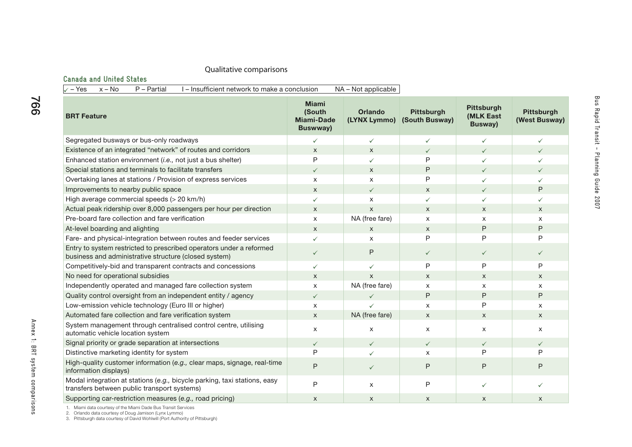#### **Canada and United States**

 $\sqrt{-1}$  Yes  $x - No$  P – Partial I – Insufficient network to make a conclusion NA – Not applicable

| <b>BRT Feature</b>                                                                                                           | <b>Miami</b><br>(South<br>Miami-Dade<br><b>Buswway)</b> | <b>Orlando</b><br>(LYNX Lymmo) | <b>Pittsburgh</b><br>(South Busway) | <b>Pittsburgh</b><br>(MLK East<br>Busway) | <b>Pittsburgh</b><br>(West Busway) |
|------------------------------------------------------------------------------------------------------------------------------|---------------------------------------------------------|--------------------------------|-------------------------------------|-------------------------------------------|------------------------------------|
| Segregated busways or bus-only roadways                                                                                      | $\checkmark$                                            | $\checkmark$                   | $\checkmark$                        | $\checkmark$                              | $\checkmark$                       |
| Existence of an integrated "network" of routes and corridors                                                                 | X                                                       | X                              | ✓                                   | $\checkmark$                              | $\checkmark$                       |
| Enhanced station environment (i.e., not just a bus shelter)                                                                  | P                                                       | ✓                              | P                                   | $\checkmark$                              | ✓                                  |
| Special stations and terminals to facilitate transfers                                                                       | $\checkmark$                                            | $\mathsf{x}$                   | P                                   | $\checkmark$                              | $\checkmark$                       |
| Overtaking lanes at stations / Provision of express services                                                                 | $\times$                                                | $\boldsymbol{\mathsf{x}}$      | P                                   | ✓                                         | $\checkmark$                       |
| Improvements to nearby public space                                                                                          | $\mathsf{x}$                                            | $\checkmark$                   | $\times$                            | $\checkmark$                              | P                                  |
| High average commercial speeds (> 20 km/h)                                                                                   | $\checkmark$                                            | $\boldsymbol{\mathsf{x}}$      | $\checkmark$                        | $\checkmark$                              | $\checkmark$                       |
| Actual peak ridership over 8,000 passengers per hour per direction                                                           | $\mathsf{x}$                                            | $\mathsf{x}$                   | $\times$                            | $\times$                                  | $\times$                           |
| Pre-board fare collection and fare verification                                                                              | $\mathsf{x}$                                            | NA (free fare)                 | X                                   | $\mathsf{x}$                              | $\times$                           |
| At-level boarding and alighting                                                                                              | $\mathsf{x}$                                            | $\mathsf{X}$                   | $\mathsf{x}$                        | $\mathsf{P}$                              | $\mathsf{P}$                       |
| Fare- and physical-integration between routes and feeder services                                                            | $\checkmark$                                            | X                              | P                                   | P                                         | P                                  |
| Entry to system restricted to prescribed operators under a reformed<br>business and administrative structure (closed system) | $\checkmark$                                            | P                              | $\checkmark$                        | $\checkmark$                              | $\checkmark$                       |
| Competitively-bid and transparent contracts and concessions                                                                  | ✓                                                       | $\checkmark$                   | P                                   | P                                         | P                                  |
| No need for operational subsidies                                                                                            | $\mathsf{x}$                                            | $\mathsf{x}$                   | $\mathsf{x}$                        | $\mathsf{x}$                              | $\times$                           |
| Independently operated and managed fare collection system                                                                    | $\mathsf{x}$                                            | NA (free fare)                 | X                                   | X                                         | X                                  |
| Quality control oversight from an independent entity / agency                                                                | $\checkmark$                                            | $\checkmark$                   | P                                   | P                                         | P                                  |
| Low-emission vehicle technology (Euro III or higher)                                                                         | $\mathsf{x}$                                            | $\checkmark$                   | X                                   | P                                         | $\boldsymbol{\mathsf{X}}$          |
| Automated fare collection and fare verification system                                                                       | $\mathsf{x}$                                            | NA (free fare)                 | $\times$                            | $\mathsf{x}$                              | $\mathsf{x}$                       |
| System management through centralised control centre, utilising<br>automatic vehicle location system                         | $\times$                                                | $\mathsf{x}$                   | X                                   | X                                         | $\times$                           |
| Signal priority or grade separation at intersections                                                                         | $\checkmark$                                            | $\checkmark$                   | $\checkmark$                        | $\checkmark$                              | $\checkmark$                       |
| Distinctive marketing identity for system                                                                                    | P                                                       | ✓                              | X                                   | P                                         | P                                  |
| High-quality customer information (e.g., clear maps, signage, real-time<br>information displays)                             | $\mathsf{P}$                                            | $\checkmark$                   | P                                   | $\mathsf{P}$                              | P                                  |
| Modal integration at stations (e.g., bicycle parking, taxi stations, easy<br>transfers between public transport systems)     | P                                                       | $\mathsf{x}$                   | P                                   | $\checkmark$                              | $\checkmark$                       |
| Supporting car-restriction measures (e.g., road pricing)                                                                     | $\mathsf{x}$                                            | $\boldsymbol{\mathsf{X}}$      | $\times$                            | $\times$                                  | $\mathsf{x}$                       |

1. Miami data courtesy of the Miami Dade Bus Transit Services<br>2. Orlando data courtesy of Doug Jamison (Lynx Lymmo)<br>3. Pittsburgh data courtesy of David Wohlwill (Port Authority of Pittsburgh)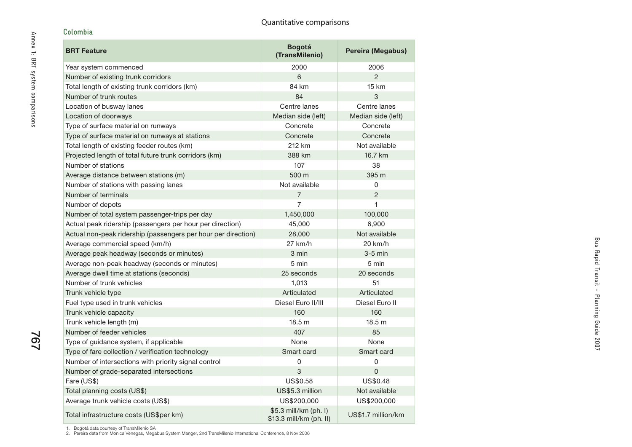# **Colombia**

| <b>BRT Feature</b>                                            | <b>Bogotá</b><br>(TransMilenio)                  | Pereira (Megabus)  |
|---------------------------------------------------------------|--------------------------------------------------|--------------------|
| Year system commenced                                         | 2000                                             | 2006               |
| Number of existing trunk corridors                            | 6                                                | $\mathfrak{p}$     |
| Total length of existing trunk corridors (km)                 | 84 km                                            | <b>15 km</b>       |
| Number of trunk routes                                        | 84                                               | 3                  |
| Location of busway lanes                                      | Centre lanes                                     | Centre lanes       |
| Location of doorways                                          | Median side (left)                               | Median side (left) |
| Type of surface material on runways                           | Concrete                                         | Concrete           |
| Type of surface material on runways at stations               | Concrete                                         | Concrete           |
| Total length of existing feeder routes (km)                   | 212 km                                           | Not available      |
| Projected length of total future trunk corridors (km)         | 388 km                                           | 16.7 km            |
| Number of stations                                            | 107                                              | 38                 |
| Average distance between stations (m)                         | 500 m                                            | 395 m              |
| Number of stations with passing lanes                         | Not available                                    | 0                  |
| Number of terminals                                           | $\overline{7}$                                   | $\overline{2}$     |
| Number of depots                                              | 7                                                | 1                  |
| Number of total system passenger-trips per day                | 1,450,000                                        | 100,000            |
| Actual peak ridership (passengers per hour per direction)     | 45,000                                           | 6,900              |
| Actual non-peak ridership (passengers per hour per direction) | 28,000                                           | Not available      |
| Average commercial speed (km/h)                               | $27$ km/h                                        | 20 km/h            |
| Average peak headway (seconds or minutes)                     | 3 min                                            | $3-5$ min          |
| Average non-peak headway (seconds or minutes)                 | 5 min                                            | 5 min              |
| Average dwell time at stations (seconds)                      | 25 seconds                                       | 20 seconds         |
| Number of trunk vehicles                                      | 1,013                                            | 51                 |
| Trunk vehicle type                                            | Articulated                                      | Articulated        |
| Fuel type used in trunk vehicles                              | Diesel Euro II/III                               | Diesel Euro II     |
| Trunk vehicle capacity                                        | 160                                              | 160                |
| Trunk vehicle length (m)                                      | 18.5 <sub>m</sub>                                | 18.5 <sub>m</sub>  |
| Number of feeder vehicles                                     | 407                                              | 85                 |
| Type of guidance system, if applicable                        | None                                             | None               |
| Type of fare collection / verification technology             | Smart card                                       | Smart card         |
| Number of intersections with priority signal control          | 0                                                | 0                  |
| Number of grade-separated intersections                       | 3                                                | $\mathbf 0$        |
| Fare (US\$)                                                   | US\$0.58                                         | US\$0.48           |
| Total planning costs (US\$)                                   | US\$5.3 million                                  | Not available      |
| Average trunk vehicle costs (US\$)                            | US\$200,000                                      | US\$200,000        |
| Total infrastructure costs (US\$per km)                       | \$5.3 mill/km (ph. l)<br>\$13.3 mill/km (ph. II) | US\$1.7 million/km |

1. Bogotá data courtesy of TransMilenio SA 2. Pereira data from Monica Venegas, Megabus System Manger, 2nd TransMilenio International Conference, 8 Nov 2006

767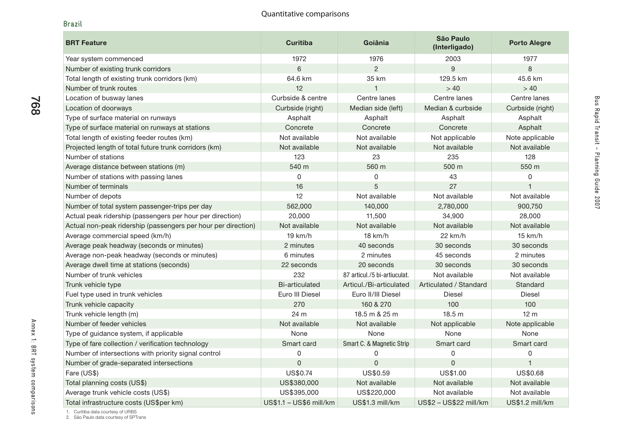#### **Brazil**

768

| <b>BRT Feature</b>                                            | <b>Curitiba</b>         | Goiânia                      | São Paulo<br>(Interligado) | <b>Porto Alegre</b> |
|---------------------------------------------------------------|-------------------------|------------------------------|----------------------------|---------------------|
| Year system commenced                                         | 1972                    | 1976                         | 2003                       | 1977                |
| Number of existing trunk corridors                            | 6                       | $\mathcal{P}$                | 9                          | 8                   |
| Total length of existing trunk corridors (km)                 | 64.6 km                 | 35 km                        | 129.5 km                   | 45.6 km             |
| Number of trunk routes                                        | 12                      | 1                            | > 40                       | > 40                |
| Location of busway lanes                                      | Curbside & centre       | Centre lanes                 | Centre lanes               | Centre lanes        |
| Location of doorways                                          | Curbside (right)        | Median side (left)           | Median & curbside          | Curbside (right)    |
| Type of surface material on runways                           | Asphalt                 | Asphalt                      | Asphalt                    | Asphalt             |
| Type of surface material on runways at stations               | Concrete                | Concrete                     | Concrete                   | Asphalt             |
| Total length of existing feeder routes (km)                   | Not available           | Not available                | Not applicable             | Note applicable     |
| Projected length of total future trunk corridors (km)         | Not available           | Not available                | Not available              | Not available       |
| Number of stations                                            | 123                     | 23                           | 235                        | 128                 |
| Average distance between stations (m)                         | 540 m                   | 560 m                        | 500 m                      | 550 m               |
| Number of stations with passing lanes                         | $\Omega$                | 0                            | 43                         | 0                   |
| Number of terminals                                           | 16                      | 5                            | 27                         | $\mathbf 1$         |
| Number of depots                                              | 12                      | Not available                | Not available              | Not available       |
| Number of total system passenger-trips per day                | 562,000                 | 140,000                      | 2,780,000                  | 900,750             |
| Actual peak ridership (passengers per hour per direction)     | 20,000                  | 11,500                       | 34,900                     | 28,000              |
| Actual non-peak ridership (passengers per hour per direction) | Not available           | Not available                | Not available              | Not available       |
| Average commercial speed (km/h)                               | 19 km/h                 | 18 km/h                      | $22$ km/h                  | 15 km/h             |
| Average peak headway (seconds or minutes)                     | 2 minutes               | 40 seconds                   | 30 seconds                 | 30 seconds          |
| Average non-peak headway (seconds or minutes)                 | 6 minutes               | 2 minutes                    | 45 seconds                 | 2 minutes           |
| Average dwell time at stations (seconds)                      | 22 seconds              | 20 seconds                   | 30 seconds                 | 30 seconds          |
| Number of trunk vehicles                                      | 232                     | 87 articul./5 bi-artiuculat. | Not available              | Not available       |
| Trunk vehicle type                                            | <b>Bi-articulated</b>   | Articul./Bi-articulated      | Articulated / Standard     | Standard            |
| Fuel type used in trunk vehicles                              | Euro III Diesel         | Euro II/III Diesel           | <b>Diesel</b>              | <b>Diesel</b>       |
| Trunk vehicle capacity                                        | 270                     | 160 & 270                    | 100                        | 100                 |
| Trunk vehicle length (m)                                      | 24 m                    | 18.5 m & 25 m                | 18.5 m                     | 12 <sub>m</sub>     |
| Number of feeder vehicles                                     | Not available           | Not available                | Not applicable             | Note applicable     |
| Type of guidance system, if applicable                        | None                    | None                         | None                       | None                |
| Type of fare collection / verification technology             | Smart card              | Smart C. & Magnetic Strip    | Smart card                 | Smart card          |
| Number of intersections with priority signal control          | 0                       | 0                            | 0                          | 0                   |
| Number of grade-separated intersections                       | $\mathbf{0}$            | $\pmb{0}$                    | $\mathsf 0$                | $\mathbf{1}$        |
| Fare (US\$)                                                   | US\$0.74                | US\$0.59                     | US\$1.00                   | US\$0.68            |
| Total planning costs (US\$)                                   | US\$380,000             | Not available                | Not available              | Not available       |
| Average trunk vehicle costs (US\$)                            | US\$395,000             | US\$220,000                  | Not available              | Not available       |
| Total infrastructure costs (US\$per km)                       | US\$1.1 - US\$6 mill/km | US\$1.3 mill/km              | US\$2 - US\$22 mill/km     | US\$1.2 mill/km     |

1. Curitiba data courtesy of URBS 2. São Paulo data courtesy of SPTrans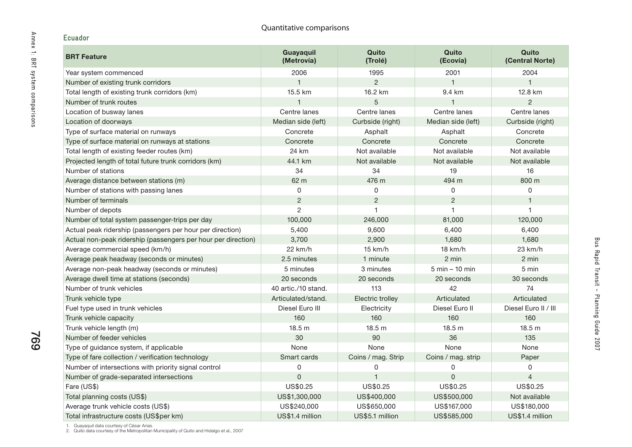| <b>BRT Feature</b>                                            | Guayaquil<br>(Metrovía) | Quito<br>(Trolé)   | Quito<br>(Ecovía)  | Quito<br>(Central Norte) |
|---------------------------------------------------------------|-------------------------|--------------------|--------------------|--------------------------|
| Year system commenced                                         | 2006                    | 1995               | 2001               | 2004                     |
| Number of existing trunk corridors                            | $\overline{1}$          | $\overline{2}$     |                    | $\mathbf{1}$             |
| Total length of existing trunk corridors (km)                 | 15.5 km                 | 16.2 km            | 9.4 km             | 12.8 km                  |
| Number of trunk routes                                        | $\overline{1}$          | 5                  |                    | $\overline{2}$           |
| Location of busway lanes                                      | Centre lanes            | Centre lanes       | Centre lanes       | Centre lanes             |
| Location of doorways                                          | Median side (left)      | Curbside (right)   | Median side (left) | Curbside (right)         |
| Type of surface material on runways                           | Concrete                | Asphalt            | Asphalt            | Concrete                 |
| Type of surface material on runways at stations               | Concrete                | Concrete           | Concrete           | Concrete                 |
| Total length of existing feeder routes (km)                   | 24 km                   | Not available      | Not available      | Not available            |
| Projected length of total future trunk corridors (km)         | 44.1 km                 | Not available      | Not available      | Not available            |
| Number of stations                                            | 34                      | 34                 | 19                 | 16                       |
| Average distance between stations (m)                         | 62 m                    | 476 m              | 494 m              | 800 m                    |
| Number of stations with passing lanes                         | $\mathbf 0$             | 0                  | 0                  | 0                        |
| Number of terminals                                           | $\overline{c}$          | $\overline{c}$     | $\mathbf{2}$       | $\mathbf{1}$             |
| Number of depots                                              | $\overline{2}$          |                    |                    | $\mathbf{1}$             |
| Number of total system passenger-trips per day                | 100,000                 | 246,000            | 81,000             | 120,000                  |
| Actual peak ridership (passengers per hour per direction)     | 5,400                   | 9,600              | 6,400              | 6,400                    |
| Actual non-peak ridership (passengers per hour per direction) | 3,700                   | 2,900              | 1,680              | 1,680                    |
| Average commercial speed (km/h)                               | 22 km/h                 | 15 km/h            | 18 km/h            | 23 km/h                  |
| Average peak headway (seconds or minutes)                     | 2.5 minutes             | 1 minute           | 2 min              | 2 min                    |
| Average non-peak headway (seconds or minutes)                 | 5 minutes               | 3 minutes          | $5$ min $-10$ min  | 5 min                    |
| Average dwell time at stations (seconds)                      | 20 seconds              | 20 seconds         | 20 seconds         | 30 seconds               |
| Number of trunk vehicles                                      | 40 artic./10 stand.     | 113                | 42                 | 74                       |
| Trunk vehicle type                                            | Articulated/stand.      | Electric trolley   | Articulated        | Articulated              |
| Fuel type used in trunk vehicles                              | Diesel Euro III         | Electricity        | Diesel Euro II     | Diesel Euro II / III     |
| Trunk vehicle capacity                                        | 160                     | 160                | 160                | 160                      |
| Trunk vehicle length (m)                                      | 18.5 m                  | 18.5 m             | 18.5 m             | 18.5 m                   |
| Number of feeder vehicles                                     | 30                      | 90                 | 36                 | 135                      |
| Type of guidance system, if applicable                        | None                    | None               | None               | None                     |
| Type of fare collection / verification technology             | Smart cards             | Coins / mag. Strip | Coins / mag. strip | Paper                    |
| Number of intersections with priority signal control          | 0                       | 0                  | 0                  | 0                        |
| Number of grade-separated intersections                       | $\mathsf 0$             |                    | $\Omega$           | $\overline{4}$           |
| Fare (US\$)                                                   | US\$0.25                | US\$0.25           | US\$0.25           | US\$0.25                 |
| Total planning costs (US\$)                                   | US\$1,300,000           | US\$400,000        | US\$500,000        | Not available            |
| Average trunk vehicle costs (US\$)                            | US\$240,000             | US\$650,000        | US\$167,000        | US\$180,000              |
| Total infrastructure costs (US\$per km)                       | US\$1.4 million         | US\$5.1 million    | US\$585,000        | US\$1.4 million          |

Bus Rapid Transit - Planning Guide 2007

Bus Rapid Transit - Planning Guide 2007

1. Guayaquil data courtesy of César Arias. 2. Quito data courtesy of the Metropolitan Municipality of Quito and Hidalgo et al., 2007

769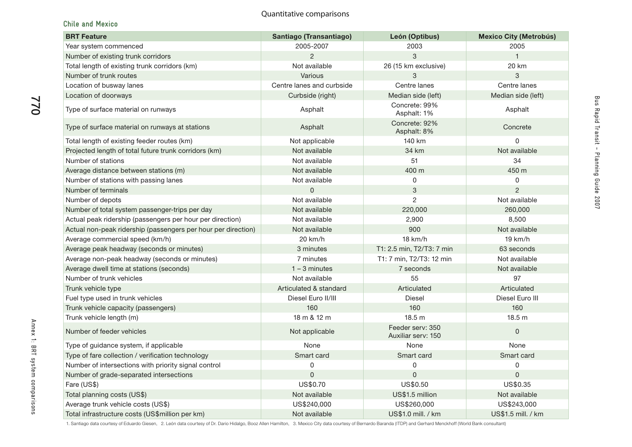### **Chile and Mexico**

770

| <b>BRT Feature</b>                                            | Santiago (Transantiago)   | León (Optibus)                         | <b>Mexico City (Metrobús)</b> |
|---------------------------------------------------------------|---------------------------|----------------------------------------|-------------------------------|
| Year system commenced                                         | 2005-2007                 | 2003                                   | 2005                          |
| Number of existing trunk corridors                            | $\overline{2}$            | 3                                      | $\mathbf{1}$                  |
| Total length of existing trunk corridors (km)                 | Not available             | 26 (15 km exclusive)                   | 20 km                         |
| Number of trunk routes                                        | Various                   | 3                                      | $\sqrt{3}$                    |
| Location of busway lanes                                      | Centre lanes and curbside | Centre lanes                           | Centre lanes                  |
| Location of doorways                                          | Curbside (right)          | Median side (left)                     | Median side (left)            |
| Type of surface material on runways                           | Asphalt                   | Concrete: 99%<br>Asphalt: 1%           | Asphalt                       |
| Type of surface material on runways at stations               | Asphalt                   | Concrete: 92%<br>Asphalt: 8%           | Concrete                      |
| Total length of existing feeder routes (km)                   | Not applicable            | 140 km                                 | 0                             |
| Projected length of total future trunk corridors (km)         | Not available             | 34 km                                  | Not available                 |
| Number of stations                                            | Not available             | 51                                     | 34                            |
| Average distance between stations (m)                         | Not available             | 400 m                                  | 450 m                         |
| Number of stations with passing lanes                         | Not available             | 0                                      | 0                             |
| Number of terminals                                           | $\Omega$                  | 3                                      | $\overline{2}$                |
| Number of depots                                              | Not available             | $\overline{2}$                         | Not available                 |
| Number of total system passenger-trips per day                | Not available             | 220,000                                | 260,000                       |
| Actual peak ridership (passengers per hour per direction)     | Not available             | 2,900                                  | 8,500                         |
| Actual non-peak ridership (passengers per hour per direction) | Not available             | 900                                    | Not available                 |
| Average commercial speed (km/h)                               | 20 km/h                   | 18 km/h                                | 19 km/h                       |
| Average peak headway (seconds or minutes)                     | 3 minutes                 | T1: 2.5 min, T2/T3: 7 min              | 63 seconds                    |
| Average non-peak headway (seconds or minutes)                 | 7 minutes                 | T1: 7 min, T2/T3: 12 min               | Not available                 |
| Average dwell time at stations (seconds)                      | $1 - 3$ minutes           | 7 seconds                              | Not available                 |
| Number of trunk vehicles                                      | Not available             | 55                                     | 97                            |
| Trunk vehicle type                                            | Articulated & standard    | Articulated                            | Articulated                   |
| Fuel type used in trunk vehicles                              | Diesel Euro II/III        | <b>Diesel</b>                          | Diesel Euro III               |
| Trunk vehicle capacity (passengers)                           | 160                       | 160                                    | 160                           |
| Trunk vehicle length (m)                                      | 18 m & 12 m               | 18.5 <sub>m</sub>                      | 18.5 <sub>m</sub>             |
| Number of feeder vehicles                                     | Not applicable            | Feeder serv: 350<br>Auxiliar serv: 150 | $\mathsf{O}\xspace$           |
| Type of guidance system, if applicable                        | None                      | None                                   | None                          |
| Type of fare collection / verification technology             | Smart card                | Smart card                             | Smart card                    |
| Number of intersections with priority signal control          | 0                         | 0                                      | 0                             |
| Number of grade-separated intersections                       | $\mathbf 0$               | 0                                      | $\mathsf{O}\xspace$           |
| Fare (US\$)                                                   | US\$0.70                  | US\$0.50                               | US\$0.35                      |
| Total planning costs (US\$)                                   | Not available             | US\$1.5 million                        | Not available                 |
| Average trunk vehicle costs (US\$)                            | US\$240,000               | US\$260,000                            | US\$243,000                   |
| Total infrastructure costs (US\$million per km)               | Not available             | US\$1.0 mill. / km                     | US\$1.5 mill. / km            |

Annex 1: BRT system comparisons

Annex 1: BRT system comparisons

1. Santiago data courtesy of Eduardo Giesen, 2. León data courtesy of Dr. Dario Hidalgo, Booz Allen Hamilton, 3. Mexico City data courtesy of Bernardo Baranda (ITDP) and Gerhard Menckhoff (World Bank consultant)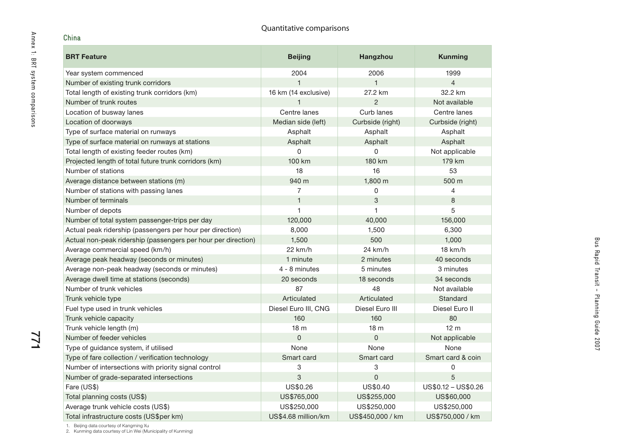| China                                                         | Quantitative comparisons |                  |                     |
|---------------------------------------------------------------|--------------------------|------------------|---------------------|
| <b>BRT Feature</b>                                            | <b>Beijing</b>           | Hangzhou         | <b>Kunming</b>      |
| Year system commenced                                         | 2004                     | 2006             | 1999                |
| Number of existing trunk corridors                            | $\mathbf{1}$             | $\mathbf{1}$     | $\overline{4}$      |
| Total length of existing trunk corridors (km)                 | 16 km (14 exclusive)     | 27.2 km          | 32.2 km             |
| Number of trunk routes                                        |                          | $\overline{2}$   | Not available       |
| Location of busway lanes                                      | Centre lanes             | Curb lanes       | Centre lanes        |
| Location of doorways                                          | Median side (left)       | Curbside (right) | Curbside (right)    |
| Type of surface material on runways                           | Asphalt                  | Asphalt          | Asphalt             |
| Type of surface material on runways at stations               | Asphalt                  | Asphalt          | Asphalt             |
| Total length of existing feeder routes (km)                   | 0                        | 0                | Not applicable      |
| Projected length of total future trunk corridors (km)         | 100 km                   | 180 km           | 179 km              |
| Number of stations                                            | 18                       | 16               | 53                  |
| Average distance between stations (m)                         | 940 m                    | 1,800 m          | 500 m               |
| Number of stations with passing lanes                         | 7                        | 0                | 4                   |
| Number of terminals                                           | $\mathbf{1}$             | 3                | 8                   |
| Number of depots                                              | 1                        | 1                | 5                   |
| Number of total system passenger-trips per day                | 120,000                  | 40,000           | 156,000             |
| Actual peak ridership (passengers per hour per direction)     | 8,000                    | 1,500            | 6,300               |
| Actual non-peak ridership (passengers per hour per direction) | 1,500                    | 500              | 1,000               |
| Average commercial speed (km/h)                               | 22 km/h                  | 24 km/h          | 18 km/h             |
| Average peak headway (seconds or minutes)                     | 1 minute                 | 2 minutes        | 40 seconds          |
| Average non-peak headway (seconds or minutes)                 | 4 - 8 minutes            | 5 minutes        | 3 minutes           |
| Average dwell time at stations (seconds)                      | 20 seconds               | 18 seconds       | 34 seconds          |
| Number of trunk vehicles                                      | 87                       | 48               | Not available       |
| Trunk vehicle type                                            | Articulated              | Articulated      | Standard            |
| Fuel type used in trunk vehicles                              | Diesel Euro III, CNG     | Diesel Euro III  | Diesel Euro II      |
| Trunk vehicle capacity                                        | 160                      | 160              | 80                  |
| Trunk vehicle length (m)                                      | 18 <sub>m</sub>          | 18 <sub>m</sub>  | 12 <sub>m</sub>     |
| Number of feeder vehicles                                     | $\overline{0}$           | $\overline{0}$   | Not applicable      |
| Type of guidance system, if utilised                          | None                     | None             | None                |
| Type of fare collection / verification technology             | Smart card               | Smart card       | Smart card & coin   |
| Number of intersections with priority signal control          | 3                        | 3                | 0                   |
| Number of grade-separated intersections                       | 3                        | 0                | 5                   |
| Fare (US\$)                                                   | US\$0.26                 | US\$0.40         | US\$0.12 - US\$0.26 |
| Total planning costs (US\$)                                   | US\$765,000              | US\$255,000      | US\$60,000          |
| Average trunk vehicle costs (US\$)                            | US\$250,000              | US\$250,000      | US\$250,000         |
| Total infrastructure costs (US\$per km)                       | US\$4.68 million/km      | US\$450,000 / km | US\$750,000 / km    |

1. Beijing data courtesy of Kangming Xu 2. Kunming data courtesy of Lin Wei (Municipality of Kunming)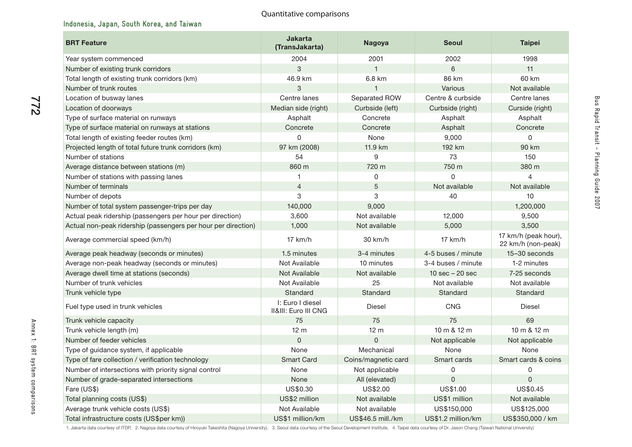# **Indonesia, Japan, South Korea, and Taiwan**

| <b>BRT Feature</b>                                            | <b>Jakarta</b><br>(TransJakarta)         | Nagoya              | <b>Seoul</b>                      | <b>Taipei</b>                              |
|---------------------------------------------------------------|------------------------------------------|---------------------|-----------------------------------|--------------------------------------------|
| Year system commenced                                         | 2004                                     | 2001                | 2002                              | 1998                                       |
| Number of existing trunk corridors                            | 3                                        | $\mathbf{1}$        | 6                                 | 11                                         |
| Total length of existing trunk corridors (km)                 | 46.9 km                                  | 6.8 km              | 86 km                             | 60 km                                      |
| Number of trunk routes                                        | 3                                        | $\mathbf{1}$        | Various                           | Not available                              |
| Location of busway lanes                                      | Centre lanes                             | Separated ROW       | Centre & curbside                 | Centre lanes                               |
| Location of doorways                                          | Median side (right)                      | Curbside (left)     | Curbside (right)                  | Curside (right)                            |
| Type of surface material on runways                           | Asphalt                                  | Concrete            | Asphalt                           | Asphalt                                    |
| Type of surface material on runways at stations               | Concrete                                 | Concrete            | Asphalt                           | Concrete                                   |
| Total length of existing feeder routes (km)                   | $\mathbf 0$                              | None                | 9,000                             | 0                                          |
| Projected length of total future trunk corridors (km)         | 97 km (2008)                             | 11.9 km             | 192 km                            | 90 km                                      |
| Number of stations                                            | 54                                       | 9                   | 73                                | 150                                        |
| Average distance between stations (m)                         | 860 m                                    | 720 m               | 750 m                             | 380 m                                      |
| Number of stations with passing lanes                         |                                          | 0                   | $\Omega$                          | $\Delta$                                   |
| Number of terminals                                           | $\overline{4}$                           | 5                   | Not available                     | Not available                              |
| Number of depots                                              | 3                                        | 3                   | 40                                | 10                                         |
| Number of total system passenger-trips per day                | 140,000                                  | 9,000               |                                   | 1,200,000                                  |
| Actual peak ridership (passengers per hour per direction)     | 3,600                                    | Not available       | 12,000                            | 9,500                                      |
| Actual non-peak ridership (passengers per hour per direction) | 1,000                                    | Not available       | 5,000                             | 3,500                                      |
| Average commercial speed (km/h)                               | $17$ km/h                                | 30 km/h             | $17$ km/h                         | 17 km/h (peak hour),<br>22 km/h (non-peak) |
| Average peak headway (seconds or minutes)                     | 1.5 minutes                              | 3-4 minutes         | 4-5 buses / minute                | 15-30 seconds                              |
| Average non-peak headway (seconds or minutes)                 | Not Available                            | 10 minutes          | 3-4 buses / minute                | 1-2 minutes                                |
| Average dwell time at stations (seconds)                      | Not Available                            | Not available       | $10 \text{ sec} - 20 \text{ sec}$ | 7-25 seconds                               |
| Number of trunk vehicles                                      | Not Available                            | 25                  | Not available                     | Not available                              |
| Trunk vehicle type                                            | Standard                                 | Standard            | Standard                          | Standard                                   |
| Fuel type used in trunk vehicles                              | I: Euro I diesel<br>II&III: Euro III CNG | <b>Diesel</b>       | <b>CNG</b>                        | <b>Diesel</b>                              |
| Trunk vehicle capacity                                        | 75                                       | 75                  | 75                                | 69                                         |
| Trunk vehicle length (m)                                      | 12 <sub>m</sub>                          | 12 <sub>m</sub>     | 10 m & 12 m                       | 10 m & 12 m                                |
| Number of feeder vehicles                                     | $\overline{0}$                           | 0                   | Not applicable                    | Not applicable                             |
| Type of guidance system, if applicable                        | None                                     | Mechanical          | None                              | None                                       |
| Type of fare collection / verification technology             | <b>Smart Card</b>                        | Coins/magnetic card | Smart cards                       | Smart cards & coins                        |
| Number of intersections with priority signal control          | None                                     | Not applicable      | 0                                 | $\Omega$                                   |
| Number of grade-separated intersections                       | None                                     | All (elevated)      | $\mathbf 0$                       | $\Omega$                                   |
| Fare (US\$)                                                   | US\$0.30                                 | US\$2.00            | US\$1.00                          | US\$0.45                                   |
| Total planning costs (US\$)                                   | US\$2 million                            | Not available       | US\$1 million                     | Not available                              |
| Average trunk vehicle costs (US\$)                            | Not Available                            | Not available       | US\$150,000                       | US\$125,000                                |
| Total infrastructure costs (US\$per km))                      | US\$1 million/km                         | US\$46.5 mill./km   | US\$1.2 million/km                | US\$350,000 / km                           |

772

1. Jakarta data courtesy of ITDP, 2. Nagoya data courtesy of Hiroyuki Takeshita (Nagoya University), 3. Seoul data courtesy of the Seoul Development Institute, 4. Taipei data courtesy of Dr. Jason Chang (Taiwan National Un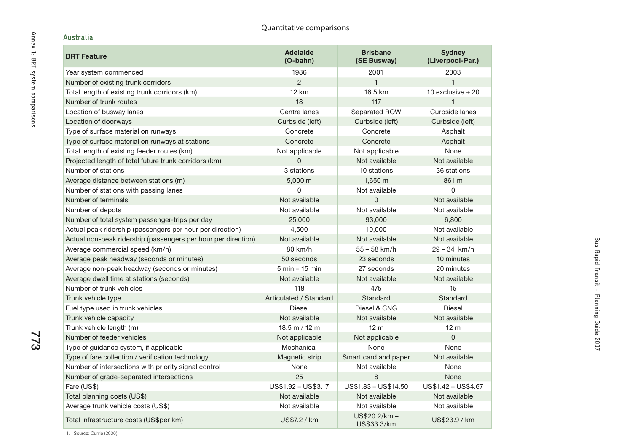# **Australia**

773

| <b>BRT Feature</b>                                            | <b>Adelaide</b><br>$(O$ -bahn $)$ | <b>Brisbane</b><br>(SE Busway) | <b>Sydney</b><br>(Liverpool-Par.) |
|---------------------------------------------------------------|-----------------------------------|--------------------------------|-----------------------------------|
| Year system commenced                                         | 1986                              | 2001                           | 2003                              |
| Number of existing trunk corridors                            | $\overline{2}$                    | $\mathbf{1}$                   | $\mathbf{1}$                      |
| Total length of existing trunk corridors (km)                 | <b>12 km</b>                      | 16.5 km                        | 10 exclusive $+20$                |
| Number of trunk routes                                        | 18                                | 117                            | 1                                 |
| Location of busway lanes                                      | Centre lanes                      | Separated ROW                  | Curbside lanes                    |
| Location of doorways                                          | Curbside (left)                   | Curbside (left)                | Curbside (left)                   |
| Type of surface material on runways                           | Concrete                          | Concrete                       | Asphalt                           |
| Type of surface material on runways at stations               | Concrete                          | Concrete                       | Asphalt                           |
| Total length of existing feeder routes (km)                   | Not applicable                    | Not applicable                 | None                              |
| Projected length of total future trunk corridors (km)         | 0                                 | Not available                  | Not available                     |
| Number of stations                                            | 3 stations                        | 10 stations                    | 36 stations                       |
| Average distance between stations (m)                         | 5,000 m                           | $1,650 \; m$                   | 861 m                             |
| Number of stations with passing lanes                         | 0                                 | Not available                  | 0                                 |
| Number of terminals                                           | Not available                     | $\mathbf{0}$                   | Not available                     |
| Number of depots                                              | Not available                     | Not available                  | Not available                     |
| Number of total system passenger-trips per day                | 25,000                            | 93,000                         | 6,800                             |
| Actual peak ridership (passengers per hour per direction)     | 4,500                             | 10,000                         | Not available                     |
| Actual non-peak ridership (passengers per hour per direction) | Not available                     | Not available                  | Not available                     |
| Average commercial speed (km/h)                               | 80 km/h                           | $55 - 58$ km/h                 | $29 - 34$ km/h                    |
| Average peak headway (seconds or minutes)                     | 50 seconds                        | 23 seconds                     | 10 minutes                        |
| Average non-peak headway (seconds or minutes)                 | $5 \text{ min} - 15 \text{ min}$  | 27 seconds                     | 20 minutes                        |
| Average dwell time at stations (seconds)                      | Not available                     | Not available                  | Not available                     |
| Number of trunk vehicles                                      | 118                               | 475                            | 15                                |
| Trunk vehicle type                                            | Articulated / Standard            | Standard                       | Standard                          |
| Fuel type used in trunk vehicles                              | <b>Diesel</b>                     | Diesel & CNG                   | <b>Diesel</b>                     |
| Trunk vehicle capacity                                        | Not available                     | Not available                  | Not available                     |
| Trunk vehicle length (m)                                      | $18.5 \text{ m} / 12 \text{ m}$   | 12 <sub>m</sub>                | 12 <sub>m</sub>                   |
| Number of feeder vehicles                                     | Not applicable                    | Not applicable                 | 0                                 |
| Type of guidance system, if applicable                        | Mechanical                        | None                           | None                              |
| Type of fare collection / verification technology             | Magnetic strip                    | Smart card and paper           | Not available                     |
| Number of intersections with priority signal control          | None                              | Not available                  | None                              |
| Number of grade-separated intersections                       | 25                                | 8                              | None                              |
| Fare (US\$)                                                   | US\$1.92 - US\$3.17               | US\$1.83 - US\$14.50           | US\$1.42 - US\$4.67               |
| Total planning costs (US\$)                                   | Not available                     | Not available                  | Not available                     |
| Average trunk vehicle costs (US\$)                            | Not available                     | Not available                  | Not available                     |
| Total infrastructure costs (US\$per km)                       | US\$7.2 / km                      | $US$20.2/km -$<br>US\$33.3/km  | US\$23.9 / km                     |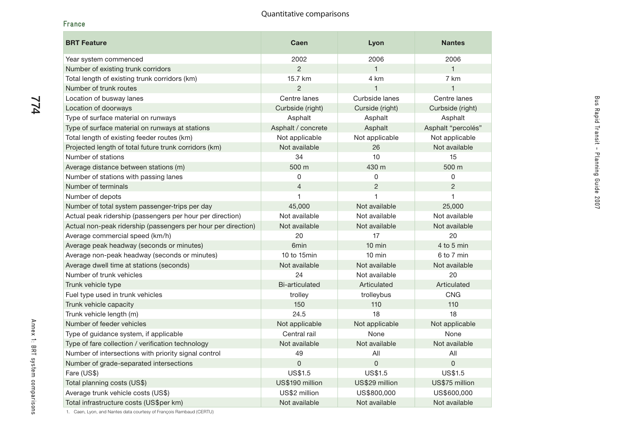#### **France**

774

| <b>BRT Feature</b>                                            | Caen                  | Lyon             | <b>Nantes</b>      |
|---------------------------------------------------------------|-----------------------|------------------|--------------------|
| Year system commenced                                         | 2002                  | 2006             | 2006               |
| Number of existing trunk corridors                            | $\overline{2}$        | $\mathbf{1}$     | $\mathbf{1}$       |
| Total length of existing trunk corridors (km)                 | 15.7 km               | 4 km             | 7 km               |
| Number of trunk routes                                        | $\overline{2}$        | $\mathbf{1}$     | $\mathbf{1}$       |
| Location of busway lanes                                      | Centre lanes          | Curbside lanes   | Centre lanes       |
| Location of doorways                                          | Curbside (right)      | Curside (right)  | Curbside (right)   |
| Type of surface material on runways                           | Asphalt               | Asphalt          | Asphalt            |
| Type of surface material on runways at stations               | Asphalt / concrete    | Asphalt          | Asphalt "percolés" |
| Total length of existing feeder routes (km)                   | Not applicable        | Not applicable   | Not applicable     |
| Projected length of total future trunk corridors (km)         | Not available         | 26               | Not available      |
| Number of stations                                            | 34                    | 10               | 15                 |
| Average distance between stations (m)                         | 500 m                 | 430 m            | 500 m              |
| Number of stations with passing lanes                         | 0                     | 0                | 0                  |
| Number of terminals                                           | $\overline{4}$        | $\overline{c}$   | $\overline{2}$     |
| Number of depots                                              | $\mathbf 1$           | 1                | $\mathbf{1}$       |
| Number of total system passenger-trips per day                | 45,000                | Not available    | 25,000             |
| Actual peak ridership (passengers per hour per direction)     | Not available         | Not available    | Not available      |
| Actual non-peak ridership (passengers per hour per direction) | Not available         | Not available    | Not available      |
| Average commercial speed (km/h)                               | 20                    | 17               | 20                 |
| Average peak headway (seconds or minutes)                     | 6 <sub>min</sub>      | 10 min           | 4 to 5 min         |
| Average non-peak headway (seconds or minutes)                 | 10 to 15min           | $10 \text{ min}$ | 6 to 7 min         |
| Average dwell time at stations (seconds)                      | Not available         | Not available    | Not available      |
| Number of trunk vehicles                                      | 24                    | Not available    | 20                 |
| Trunk vehicle type                                            | <b>Bi-articulated</b> | Articulated      | Articulated        |
| Fuel type used in trunk vehicles                              | trolley               | trolleybus       | <b>CNG</b>         |
| Trunk vehicle capacity                                        | 150                   | 110              | 110                |
| Trunk vehicle length (m)                                      | 24.5                  | 18               | 18                 |
| Number of feeder vehicles                                     | Not applicable        | Not applicable   | Not applicable     |
| Type of guidance system, if applicable                        | Central rail          | None             | None               |
| Type of fare collection / verification technology             | Not available         | Not available    | Not available      |
| Number of intersections with priority signal control          | 49                    | All              | All                |
| Number of grade-separated intersections                       | $\mathbf 0$           | $\mathbf 0$      | $\mathbf 0$        |
| Fare (US\$)                                                   | US\$1.5               | US\$1.5          | <b>US\$1.5</b>     |
| Total planning costs (US\$)                                   | US\$190 million       | US\$29 million   | US\$75 million     |
| Average trunk vehicle costs (US\$)                            | US\$2 million         | US\$800,000      | US\$600,000        |
| Total infrastructure costs (US\$per km)                       | Not available         | Not available    | Not available      |

Bus Rapid Transit - Planning Guide 2007

Bus Rapid Transit - Planning Guide 2007

1. Caen, Lyon, and Nantes data courtesy of François Rambaud (CERTU)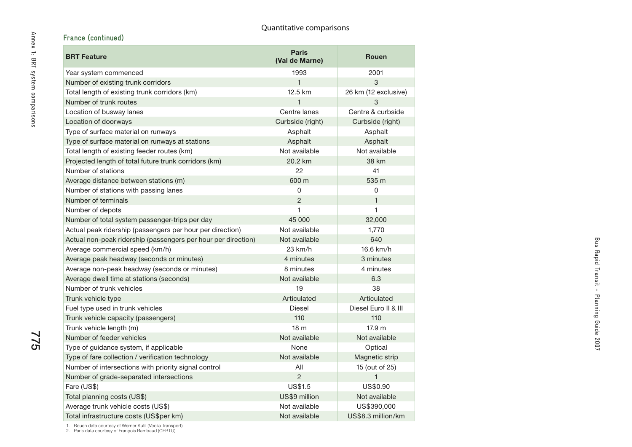| France (continued)                                            | Quantitative comparisons       |                      |
|---------------------------------------------------------------|--------------------------------|----------------------|
| <b>BRT Feature</b>                                            | <b>Paris</b><br>(Val de Marne) | <b>Rouen</b>         |
| Year system commenced                                         | 1993                           | 2001                 |
| Number of existing trunk corridors                            | $\mathbf{1}$                   | 3                    |
| Total length of existing trunk corridors (km)                 | 12.5 km                        | 26 km (12 exclusive) |
| Number of trunk routes                                        | 1                              | 3                    |
| Location of busway lanes                                      | Centre lanes                   | Centre & curbside    |
| Location of doorways                                          | Curbside (right)               | Curbside (right)     |
| Type of surface material on runways                           | Asphalt                        | Asphalt              |
| Type of surface material on runways at stations               | Asphalt                        | Asphalt              |
| Total length of existing feeder routes (km)                   | Not available                  | Not available        |
| Projected length of total future trunk corridors (km)         | 20.2 km                        | 38 km                |
| Number of stations                                            | 22                             | 41                   |
| Average distance between stations (m)                         | 600 m                          | 535 m                |
| Number of stations with passing lanes                         | 0                              | 0                    |
| Number of terminals                                           | $\overline{c}$                 | $\mathbf{1}$         |
| Number of depots                                              | 1                              | $\mathbf{1}$         |
| Number of total system passenger-trips per day                | 45 000                         | 32,000               |
| Actual peak ridership (passengers per hour per direction)     | Not available                  | 1,770                |
| Actual non-peak ridership (passengers per hour per direction) | Not available                  | 640                  |
| Average commercial speed (km/h)                               | 23 km/h                        | 16.6 km/h            |
| Average peak headway (seconds or minutes)                     | 4 minutes                      | 3 minutes            |
| Average non-peak headway (seconds or minutes)                 | 8 minutes                      | 4 minutes            |
| Average dwell time at stations (seconds)                      | Not available                  | 6.3                  |
| Number of trunk vehicles                                      | 19                             | 38                   |
| Trunk vehicle type                                            | Articulated                    | Articulated          |
| Fuel type used in trunk vehicles                              | Diesel                         | Diesel Euro II & III |
| Trunk vehicle capacity (passengers)                           | 110                            | 110                  |
| Trunk vehicle length (m)                                      | 18 <sub>m</sub>                | 17.9 m               |
| Number of feeder vehicles                                     | Not available                  | Not available        |
| Type of guidance system, if applicable                        | None                           | Optical              |
| Type of fare collection / verification technology             | Not available                  | Magnetic strip       |
| Number of intersections with priority signal control          | All                            | 15 (out of 25)       |
| Number of grade-separated intersections                       | $\overline{2}$                 | $\overline{1}$       |
| Fare (US\$)                                                   | <b>US\$1.5</b>                 | US\$0.90             |
| Total planning costs (US\$)                                   | US\$9 million                  | Not available        |
| Average trunk vehicle costs (US\$)                            | Not available                  | US\$390,000          |
| Total infrastructure costs (US\$per km)                       | Not available                  | US\$8.3 million/km   |

775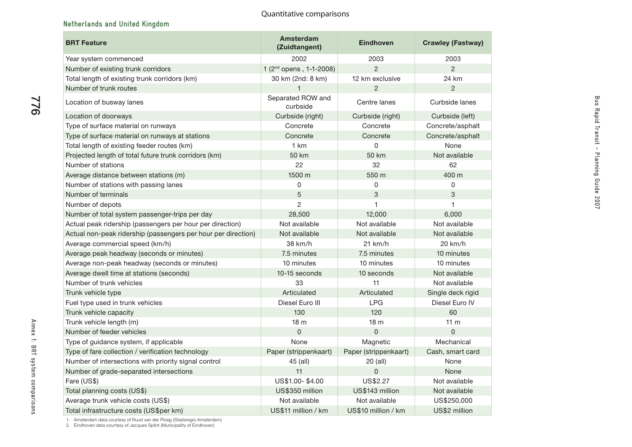Bus Rapid Transit - Planning Guide 2007

Bus Rapid Transit - Planning Guide 2007

# **Netherlands and United Kingdom**

| <b>BRT Feature</b>                                            | Amsterdam<br>(Zuidtangent)    | <b>Eindhoven</b>      | <b>Crawley (Fastway)</b> |
|---------------------------------------------------------------|-------------------------------|-----------------------|--------------------------|
| Year system commenced                                         | 2002                          | 2003                  | 2003                     |
| Number of existing trunk corridors                            | $1(2nd$ opens, 1-1-2008)      | $\overline{2}$        | $\overline{2}$           |
| Total length of existing trunk corridors (km)                 | 30 km (2nd: 8 km)             | 12 km exclusive       | 24 km                    |
| Number of trunk routes                                        |                               | $\mathfrak{p}$        | $\mathcal{P}$            |
| Location of busway lanes                                      | Separated ROW and<br>curbside | Centre lanes          | Curbside lanes           |
| Location of doorways                                          | Curbside (right)              | Curbside (right)      | Curbside (left)          |
| Type of surface material on runways                           | Concrete                      | Concrete              | Concrete/asphalt         |
| Type of surface material on runways at stations               | Concrete                      | Concrete              | Concrete/asphalt         |
| Total length of existing feeder routes (km)                   | 1 km                          | 0                     | None                     |
| Projected length of total future trunk corridors (km)         | 50 km                         | 50 km                 | Not available            |
| Number of stations                                            | 22                            | 32                    | 62                       |
| Average distance between stations (m)                         | 1500 m                        | 550 m                 | 400 m                    |
| Number of stations with passing lanes                         | 0                             | 0                     | 0                        |
| Number of terminals                                           | 5                             | 3                     | 3                        |
| Number of depots                                              | $\overline{2}$                | 1                     | 1                        |
| Number of total system passenger-trips per day                | 28,500                        | 12,000                | 6,000                    |
| Actual peak ridership (passengers per hour per direction)     | Not available                 | Not available         | Not available            |
| Actual non-peak ridership (passengers per hour per direction) | Not available                 | Not available         | Not available            |
| Average commercial speed (km/h)                               | 38 km/h                       | $21$ km/h             | $20$ km/h                |
| Average peak headway (seconds or minutes)                     | 7.5 minutes                   | 7.5 minutes           | 10 minutes               |
| Average non-peak headway (seconds or minutes)                 | 10 minutes                    | 10 minutes            | 10 minutes               |
| Average dwell time at stations (seconds)                      | 10-15 seconds                 | 10 seconds            | Not available            |
| Number of trunk vehicles                                      | 33                            | 11                    | Not available            |
| Trunk vehicle type                                            | Articulated                   | Articulated           | Single deck rigid        |
| Fuel type used in trunk vehicles                              | Diesel Euro III               | <b>LPG</b>            | Diesel Euro IV           |
| Trunk vehicle capacity                                        | 130                           | 120                   | 60                       |
| Trunk vehicle length (m)                                      | 18 <sub>m</sub>               | 18 m                  | 11 <sub>m</sub>          |
| Number of feeder vehicles                                     | $\overline{0}$                | $\overline{0}$        | $\Omega$                 |
| Type of guidance system, if applicable                        | None                          | Magnetic              | Mechanical               |
| Type of fare collection / verification technology             | Paper (strippenkaart)         | Paper (strippenkaart) | Cash, smart card         |
| Number of intersections with priority signal control          | 45 (all)                      | 20 (all)              | None                     |
| Number of grade-separated intersections                       | 11                            | $\mathbf 0$           | None                     |
| Fare (US\$)                                                   | US\$1.00-\$4.00               | US\$2.27              | Not available            |
| Total planning costs (US\$)                                   | US\$350 million               | US\$143 million       | Not available            |
| Average trunk vehicle costs (US\$)                            | Not available                 | Not available         | US\$250,000              |
| Total infrastructure costs (US\$per km)                       | US\$11 million / km           | US\$10 million / km   | US\$2 million            |

1. Amsterdam data courtesy of Ruud van der Ploeg (Stadsregio Amsterdam) 2. Eindhoven data courtesy of Jacques Splint (Municipality of Eindhoven)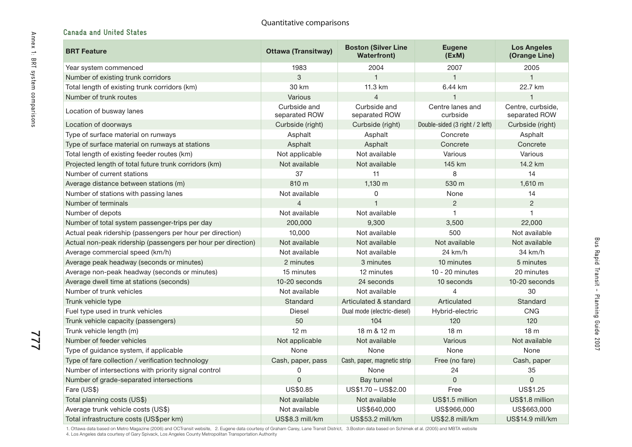# **Canada and United States**

| <b>BRT Feature</b>                                            | <b>Ottawa (Transitway)</b>    | <b>Boston (Silver Line</b><br><b>Waterfront)</b> | <b>Eugene</b><br>(EXM)          | <b>Los Angeles</b><br>(Orange Line) |
|---------------------------------------------------------------|-------------------------------|--------------------------------------------------|---------------------------------|-------------------------------------|
| Year system commenced                                         | 1983                          | 2004                                             | 2007                            | 2005                                |
| Number of existing trunk corridors                            | 3                             | $\overline{1}$                                   | 1                               | $\mathbf{1}$                        |
| Total length of existing trunk corridors (km)                 | 30 km                         | 11.3 km                                          | 6.44 km                         | 22.7 km                             |
| Number of trunk routes                                        | Various                       | $\overline{4}$                                   | $\overline{1}$                  | 1                                   |
| Location of busway lanes                                      | Curbside and<br>separated ROW | Curbside and<br>separated ROW                    | Centre lanes and<br>curbside    | Centre, curbside,<br>separated ROW  |
| Location of doorways                                          | Curbside (right)              | Curbside (right)                                 | Double-sided (3 right / 2 left) | Curbside (right)                    |
| Type of surface material on runways                           | Asphalt                       | Asphalt                                          | Concrete                        | Asphalt                             |
| Type of surface material on runways at stations               | Asphalt                       | Asphalt                                          | Concrete                        | Concrete                            |
| Total length of existing feeder routes (km)                   | Not applicable                | Not available                                    | Various                         | Various                             |
| Projected length of total future trunk corridors (km)         | Not available                 | Not available                                    | 145 km                          | 14.2 km                             |
| Number of current stations                                    | 37                            | 11                                               | 8                               | 14                                  |
| Average distance between stations (m)                         | 810 m                         | 1,130 m                                          | 530 m                           | 1,610 m                             |
| Number of stations with passing lanes                         | Not available                 | 0                                                | None                            | 14                                  |
| Number of terminals                                           | $\overline{4}$                | $\mathbf{1}$                                     | $\overline{c}$                  | $\overline{2}$                      |
| Number of depots                                              | Not available                 | Not available                                    | 1                               | 1                                   |
| Number of total system passenger-trips per day                | 200,000                       | 9,300                                            | 3,500                           | 22,000                              |
| Actual peak ridership (passengers per hour per direction)     | 10,000                        | Not available                                    | 500                             | Not available                       |
| Actual non-peak ridership (passengers per hour per direction) | Not available                 | Not available                                    | Not available                   | Not available                       |
| Average commercial speed (km/h)                               | Not available                 | Not available                                    | 24 km/h                         | 34 km/h                             |
| Average peak headway (seconds or minutes)                     | 2 minutes                     | 3 minutes                                        | 10 minutes                      | 5 minutes                           |
| Average non-peak headway (seconds or minutes)                 | 15 minutes                    | 12 minutes                                       | $10 - 20$ minutes               | 20 minutes                          |
| Average dwell time at stations (seconds)                      | 10-20 seconds                 | 24 seconds                                       | 10 seconds                      | 10-20 seconds                       |
| Number of trunk vehicles                                      | Not available                 | Not available                                    | 4                               | 30                                  |
| Trunk vehicle type                                            | Standard                      | Articulated & standard                           | Articulated                     | Standard                            |
| Fuel type used in trunk vehicles                              | <b>Diesel</b>                 | Dual mode (electric-diesel)                      | Hybrid-electric                 | <b>CNG</b>                          |
| Trunk vehicle capacity (passengers)                           | 50                            | 104                                              | 120                             | 120                                 |
| Trunk vehicle length (m)                                      | 12 <sub>m</sub>               | 18 m & 12 m                                      | 18 <sub>m</sub>                 | 18 <sub>m</sub>                     |
| Number of feeder vehicles                                     | Not applicable                | Not available                                    | Various                         | Not available                       |
| Type of guidance system, if applicable                        | None                          | None                                             | None                            | None                                |
| Type of fare collection / verification technology             | Cash, paper, pass             | Cash, paper, magnetic strip                      | Free (no fare)                  | Cash, paper                         |
| Number of intersections with priority signal control          | 0                             | None                                             | 24                              | 35                                  |
| Number of grade-separated intersections                       | $\mathsf 0$                   | Bay tunnel                                       | 0                               | $\mathbf 0$                         |
| Fare (US\$)                                                   | US\$0.85                      | $US$1.70 - US$2.00$                              | Free                            | US\$1.25                            |
| Total planning costs (US\$)                                   | Not available                 | Not available                                    | US\$1.5 million                 | US\$1.8 million                     |
| Average trunk vehicle costs (US\$)                            | Not available                 | US\$640,000                                      | US\$966,000                     | US\$663,000                         |
| Total infrastructure costs (US\$per km)                       | US\$8.3 mill/km               | US\$53.2 mill/km                                 | US\$2.8 mill/km                 | US\$14.9 mill/km                    |

Bus Rapid Transit - Planning Guide 2007

Bus Rapid Transit - Planning Guide 2007

1. Ottawa data based on Metro Magazine (2006) and OCTransit website, 2. Eugene data courtesy of Graham Carey, Lane Transit District, 3.Boston data based on Schimek et al. (2005) and MBTA website<br>4. Los Angeles data cou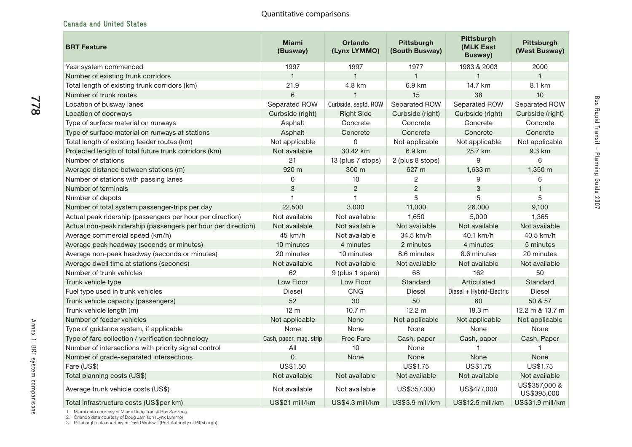# **Canada and United States**

| <b>BRT Feature</b>                                            | <b>Miami</b><br>(Busway) | <b>Orlando</b><br>(Lynx LYMMO) | <b>Pittsburgh</b><br>(South Busway) | <b>Pittsburgh</b><br>(MLK East<br><b>Busway</b> ) | <b>Pittsburgh</b><br>(West Busway) |
|---------------------------------------------------------------|--------------------------|--------------------------------|-------------------------------------|---------------------------------------------------|------------------------------------|
| Year system commenced                                         | 1997                     | 1997                           | 1977                                | 1983 & 2003                                       | 2000                               |
| Number of existing trunk corridors                            | $\mathbf{1}$             | $\mathbf{1}$                   | $\mathbf{1}$                        | $\mathbf{1}$                                      | 1                                  |
| Total length of existing trunk corridors (km)                 | 21.9                     | 4.8 km                         | 6.9 km                              | 14.7 km                                           | 8.1 km                             |
| Number of trunk routes                                        | 6                        |                                | 15                                  | 38                                                | 10                                 |
| Location of busway lanes                                      | Separated ROW            | Curbside, septd. ROW           | Separated ROW                       | Separated ROW                                     | Separated ROW                      |
| Location of doorways                                          | Curbside (right)         | <b>Right Side</b>              | Curbside (right)                    | Curbside (right)                                  | Curbside (right)                   |
| Type of surface material on runways                           | Asphalt                  | Concrete                       | Concrete                            | Concrete                                          | Concrete                           |
| Type of surface material on runways at stations               | Asphalt                  | Concrete                       | Concrete                            | Concrete                                          | Concrete                           |
| Total length of existing feeder routes (km)                   | Not applicable           | 0                              | Not applicable                      | Not applicable                                    | Not applicable                     |
| Projected length of total future trunk corridors (km)         | Not available            | 30.42 km                       | 6.9 km                              | 25.7 km                                           | 9.3 km                             |
| Number of stations                                            | 21                       | 13 (plus 7 stops)              | 2 (plus 8 stops)                    | 9                                                 | 6                                  |
| Average distance between stations (m)                         | 920 m                    | 300 m                          | 627 m                               | 1,633 m                                           | 1,350 m                            |
| Number of stations with passing lanes                         | 0                        | 10                             | $\overline{c}$                      | 9                                                 | 6                                  |
| Number of terminals                                           | 3                        | $\overline{2}$                 | $\overline{2}$                      | 3                                                 | 1                                  |
| Number of depots                                              | 1                        | $\mathbf{1}$                   | 5                                   | 5                                                 | 5                                  |
| Number of total system passenger-trips per day                | 22,500                   | 3,000                          | 11,000                              | 26,000                                            | 9,100                              |
| Actual peak ridership (passengers per hour per direction)     | Not available            | Not available                  | 1,650                               | 5,000                                             | 1,365                              |
| Actual non-peak ridership (passengers per hour per direction) | Not available            | Not available                  | Not available                       | Not available                                     | Not available                      |
| Average commercial speed (km/h)                               | 45 km/h                  | Not available                  | 34.5 km/h                           | 40.1 km/h                                         | 40.5 km/h                          |
| Average peak headway (seconds or minutes)                     | 10 minutes               | 4 minutes                      | 2 minutes                           | 4 minutes                                         | 5 minutes                          |
| Average non-peak headway (seconds or minutes)                 | 20 minutes               | 10 minutes                     | 8.6 minutes                         | 8.6 minutes                                       | 20 minutes                         |
| Average dwell time at stations (seconds)                      | Not available            | Not available                  | Not available                       | Not available                                     | Not available                      |
| Number of trunk vehicles                                      | 62                       | 9 (plus 1 spare)               | 68                                  | 162                                               | 50                                 |
| Trunk vehicle type                                            | Low Floor                | Low Floor                      | Standard                            | Articulated                                       | Standard                           |
| Fuel type used in trunk vehicles                              | <b>Diesel</b>            | CNG                            | <b>Diesel</b>                       | Diesel + Hybrid-Electric                          | <b>Diesel</b>                      |
| Trunk vehicle capacity (passengers)                           | 52                       | 30                             | 50                                  | 80                                                | 50 & 57                            |
| Trunk vehicle length (m)                                      | 12 <sub>m</sub>          | 10.7 <sub>m</sub>              | 12.2 m                              | 18.3 <sub>m</sub>                                 | 12.2 m & 13.7 m                    |
| Number of feeder vehicles                                     | Not applicable           | None                           | Not applicable                      | Not applicable                                    | Not applicable                     |
| Type of guidance system, if applicable                        | None                     | None                           | None                                | None                                              | None                               |
| Type of fare collection / verification technology             | Cash, paper, mag. strip  | <b>Free Fare</b>               | Cash, paper                         | Cash, paper                                       | Cash, Paper                        |
| Number of intersections with priority signal control          | All                      | 10                             | None                                |                                                   | 1                                  |
| Number of grade-separated intersections                       | $\Omega$                 | None                           | None                                | None                                              | None                               |
| Fare (US\$)                                                   | <b>US\$1.50</b>          |                                | US\$1.75                            | US\$1.75                                          | US\$1.75                           |
| Total planning costs (US\$)                                   | Not available            | Not available                  | Not available                       | Not available                                     | Not available                      |
| Average trunk vehicle costs (US\$)                            | Not available            | Not available                  | US\$357,000                         | US\$477,000                                       | US\$357,000 &<br>US\$395,000       |
| Total infrastructure costs (US\$per km)                       | US\$21 mill/km           | US\$4.3 mill/km                | US\$3.9 mill/km                     | US\$12.5 mill/km                                  | US\$31.9 mill/km                   |

1. Miami data courtesy of Miami Dade Transit Bus Services<br>2. Orlando data courtesy of Doug Jamison (Lynx Lymmo)<br>3. Pittsburgh data courtesy of David Wohlwill (Port Authority of Pittsburgh)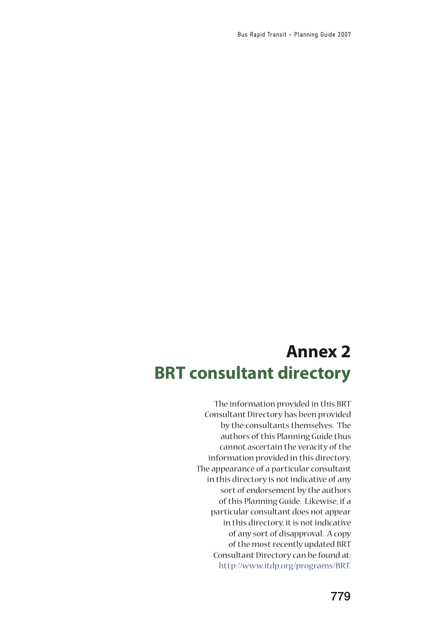# **Annex 2 BRT consultant directory**

The information provided in this BRT Consultant Directory has been provided by the consultants themselves. The authors of this Planning Guide thus cannot ascertain the veracity of the information provided in this directory. The appearance of a particular consultant in this directory is not indicative of any sort of endorsement by the authors of this Planning Guide. Likewise, if a particular consultant does not appear in this directory, it is not indicative of any sort of disapproval. A copy of the most recently updated BRT Consultant Directory can be found at: [http://www.itdp.org/programs/BRT.](http://www.itdp.org/programs/BRT)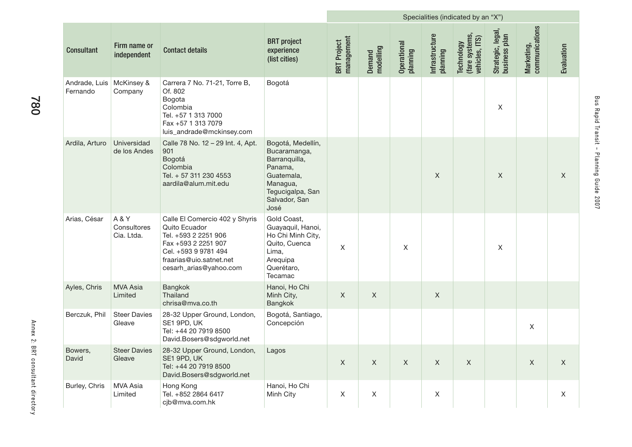|                           |                                  |                                                                                                                                                                             |                                                                                                                                      | Specialities (indicated by an "X") |                     |                         |                            |                                                |                                    |                              |             |
|---------------------------|----------------------------------|-----------------------------------------------------------------------------------------------------------------------------------------------------------------------------|--------------------------------------------------------------------------------------------------------------------------------------|------------------------------------|---------------------|-------------------------|----------------------------|------------------------------------------------|------------------------------------|------------------------------|-------------|
| <b>Consultant</b>         | Firm name or<br>independent      | <b>Contact details</b>                                                                                                                                                      | <b>BRT</b> project<br>experience<br>(list cities)                                                                                    | management<br><b>BRT</b> Project   | Demand<br>modelling | Operational<br>planning | Infrastructure<br>planning | (fare systems,<br>vehicles, ITS)<br>Technology | Strategic, legal,<br>business plan | Marketing,<br>communications | Evaluation  |
| Andrade, Luis<br>Fernando | McKinsey &<br>Company            | Carrera 7 No. 71-21, Torre B,<br>Of. 802<br>Bogota<br>Colombia<br>Tel. +57 1 313 7000<br>Fax +57 1 313 7079<br>luis_andrade@mckinsey.com                                    | Bogotá                                                                                                                               |                                    |                     |                         |                            |                                                | X                                  |                              |             |
| Ardila, Arturo            | Universidad<br>de los Andes      | Calle 78 No. 12 - 29 Int. 4, Apt.<br>901<br>Bogotá<br>Colombia<br>Tel. + 57 311 230 4553<br>aardila@alum.mit.edu                                                            | Bogotá, Medellín,<br>Bucaramanga,<br>Barranquilla,<br>Panama,<br>Guatemala,<br>Managua,<br>Tegucigalpa, San<br>Salvador, San<br>José |                                    |                     |                         | X                          |                                                | $\mathsf{X}$                       |                              | X           |
| Arias, César              | A&Y<br>Consultores<br>Cia. Ltda. | Calle El Comercio 402 y Shyris<br>Quito Ecuador<br>Tel. +593 2 2251 906<br>Fax +593 2 2251 907<br>Cel. +593 9 9781 494<br>fraarias@uio.satnet.net<br>cesarh_arias@yahoo.com | Gold Coast,<br>Guayaquil, Hanoi,<br>Ho Chi Minh City,<br>Quito, Cuenca<br>Lima,<br>Arequipa<br>Querétaro,<br>Tecamac                 | $\sf X$                            |                     | X                       |                            |                                                | X                                  |                              |             |
| Ayles, Chris              | <b>MVA Asia</b><br>Limited       | Bangkok<br>Thailand<br>chrisa@mva.co.th                                                                                                                                     | Hanoi, Ho Chi<br>Minh City,<br>Bangkok                                                                                               | $\mathsf X$                        | $\mathsf X$         |                         | X                          |                                                |                                    |                              |             |
| Berczuk, Phil             | <b>Steer Davies</b><br>Gleave    | 28-32 Upper Ground, London,<br>SE1 9PD, UK<br>Tel: +44 20 7919 8500<br>David.Bosers@sdgworld.net                                                                            | Bogotá, Santiago,<br>Concepción                                                                                                      |                                    |                     |                         |                            |                                                |                                    | X                            |             |
| Bowers,<br>David          | <b>Steer Davies</b><br>Gleave    | 28-32 Upper Ground, London,<br>SE1 9PD, UK<br>Tel: +44 20 7919 8500<br>David.Bosers@sdgworld.net                                                                            | Lagos                                                                                                                                | $\mathsf X$                        | $\mathsf X$         | $\mathsf X$             | $\mathsf X$                | $\mathsf X$                                    |                                    | $\mathsf X$                  | $\mathsf X$ |
| Burley, Chris             | MVA Asia<br>Limited              | Hong Kong<br>Tel. +852 2864 6417<br>cjb@mva.com.hk                                                                                                                          | Hanoi, Ho Chi<br>Minh City                                                                                                           | $\mathsf X$                        | $\mathsf X$         |                         | $\mathsf X$                |                                                |                                    |                              | $\mathsf X$ |

**College**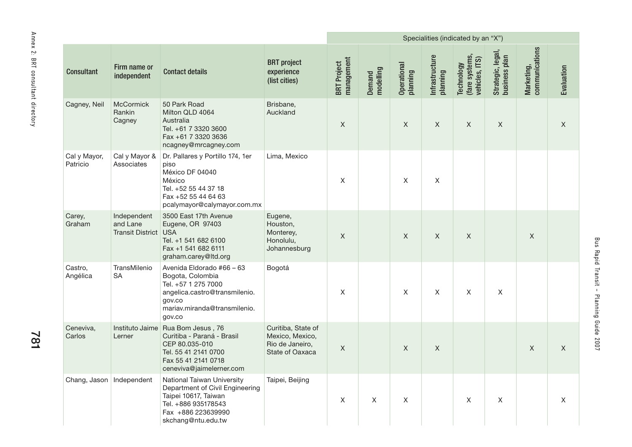|                                   |                            |                                                 |                                                                                                                                                              |                                                                             |                                  |                     |                         |                            | Specialities (indicated by an "X")                    |                                    |                              |             |
|-----------------------------------|----------------------------|-------------------------------------------------|--------------------------------------------------------------------------------------------------------------------------------------------------------------|-----------------------------------------------------------------------------|----------------------------------|---------------------|-------------------------|----------------------------|-------------------------------------------------------|------------------------------------|------------------------------|-------------|
| Annex 2: BRI consultant directory | <b>Consultant</b>          | Firm name or<br>independent                     | <b>Contact details</b>                                                                                                                                       | <b>BRT</b> project<br>experience<br>(list cities)                           | management<br><b>BRT</b> Project | Demand<br>modelling | Operational<br>planning | Infrastructure<br>planning | (fare systems,<br>vehicles, ITS)<br><b>Technology</b> | Strategic, legal,<br>business plan | Marketing,<br>communications | Evaluation  |
|                                   | Cagney, Neil               | McCormick<br>Rankin<br>Cagney                   | 50 Park Road<br>Milton QLD 4064<br>Australia<br>Tel. +61 7 3320 3600<br>Fax +61 7 3320 3636<br>ncagney@mrcagney.com                                          | Brisbane,<br>Auckland                                                       | $\mathsf X$                      |                     | $\mathsf{X}$            | $\mathsf X$                | X                                                     | $\mathsf X$                        |                              | $\mathsf X$ |
|                                   | Cal y Mayor,<br>Patricio   | Cal y Mayor &<br>Associates                     | Dr. Pallares y Portillo 174, 1er<br>piso<br>México DF 04040<br>México<br>Tel. +52 55 44 37 18<br>Fax +52 55 44 64 63<br>pcalymayor@calymayor.com.mx          | Lima, Mexico                                                                | X                                |                     | $\mathsf{X}$            | $\mathsf{X}$               |                                                       |                                    |                              |             |
|                                   | Carey,<br>Graham           | Independent<br>and Lane<br>Transit District USA | 3500 East 17th Avenue<br>Eugene, OR 97403<br>Tel. +1 541 682 6100<br>Fax +1 541 682 6111<br>graham.carey@ltd.org                                             | Eugene,<br>Houston,<br>Monterey,<br>Honolulu,<br>Johannesburg               | $\mathsf X$                      |                     | $\mathsf{X}$            | $\mathsf{X}$               | $\mathsf{X}$                                          |                                    | $\mathsf X$                  |             |
|                                   | Castro,<br>Angélica        | TransMilenio<br><b>SA</b>                       | Avenida Eldorado #66 - 63<br>Bogota, Colombia<br>Tel. +57 1 275 7000<br>angelica.castro@transmilenio.<br>gov.co<br>mariav.miranda@transmilenio.<br>gov.co    | Bogotá                                                                      | X                                |                     | X                       | X                          | X                                                     | X                                  |                              |             |
| 781                               | Ceneviva,<br>Carlos        | Lerner                                          | Instituto Jaime Rua Bom Jesus, 76<br>Curitiba - Paraná - Brasil<br>CEP 80.035-010<br>Tel. 55 41 2141 0700<br>Fax 55 41 2141 0718<br>ceneviva@jaimelerner.com | Curitiba, State of<br>Mexico, Mexico,<br>Rio de Janeiro,<br>State of Oaxaca | $\mathsf X$                      |                     | $\mathsf X$             | $\mathsf X$                |                                                       |                                    | $\mathsf X$                  | $\mathsf X$ |
|                                   | Chang, Jason   Independent |                                                 | National Taiwan University<br>Department of Civil Engineering<br>Taipei 10617, Taiwan<br>Tel. +886 935178543<br>Fax +886 223639990<br>skchang@ntu.edu.tw     | Taipei, Beijing                                                             | X                                | X                   | X                       |                            | X                                                     | X                                  |                              | X           |

781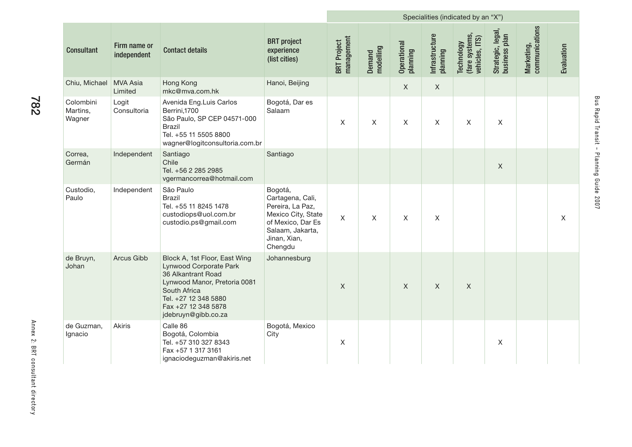|                                 |                             |                                                                                                                                                                                                     | Specialities (indicated by an "X")                                                                                                        |                                  |                     |                         |                            |                                                |                                    |                              |              |
|---------------------------------|-----------------------------|-----------------------------------------------------------------------------------------------------------------------------------------------------------------------------------------------------|-------------------------------------------------------------------------------------------------------------------------------------------|----------------------------------|---------------------|-------------------------|----------------------------|------------------------------------------------|------------------------------------|------------------------------|--------------|
| <b>Consultant</b>               | Firm name or<br>independent | <b>Contact details</b>                                                                                                                                                                              | <b>BRT</b> project<br>experience<br>(list cities)                                                                                         | management<br><b>BRT</b> Project | modelling<br>Demand | Operational<br>planning | Infrastructure<br>planning | (fare systems)<br>vehicles, ITS)<br>Technology | Strategic, legal,<br>business plan | communications<br>Marketing, | Evaluation   |
| Chiu, Michael                   | MVA Asia<br>Limited         | Hong Kong<br>mkc@mva.com.hk                                                                                                                                                                         | Hanoi, Beijing                                                                                                                            |                                  |                     | $\mathsf{X}$            | $\mathsf{X}$               |                                                |                                    |                              |              |
| Colombini<br>Martins,<br>Wagner | Logit<br>Consultoria        | Avenida Eng.Luis Carlos<br>Berrini, 1700<br>São Paulo, SP CEP 04571-000<br><b>Brazil</b><br>Tel. +55 11 5505 8800<br>wagner@logitconsultoria.com.br                                                 | Bogotá, Dar es<br>Salaam                                                                                                                  | X                                | $\mathsf{X}$        | $\mathsf{X}$            | $\mathsf{X}$               | $\mathsf{X}$                                   | $\mathsf{X}$                       |                              |              |
| Correa,<br>Germán               | Independent                 | Santiago<br>Chile<br>Tel. +56 2 285 2985<br>vgermancorrea@hotmail.com                                                                                                                               | Santiago                                                                                                                                  |                                  |                     |                         |                            |                                                | $\mathsf{X}$                       |                              |              |
| Custodio,<br>Paulo              | Independent                 | São Paulo<br><b>Brazil</b><br>Tel. +55 11 8245 1478<br>custodiops@uol.com.br<br>custodio.ps@gmail.com                                                                                               | Bogotá,<br>Cartagena, Cali,<br>Pereira, La Paz,<br>Mexico City, State<br>of Mexico, Dar Es<br>Salaam, Jakarta,<br>Jinan, Xian,<br>Chengdu | $\mathsf{X}$                     | $\mathsf{X}$        | $\mathsf{X}$            | $\mathsf{X}$               |                                                |                                    |                              | $\mathsf{X}$ |
| de Bruyn,<br>Johan              | Arcus Gibb                  | Block A, 1st Floor, East Wing<br>Lynwood Corporate Park<br>36 Alkantrant Road<br>Lynwood Manor, Pretoria 0081<br>South Africa<br>Tel. +27 12 348 5880<br>Fax +27 12 348 5878<br>jdebruyn@gibb.co.za | Johannesburg                                                                                                                              | $\mathsf{X}$                     |                     | $\mathsf{X}$            | $\mathsf{X}$               | $\mathsf{X}$                                   |                                    |                              |              |
| de Guzman,<br>Ignacio           | Akiris                      | Calle 86<br>Bogotá, Colombia<br>Tel. +57 310 327 8343<br>Fax +57 1 317 3161<br>ignaciodeguzman@akiris.net                                                                                           | Bogotá, Mexico<br>City                                                                                                                    | $\mathsf X$                      |                     |                         |                            |                                                | $\mathsf X$                        |                              |              |

**COLLECTION** 

Bus Rapid Transit - Planning Guide 2007

Bus Rapid Transit - Planning Guide 2007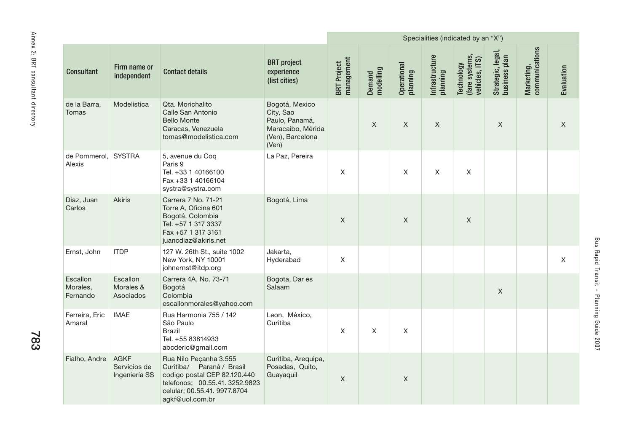|                                   |                                  |                                       |                                                                                                                                                                          |                                                                                                 |                                  |                     |                         |                            | Specialities (indicated by an "X")             |                                    |                              |              |
|-----------------------------------|----------------------------------|---------------------------------------|--------------------------------------------------------------------------------------------------------------------------------------------------------------------------|-------------------------------------------------------------------------------------------------|----------------------------------|---------------------|-------------------------|----------------------------|------------------------------------------------|------------------------------------|------------------------------|--------------|
| Annex 2: BRI consultant directory | <b>Consultant</b>                | Firm name or<br>independent           | <b>Contact details</b>                                                                                                                                                   | <b>BRT</b> project<br>experience<br>(list cities)                                               | management<br><b>BRT</b> Project | Demand<br>modelling | Operational<br>planning | Infrastructure<br>planning | (fare systems,<br>vehicles, ITS)<br>Technology | Strategic, legal,<br>business plan | communications<br>Marketing, | Evaluation   |
|                                   | de la Barra,<br>Tomas            | Modelistica                           | Qta. Morichalito<br>Calle San Antonio<br><b>Bello Monte</b><br>Caracas, Venezuela<br>tomas@modelistica.com                                                               | Bogotá, Mexico<br>City, Sao<br>Paulo, Panamá,<br>Maracaibo, Mérida<br>(Ven), Barcelona<br>(Ven) |                                  | $\mathsf{X}$        | $\mathsf{X}$            | X                          |                                                | $\mathsf X$                        |                              | X            |
|                                   | de Pommerol,<br>Alexis           | <b>SYSTRA</b>                         | 5, avenue du Coq<br>Paris 9<br>Tel. +33 1 40166100<br>Fax +33 1 40166104<br>systra@systra.com                                                                            | La Paz, Pereira                                                                                 | X                                |                     | X                       | X                          | X                                              |                                    |                              |              |
|                                   | Diaz, Juan<br>Carlos             | <b>Akiris</b>                         | Carrera 7 No. 71-21<br>Torre A, Oficina 601<br>Bogotá, Colombia<br>Tel. +57 1 317 3337<br>Fax +57 1 317 3161<br>juancdiaz@akiris.net                                     | Bogotá, Lima                                                                                    | $\mathsf X$                      |                     | $\mathsf X$             |                            | $\mathsf X$                                    |                                    |                              |              |
|                                   | Ernst, John                      | <b>ITDP</b>                           | 127 W. 26th St., suite 1002<br>New York, NY 10001<br>johnernst@itdp.org                                                                                                  | Jakarta,<br>Hyderabad                                                                           | $\mathsf X$                      |                     |                         |                            |                                                |                                    |                              | $\mathsf{X}$ |
|                                   | Escallon<br>Morales,<br>Fernando | Escallon<br>Morales &<br>Asociados    | Carrera 4A, No. 73-71<br>Bogotá<br>Colombia<br>escallonmorales@yahoo.com                                                                                                 | Bogota, Dar es<br>Salaam                                                                        |                                  |                     |                         |                            |                                                | X                                  |                              |              |
| 783                               | Ferreira, Eric<br>Amaral         | <b>IMAE</b>                           | Rua Harmonia 755 / 142<br>São Paulo<br><b>Brazil</b><br>Tel. +55 83814933<br>abcderic@gmail.com                                                                          | Leon, México,<br>Curitiba                                                                       | X                                | X                   | $\mathsf X$             |                            |                                                |                                    |                              |              |
|                                   | Fialho, Andre                    | AGKF<br>Servicios de<br>Ingeniería SS | Rua Nilo Peçanha 3.555<br>Curitiba/ Paraná / Brasil<br>codigo postal CEP 82.120.440<br>telefonos; 00.55.41. 3252.9823<br>celular; 00.55.41. 9977.8704<br>agkf@uol.com.br | Curitiba, Arequipa,<br>Posadas, Quito,<br>Guayaquil                                             | $\mathsf X$                      |                     | $\mathsf X$             |                            |                                                |                                    |                              |              |

783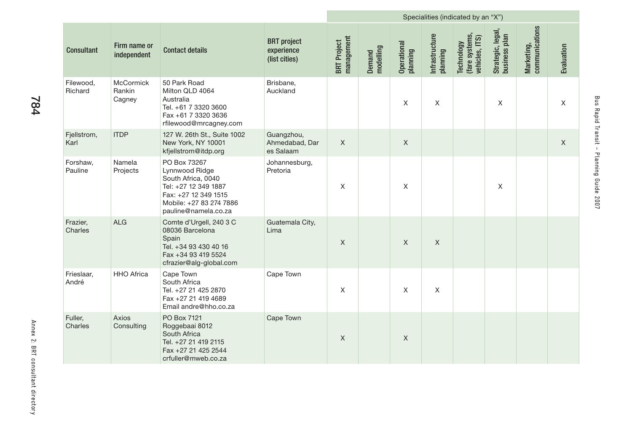|                      |                               |                                                                                                                                                         |                                                   |                                  |                     |                         | Specialities (indicated by an "X") |                                                |                                    |                              |                           |
|----------------------|-------------------------------|---------------------------------------------------------------------------------------------------------------------------------------------------------|---------------------------------------------------|----------------------------------|---------------------|-------------------------|------------------------------------|------------------------------------------------|------------------------------------|------------------------------|---------------------------|
| <b>Consultant</b>    | Firm name or<br>independent   | <b>Contact details</b>                                                                                                                                  | <b>BRT</b> project<br>experience<br>(list cities) | management<br><b>BRT</b> Project | modelling<br>Demand | Operational<br>pianning | Infrastructure<br>planning         | (fare systems,<br>vehicles, ITS)<br>Technology | Strategic, legal,<br>business plan | communications<br>Marketing, | Evaluation                |
| Filewood,<br>Richard | McCormick<br>Rankin<br>Cagney | 50 Park Road<br>Milton QLD 4064<br>Australia<br>Tel. +61 7 3320 3600<br>Fax +61 7 3320 3636<br>rfilewood@mrcagney.com                                   | Brisbane,<br>Auckland                             |                                  |                     | X                       | $\mathsf X$                        |                                                | $\boldsymbol{\mathsf{X}}$          |                              | $\boldsymbol{\mathsf{X}}$ |
| Fjellstrom,<br>Karl  | <b>ITDP</b>                   | 127 W. 26th St., Suite 1002<br>New York, NY 10001<br>kfjellstrom@itdp.org                                                                               | Guangzhou,<br>Ahmedabad, Dar<br>es Salaam         | $\mathsf X$                      |                     | $\mathsf X$             |                                    |                                                |                                    |                              | $\mathsf X$               |
| Forshaw,<br>Pauline  | Namela<br>Projects            | PO Box 73267<br>Lynnwood Ridge<br>South Africa, 0040<br>Tel: +27 12 349 1887<br>Fax: +27 12 349 1515<br>Mobile: +27 83 274 7886<br>pauline@namela.co.za | Johannesburg,<br>Pretoria                         | X                                |                     | Χ                       |                                    |                                                | $\mathsf X$                        |                              |                           |
| Frazier,<br>Charles  | <b>ALG</b>                    | Comte d'Urgell, 240 3 C<br>08036 Barcelona<br>Spain<br>Tel. +34 93 430 40 16<br>Fax +34 93 419 5524<br>cfrazier@alg-global.com                          | Guatemala City,<br>Lima                           | $\mathsf X$                      |                     | $\mathsf X$             | $\mathsf X$                        |                                                |                                    |                              |                           |
| Frieslaar,<br>André  | <b>HHO</b> Africa             | Cape Town<br>South Africa<br>Tel. +27 21 425 2870<br>Fax +27 21 419 4689<br>Email andre@hho.co.za                                                       | Cape Town                                         | Χ                                |                     | X                       | $\sf X$                            |                                                |                                    |                              |                           |
| Fuller,<br>Charles   | Axios<br>Consulting           | PO Box 7121<br>Roggebaai 8012<br>South Africa<br>Tel. +27 21 419 2115<br>Fax +27 21 425 2544<br>crfuller@mweb.co.za                                     | Cape Town                                         | $\mathsf X$                      |                     | $\mathsf X$             |                                    |                                                |                                    |                              |                           |

**College**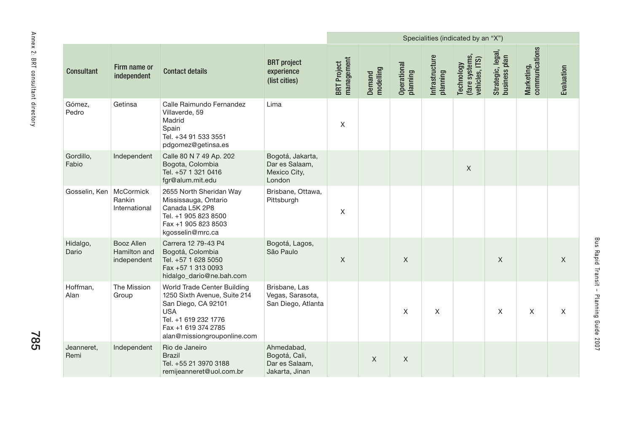|                                   |                           |                                                  |                                                                                                                                                                                |                                                                 |                                  |                     |                         |                            | Specialities (indicated by an "X")             |                                    |                              |             |
|-----------------------------------|---------------------------|--------------------------------------------------|--------------------------------------------------------------------------------------------------------------------------------------------------------------------------------|-----------------------------------------------------------------|----------------------------------|---------------------|-------------------------|----------------------------|------------------------------------------------|------------------------------------|------------------------------|-------------|
| Annex 2: BRI consultant directory | <b>Consultant</b>         | Firm name or<br>independent                      | <b>Contact details</b>                                                                                                                                                         | <b>BRT</b> project<br>experience<br>(list cities)               | management<br><b>BRT</b> Project | modelling<br>Demand | Operational<br>planning | Infrastructure<br>planning | Technology<br>(fare systems,<br>vehicles, ITS) | Strategic, legal,<br>business plan | communications<br>Marketing, | Evaluation  |
|                                   | Gómez,<br>Pedro           | Getinsa                                          | Calle Raimundo Fernandez<br>Villaverde, 59<br>Madrid<br>Spain<br>Tel. +34 91 533 3551<br>pdgomez@getinsa.es                                                                    | Lima                                                            | $\mathsf X$                      |                     |                         |                            |                                                |                                    |                              |             |
|                                   | Gordillo,<br>Fabio        | Independent                                      | Calle 80 N 7 49 Ap. 202<br>Bogota, Colombia<br>Tel. +57 1 321 0416<br>fgr@alum.mit.edu                                                                                         | Bogotá, Jakarta,<br>Dar es Salaam,<br>Mexico City,<br>London    |                                  |                     |                         |                            | $\mathsf X$                                    |                                    |                              |             |
|                                   | Gosselin, Ken   McCormick | Rankin<br>International                          | 2655 North Sheridan Way<br>Mississauga, Ontario<br>Canada L5K 2P8<br>Tel. +1 905 823 8500<br>Fax +1 905 823 8503<br>kgosselin@mrc.ca                                           | Brisbane, Ottawa,<br>Pittsburgh                                 | X                                |                     |                         |                            |                                                |                                    |                              |             |
|                                   | Hidalgo,<br>Dario         | <b>Booz Allen</b><br>Hamilton and<br>independent | Carrera 12 79-43 P4<br>Bogotá, Colombia<br>Tel. +57 1 628 5050<br>Fax +57 1 313 0093<br>hidalgo_dario@ne.bah.com                                                               | Bogotá, Lagos,<br>São Paulo                                     | $\mathsf X$                      |                     | $\mathsf X$             |                            |                                                | $\mathsf X$                        |                              | $\mathsf X$ |
| <b>285</b>                        | Hoffman,<br>Alan          | The Mission<br>Group                             | World Trade Center Building<br>1250 Sixth Avenue, Suite 214<br>San Diego, CA 92101<br><b>USA</b><br>Tel. +1 619 232 1776<br>Fax +1 619 374 2785<br>alan@missiongrouponline.com | Brisbane, Las<br>Vegas, Sarasota,<br>San Diego, Atlanta         |                                  |                     | X                       | X                          |                                                | X                                  | X                            | X           |
|                                   | Jeanneret,<br>Remi        | Independent                                      | Rio de Janeiro<br><b>Brazil</b><br>Tel. +55 21 3970 3188<br>remijeanneret@uol.com.br                                                                                           | Ahmedabad,<br>Bogotá, Cali,<br>Dar es Salaam,<br>Jakarta, Jinan |                                  | X                   | $\mathsf{X}$            |                            |                                                |                                    |                              |             |

785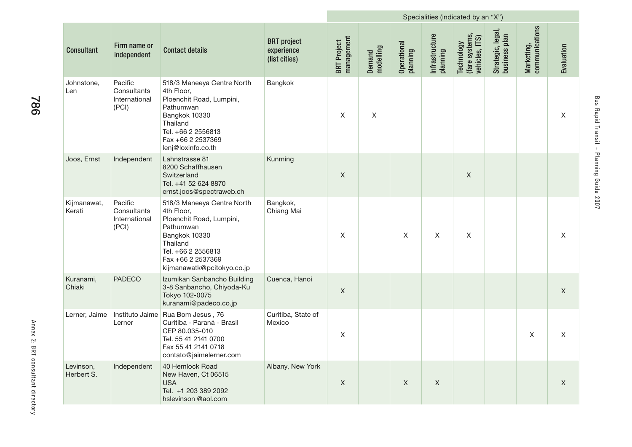|                         |                                                  | Specialities (indicated by an "X")                                                                                                                                                      |                                                   |                                  |                     |                         |                            |                                                |                                    |                              |             |
|-------------------------|--------------------------------------------------|-----------------------------------------------------------------------------------------------------------------------------------------------------------------------------------------|---------------------------------------------------|----------------------------------|---------------------|-------------------------|----------------------------|------------------------------------------------|------------------------------------|------------------------------|-------------|
| <b>Consultant</b>       | Firm name or<br>independent                      | <b>Contact details</b>                                                                                                                                                                  | <b>BRT</b> project<br>experience<br>(list cities) | management<br><b>BRT</b> Project | Demand<br>modelling | Operational<br>planning | Infrastructure<br>planning | (fare systems,<br>vehicles, ITS)<br>Technology | Strategic, legal,<br>business plan | Marketing,<br>communications | Evaluation  |
| Johnstone,<br>Len       | Pacific<br>Consultants<br>International<br>(PCI) | 518/3 Maneeya Centre North<br>4th Floor,<br>Ploenchit Road, Lumpini,<br>Pathumwan<br>Bangkok 10330<br>Thailand<br>Tel. +66 2 2556813<br>Fax +66 2 2537369<br>lenj@loxinfo.co.th         | Bangkok                                           | X                                | X                   |                         |                            |                                                |                                    |                              | X           |
| Joos, Ernst             | Independent                                      | Lahnstrasse 81<br>8200 Schaffhausen<br>Switzerland<br>Tel. +41 52 624 8870<br>ernst.joos@spectraweb.ch                                                                                  | Kunming                                           | $\mathsf X$                      |                     |                         |                            | $\mathsf X$                                    |                                    |                              |             |
| Kijmanawat,<br>Kerati   | Pacific<br>Consultants<br>International<br>(PCI) | 518/3 Maneeya Centre North<br>4th Floor,<br>Ploenchit Road, Lumpini,<br>Pathumwan<br>Bangkok 10330<br>Thailand<br>Tel. +66 2 2556813<br>Fax +66 2 2537369<br>kijmanawatk@pcitokyo.co.jp | Bangkok,<br>Chiang Mai                            | X                                |                     | $\mathsf{X}$            | X                          | X                                              |                                    |                              | X           |
| Kuranami,<br>Chiaki     | <b>PADECO</b>                                    | Izumikan Sanbancho Building<br>3-8 Sanbancho, Chiyoda-Ku<br>Tokyo 102-0075<br>kuranami@padeco.co.jp                                                                                     | Cuenca, Hanoi                                     | $\mathsf X$                      |                     |                         |                            |                                                |                                    |                              | X           |
| Lerner, Jaime           | Instituto Jaime<br>Lerner                        | Rua Bom Jesus, 76<br>Curitiba - Paraná - Brasil<br>CEP 80.035-010<br>Tel. 55 41 2141 0700<br>Fax 55 41 2141 0718<br>contato@jaimelerner.com                                             | Curitiba, State of<br>Mexico                      | X                                |                     |                         |                            |                                                |                                    | X                            | X           |
| Levinson,<br>Herbert S. | Independent                                      | 40 Hemlock Road<br>New Haven, Ct 06515<br><b>USA</b><br>Tel. +1 203 389 2092<br>hslevinson @aol.com                                                                                     | Albany, New York                                  | $\mathsf X$                      |                     | $\mathsf X$             | $\mathsf X$                |                                                |                                    |                              | $\mathsf X$ |

**College**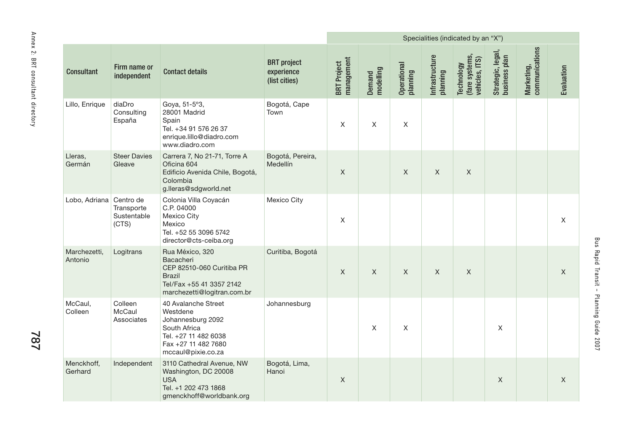|                                   |                         |                                    |                                                                                                                                           |                                                   |                                  |                     |                         |                            | Specialities (indicated by an "X")             |                                    |                              |              |
|-----------------------------------|-------------------------|------------------------------------|-------------------------------------------------------------------------------------------------------------------------------------------|---------------------------------------------------|----------------------------------|---------------------|-------------------------|----------------------------|------------------------------------------------|------------------------------------|------------------------------|--------------|
| Annex 2: BRI consultant directory | <b>Consultant</b>       | Firm name or<br>independent        | <b>Contact details</b>                                                                                                                    | <b>BRT</b> project<br>experience<br>(list cities) | management<br><b>BRT</b> Project | Demand<br>modelling | Operational<br>planning | Infrastructure<br>planning | Technology<br>(fare systems,<br>vehicles, ITS) | Strategic, legal,<br>business plan | communications<br>Marketing, | Evaluation   |
|                                   | Lillo, Enrique          | diaDro<br>Consulting<br>España     | Goya, 51-5°3,<br>28001 Madrid<br>Spain<br>Tel. +34 91 576 26 37<br>enrique.lillo@diadro.com<br>www.diadro.com                             | Bogotá, Cape<br>Town                              | Χ                                | X                   | X                       |                            |                                                |                                    |                              |              |
|                                   | Lleras,<br>Germán       | <b>Steer Davies</b><br>Gleave      | Carrera 7, No 21-71, Torre A<br>Oficina 604<br>Edificio Avenida Chile, Bogotá,<br>Colombia<br>g.lleras@sdgworld.net                       | Bogotá, Pereira,<br>Medellín                      | $\mathsf X$                      |                     | $\mathsf{X}$            | $\mathsf X$                | $\mathsf{X}$                                   |                                    |                              |              |
|                                   | Lobo, Adriana Centro de | Transporte<br>Sustentable<br>(CTS) | Colonia Villa Coyacán<br>C.P. 04000<br><b>Mexico City</b><br>Mexico<br>Tel. +52 55 3096 5742<br>director@cts-ceiba.org                    | Mexico City                                       | Χ                                |                     |                         |                            |                                                |                                    |                              | X            |
|                                   | Marchezetti,<br>Antonio | Logitrans                          | Rua México, 320<br>Bacacheri<br>CEP 82510-060 Curitiba PR<br><b>Brazil</b><br>Tel/Fax +55 41 3357 2142<br>marchezetti@logitran.com.br     | Curitiba, Bogotá                                  | $\mathsf X$                      | $\mathsf{X}$        | $\mathsf{X}$            | $\mathsf{X}$               | X                                              |                                    |                              | $\mathsf{X}$ |
| <b>787</b>                        | McCaul,<br>Colleen      | Colleen<br>McCaul<br>Associates    | 40 Avalanche Street<br>Westdene<br>Johannesburg 2092<br>South Africa<br>Tel. +27 11 482 6038<br>Fax +27 11 482 7680<br>mccaul@pixie.co.za | Johannesburg                                      |                                  | X                   | X                       |                            |                                                | X                                  |                              |              |
|                                   | Menckhoff,<br>Gerhard   | Independent                        | 3110 Cathedral Avenue, NW<br>Washington, DC 20008<br><b>USA</b><br>Tel. +1 202 473 1868<br>gmenckhoff@worldbank.org                       | Bogotá, Lima,<br>Hanoi                            | $\mathsf X$                      |                     |                         |                            |                                                | $\mathsf X$                        |                              | $\mathsf{X}$ |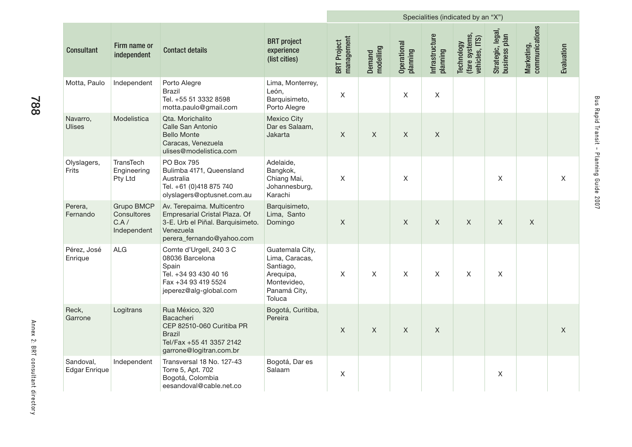|                                   |                                                  |                                                                                                                                           |                                                                                                      | Specialities (indicated by an "X") |                     |                         |                            |                                                |                                    |                              |              |
|-----------------------------------|--------------------------------------------------|-------------------------------------------------------------------------------------------------------------------------------------------|------------------------------------------------------------------------------------------------------|------------------------------------|---------------------|-------------------------|----------------------------|------------------------------------------------|------------------------------------|------------------------------|--------------|
| <b>Consultant</b>                 | Firm name or<br>independent                      | <b>Contact details</b>                                                                                                                    | <b>BRT</b> project<br>experience<br>(list cities)                                                    | management<br><b>BRT</b> Project   | modelling<br>Demand | Operational<br>planning | Infrastructure<br>planning | (fare systems,<br>vehicles, ITS)<br>Technology | Strategic, legal,<br>business plan | Marketing,<br>communications | Evaluation   |
| Motta, Paulo                      | Independent                                      | Porto Alegre<br><b>Brazil</b><br>Tel. +55 51 3332 8598<br>motta.paulo@gmail.com                                                           | Lima, Monterrey,<br>León,<br>Barquisimeto,<br>Porto Alegre                                           | $\mathsf X$                        |                     | X                       | X                          |                                                |                                    |                              |              |
| Navarro,<br><b>Ulises</b>         | Modelistica                                      | Qta. Morichalito<br>Calle San Antonio<br><b>Bello Monte</b><br>Caracas, Venezuela<br>ulises@modelistica.com                               | <b>Mexico City</b><br>Dar es Salaam,<br>Jakarta                                                      | $\mathsf{X}$                       | $\mathsf{X}$        | $\mathsf{X}$            | X                          |                                                |                                    |                              |              |
| Olyslagers,<br>Frits              | TransTech<br>Engineering<br>Pty Ltd              | PO Box 795<br>Bulimba 4171, Queensland<br>Australia<br>Tel. +61 (0)418 875 740<br>olyslagers@optusnet.com.au                              | Adelaide,<br>Bangkok,<br>Chiang Mai,<br>Johannesburg,<br>Karachi                                     | X                                  |                     | $\mathsf X$             |                            |                                                | X                                  |                              | X            |
| Perera,<br>Fernando               | Grupo BMCP<br>Consultores<br>C.A/<br>Independent | Av. Terepaima. Multicentro<br>Empresarial Cristal Plaza. Of<br>3-E. Urb el Piñal. Barquisimeto.<br>Venezuela<br>perera_fernando@yahoo.com | Barquisimeto,<br>Lima, Santo<br>Domingo                                                              | $\mathsf X$                        |                     | $\mathsf{X}$            | $\mathsf X$                | X                                              | $\mathsf X$                        | $\mathsf X$                  |              |
| Pérez, José<br>Enrique            | <b>ALG</b>                                       | Comte d'Urgell, 240 3 C<br>08036 Barcelona<br>Spain<br>Tel. +34 93 430 40 16<br>Fax +34 93 419 5524<br>jeperez@alg-global.com             | Guatemala City,<br>Lima, Caracas,<br>Santiago,<br>Arequipa,<br>Montevideo,<br>Panamá City,<br>Toluca | $\mathsf{X}$                       | $\times$            | $\mathsf{X}$            | X                          | X                                              | X                                  |                              |              |
| Reck,<br>Garrone                  | Logitrans                                        | Rua México, 320<br>Bacacheri<br>CEP 82510-060 Curitiba PR<br><b>Brazil</b><br>Tel/Fax +55 41 3357 2142<br>garrone@logitran.com.br         | Bogotá, Curitiba,<br>Pereira                                                                         | $\mathsf{X}$                       | $\mathsf{X}$        | $\mathsf{X}$            | X                          |                                                |                                    |                              | $\mathsf{X}$ |
| Sandoval,<br><b>Edgar Enrique</b> | Independent                                      | Transversal 18 No. 127-43<br>Torre 5, Apt. 702<br>Bogotá, Colombia<br>eesandoval@cable.net.co                                             | Bogotá, Dar es<br>Salaam                                                                             | $\pmb{\times}$                     |                     |                         |                            |                                                | X                                  |                              |              |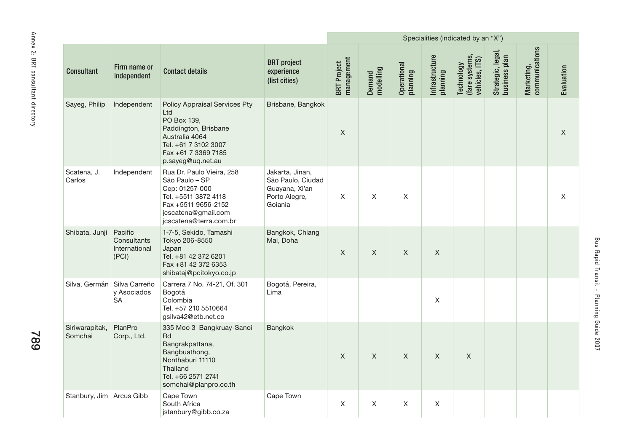|                                   |                             |                                                  |                                                                                                                                                                   |                                                                                    |                                  |                     |                         |                            | Specialities (indicated by an "X")             |                                    |                              |                           |
|-----------------------------------|-----------------------------|--------------------------------------------------|-------------------------------------------------------------------------------------------------------------------------------------------------------------------|------------------------------------------------------------------------------------|----------------------------------|---------------------|-------------------------|----------------------------|------------------------------------------------|------------------------------------|------------------------------|---------------------------|
| Annex 2: BRI consultant directory | <b>Consultant</b>           | Firm name or<br>independent                      | <b>Contact details</b>                                                                                                                                            | <b>BRT</b> project<br>experience<br>(list cities)                                  | management<br><b>BRT</b> Project | Demand<br>modelling | Operational<br>planning | Infrastructure<br>planning | Technology<br>(fare systems,<br>vehicles, ITS) | Strategic, legal,<br>business plan | Marketing,<br>communications | Evaluation                |
|                                   | Sayeg, Philip               | Independent                                      | Policy Appraisal Services Pty<br>Ltd<br>PO Box 139,<br>Paddington, Brisbane<br>Australia 4064<br>Tel. +61 7 3102 3007<br>Fax +61 7 3369 7185<br>p.sayeg@uq.net.au | Brisbane, Bangkok                                                                  | $\mathsf X$                      |                     |                         |                            |                                                |                                    |                              | $\mathsf{X}$              |
|                                   | Scatena, J.<br>Carlos       | Independent                                      | Rua Dr. Paulo Vieira, 258<br>São Paulo - SP<br>Cep: 01257-000<br>Tel. +5511 3872 4118<br>Fax +5511 9656-2152<br>jcscatena@gmail.com<br>jcscatena@terra.com.br     | Jakarta, Jinan,<br>São Paulo, Ciudad<br>Guayana, Xi'an<br>Porto Alegre,<br>Goiania | X                                | X                   | X                       |                            |                                                |                                    |                              | $\boldsymbol{\mathsf{X}}$ |
|                                   | Shibata, Junji              | Pacific<br>Consultants<br>International<br>(PCI) | 1-7-5, Sekido, Tamashi<br>Tokyo 206-8550<br>Japan<br>Tel. +81 42 372 6201<br>Fax +81 42 372 6353<br>shibataj@pcitokyo.co.jp                                       | Bangkok, Chiang<br>Mai, Doha                                                       | $\mathsf X$                      | $\mathsf{X}$        | $\mathsf X$             | $\mathsf{X}$               |                                                |                                    |                              |                           |
|                                   | Silva, Germán Silva Carreño | y Asociados<br><b>SA</b>                         | Carrera 7 No. 74-21, Of. 301<br>Bogotá<br>Colombia<br>Tel. +57 210 5510664<br>gsilva42@etb.net.co                                                                 | Bogotá, Pereira,<br>Lima                                                           |                                  |                     |                         | $\boldsymbol{\mathsf{X}}$  |                                                |                                    |                              |                           |
| 682                               | Siriwarapitak,<br>Somchai   | PlanPro<br>Corp., Ltd.                           | 335 Moo 3 Bangkruay-Sanoi<br>Rd<br>Bangrakpattana,<br>Bangbuathong,<br>Nonthaburi 11110<br>Thailand<br>Tel. +66 2571 2741<br>somchai@planpro.co.th                | Bangkok                                                                            | $\mathsf X$                      | X                   | $\mathsf X$             | $\mathsf{X}$               | $\mathsf X$                                    |                                    |                              |                           |
|                                   | Stanbury, Jim   Arcus Gibb  |                                                  | Cape Town<br>South Africa<br>jstanbury@gibb.co.za                                                                                                                 | Cape Town                                                                          | $\mathsf X$                      | $\mathsf X$         | $\mathsf X$             | $\mathsf X$                |                                                |                                    |                              |                           |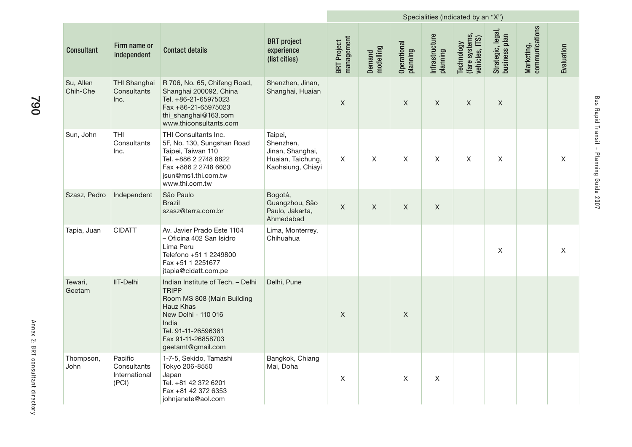|                       |                                                  |                                                                                                                                                                                                |                                                                                    |                                  |                     | Specialities (indicated by an "X") |                            |                                                |                                    |                              |                           |
|-----------------------|--------------------------------------------------|------------------------------------------------------------------------------------------------------------------------------------------------------------------------------------------------|------------------------------------------------------------------------------------|----------------------------------|---------------------|------------------------------------|----------------------------|------------------------------------------------|------------------------------------|------------------------------|---------------------------|
| <b>Consultant</b>     | Firm name or<br>independent                      | <b>Contact details</b>                                                                                                                                                                         | <b>BRT</b> project<br>experience<br>(list cities)                                  | management<br><b>BRT</b> Project | Demand<br>modelling | Operational<br>planning            | Infrastructure<br>planning | (fare systems,<br>vehicles, ITS)<br>Technology | Strategic, legal,<br>business plan | Marketing,<br>communications | Evaluation                |
| Su, Allen<br>Chih-Che | THI Shanghai<br>Consultants<br>Inc.              | R 706, No. 65, Chifeng Road,<br>Shanghai 200092, China<br>Tel. +86-21-65975023<br>$Fax + 86 - 21 - 65975023$<br>thi_shanghai@163.com<br>www.thiconsultants.com                                 | Shenzhen, Jinan,<br>Shanghai, Huaian                                               | X                                |                     | X                                  | X                          | X                                              | $\mathsf{X}$                       |                              |                           |
| Sun, John             | <b>THI</b><br>Consultants<br>Inc.                | THI Consultants Inc.<br>5F, No. 130, Sungshan Road<br>Taipei, Taiwan 110<br>Tel. +886 2 2748 8822<br>Fax +886 2 2748 6600<br>jsun@ms1.thi.com.tw<br>www.thi.com.tw                             | Taipei,<br>Shenzhen,<br>Jinan, Shanghai,<br>Huaian, Taichung,<br>Kaohsiung, Chiayi | $\mathsf X$                      | X                   | $\mathsf X$                        | X                          | X                                              | $\mathsf X$                        |                              | $\boldsymbol{\mathsf{X}}$ |
| Szasz, Pedro          | Independent                                      | São Paulo<br><b>Brazil</b><br>szasz@terra.com.br                                                                                                                                               | Bogotá,<br>Guangzhou, São<br>Paulo, Jakarta,<br>Ahmedabad                          | $\mathsf{X}$                     | $\mathsf{X}$        | $\mathsf{X}$                       | $\mathsf X$                |                                                |                                    |                              |                           |
| Tapia, Juan           | <b>CIDATT</b>                                    | Av. Javier Prado Este 1104<br>- Oficina 402 San Isidro<br>Lima Peru<br>Telefono +51 1 2249800<br>Fax +51 1 2251677<br>jtapia@cidatt.com.pe                                                     | Lima, Monterrey,<br>Chihuahua                                                      |                                  |                     |                                    |                            |                                                | X                                  |                              | X                         |
| Tewari,<br>Geetam     | <b>IIT-Delhi</b>                                 | Indian Institute of Tech. - Delhi<br><b>TRIPP</b><br>Room MS 808 (Main Building<br>Hauz Khas<br>New Delhi - 110 016<br>India<br>Tel. 91-11-26596361<br>Fax 91-11-26858703<br>geetamt@gmail.com | Delhi, Pune                                                                        | $\mathsf X$                      |                     | $\mathsf X$                        |                            |                                                |                                    |                              |                           |
| Thompson,<br>John     | Pacific<br>Consultants<br>International<br>(PCI) | 1-7-5, Sekido, Tamashi<br>Tokyo 206-8550<br>Japan<br>Tel. +81 42 372 6201<br>Fax +81 42 372 6353<br>johnjanete@aol.com                                                                         | Bangkok, Chiang<br>Mai, Doha                                                       | $\mathsf X$                      |                     | X                                  | Χ                          |                                                |                                    |                              |                           |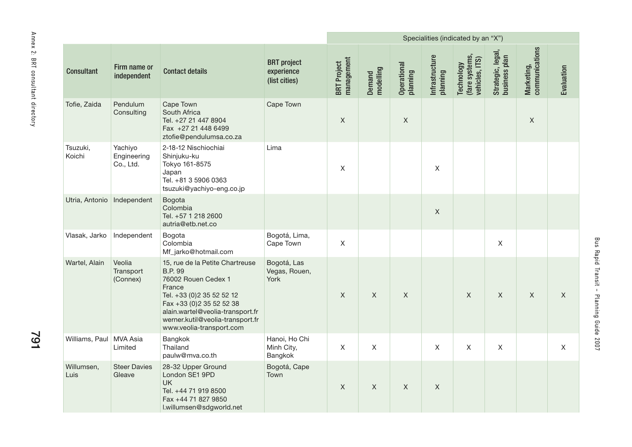|                                          |                              |                                     |                                                                                                                                                                                                                                                   |                                                   | Specialities (indicated by an "X") |                     |                         |                            |                                                |                                    |                              |             |
|------------------------------------------|------------------------------|-------------------------------------|---------------------------------------------------------------------------------------------------------------------------------------------------------------------------------------------------------------------------------------------------|---------------------------------------------------|------------------------------------|---------------------|-------------------------|----------------------------|------------------------------------------------|------------------------------------|------------------------------|-------------|
| Annex 2: BRI consultant directory<br>791 | <b>Consultant</b>            | Firm name or<br>independent         | <b>Contact details</b>                                                                                                                                                                                                                            | <b>BRT</b> project<br>experience<br>(list cities) | management<br><b>BRT</b> Project   | Demand<br>modelling | Operational<br>planning | Infrastructure<br>planning | Technology<br>(fare systems,<br>vehicles, ITS) | Strategic, legal,<br>business plan | Marketing,<br>communications | Evaluation  |
|                                          | Tofie, Zaida                 | Pendulum<br>Consulting              | Cape Town<br>South Africa<br>Tel. +27 21 447 8904<br>Fax +27 21 448 6499<br>ztofie@pendulumsa.co.za                                                                                                                                               | Cape Town                                         | $\mathsf X$                        |                     | $\mathsf X$             |                            |                                                |                                    | $\mathsf X$                  |             |
|                                          | Tsuzuki,<br>Koichi           | Yachiyo<br>Engineering<br>Co., Ltd. | 2-18-12 Nischiochiai<br>Shinjuku-ku<br>Tokyo 161-8575<br>Japan<br>Tel. +81 3 5906 0363<br>tsuzuki@yachiyo-eng.co.jp                                                                                                                               | Lima                                              | $\mathsf X$                        |                     |                         | $\mathsf X$                |                                                |                                    |                              |             |
|                                          | Utria, Antonio   Independent |                                     | Bogota<br>Colombia<br>Tel. +57 1 218 2600<br>autria@etb.net.co                                                                                                                                                                                    |                                                   |                                    |                     |                         | $\mathsf X$                |                                                |                                    |                              |             |
|                                          | Vlasak, Jarko                | Independent                         | Bogota<br>Colombia<br>Mf_jarko@hotmail.com                                                                                                                                                                                                        | Bogotá, Lima,<br>Cape Town                        | $\mathsf X$                        |                     |                         |                            |                                                | $\mathsf X$                        |                              |             |
|                                          | Wartel, Alain                | Veolia<br>Transport<br>(Connex)     | 15, rue de la Petite Chartreuse<br><b>B.P. 99</b><br>76002 Rouen Cedex 1<br>France<br>Tel. +33 (0) 2 35 52 52 12<br>Fax +33 (0) 2 35 52 52 38<br>alain.wartel@veolia-transport.fr<br>werner.kutil@veolia-transport.fr<br>www.veolia-transport.com | Bogotá, Las<br>Vegas, Rouen,<br>York              | $\mathsf X$                        | $\times$            | $\mathsf{X}$            |                            | $\mathsf{X}$                                   | X                                  | X                            | X           |
|                                          | Williams, Paul   MVA Asia    | Limited                             | Bangkok<br>Thailand<br>paulw@mva.co.th                                                                                                                                                                                                            | Hanoi, Ho Chi<br>Minh City,<br>Bangkok            | $\mathsf X$                        | $\mathsf{X}$        |                         | $\mathsf{X}$               | $\mathsf X$                                    | $\mathsf X$                        |                              | $\mathsf X$ |
|                                          | Willumsen,<br>Luis           | <b>Steer Davies</b><br>Gleave       | 28-32 Upper Ground<br>London SE1 9PD<br><b>UK</b><br>Tel. +44 71 919 8500<br>Fax +44 71 827 9850<br>l.willumsen@sdgworld.net                                                                                                                      | Bogotá, Cape<br>Town                              | $\mathsf X$                        | X                   | $\mathsf X$             | $\mathsf X$                |                                                |                                    |                              |             |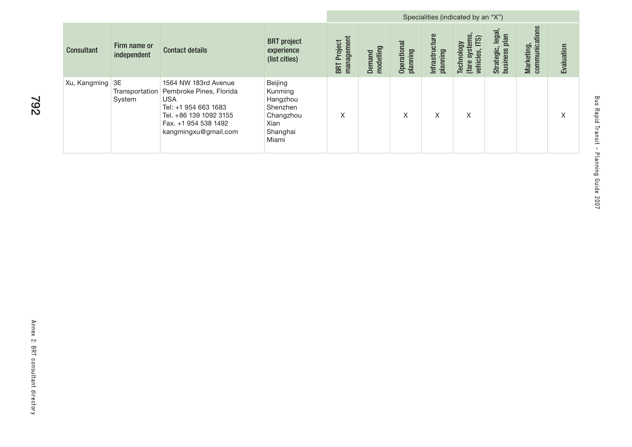|                   |                                |                                                                                                                                                                 |                                                                                      |                                  | Specialities (indicated by an "X") |                         |                                |                                                         |                                                      |                              |            |  |
|-------------------|--------------------------------|-----------------------------------------------------------------------------------------------------------------------------------------------------------------|--------------------------------------------------------------------------------------|----------------------------------|------------------------------------|-------------------------|--------------------------------|---------------------------------------------------------|------------------------------------------------------|------------------------------|------------|--|
| <b>Consultant</b> | Firm name or<br>independent    | <b>Contact details</b>                                                                                                                                          | <b>BRT</b> project<br>experience<br>(list cities)                                    | management<br><b>BRT</b> Project | modelling<br>Demand                | Operational<br>planning | ¢<br>Infrastructur<br>planning | systems<br>ဖြ<br>Technology<br>(fare systen<br>vehicles | legal,<br>plan<br>Strategic,<br>SS<br><b>busines</b> | communications<br>Marketing, | Evaluation |  |
| Xu, Kangming      | 3E<br>Transportation<br>System | 1564 NW 183rd Avenue<br>Pembroke Pines, Florida<br><b>USA</b><br>Tel: +1 954 663 1683<br>Tel. +86 139 1092 3155<br>Fax. +1 954 538 1492<br>kangmingxu@gmail.com | Beijing<br>Kunming<br>Hangzhou<br>Shenzhen<br>Changzhou<br>Xian<br>Shanghai<br>Miami | X                                |                                    | X                       | Χ                              | X                                                       |                                                      |                              | X          |  |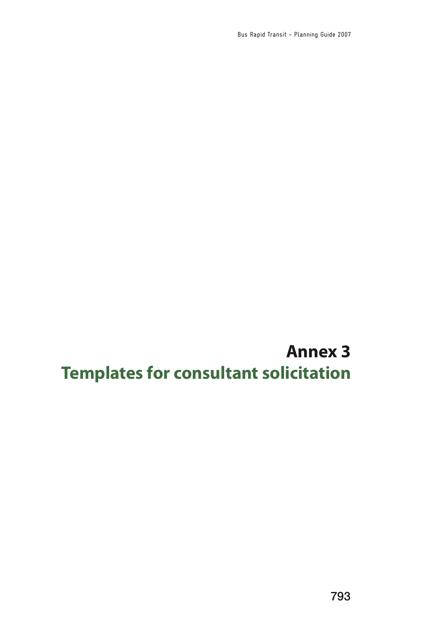Bus Rapid Transit - Planning Guide 2007

**Annex 3 Templates for consultant solicitation**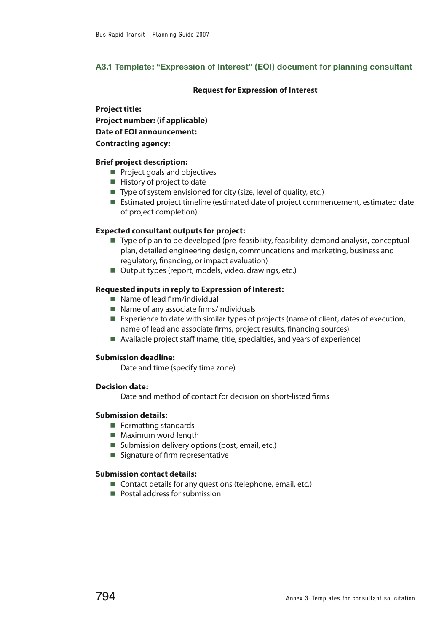# **A3.1 Template: "Expression of Interest" (EOI) document for planning consultant**

# **Request for Expression of Interest**

# **Project title:**

**Project number: (if applicable)**

**Date of EOI announcement:**

# **Contracting agency:**

# **Brief project description:**

- $\blacksquare$  Project goals and objectives
- $\blacksquare$  History of project to date
- $\blacksquare$  Type of system envisioned for city (size, level of quality, etc.)
- Estimated project timeline (estimated date of project commencement, estimated date of project completion)

# **Expected consultant outputs for project:**

- Type of plan to be developed (pre-feasibility, feasibility, demand analysis, conceptual plan, detailed engineering design, communcations and marketing, business and regulatory, financing, or impact evaluation)
- Output types (report, models, video, drawings, etc.)

# **Requested inputs in reply to Expression of Interest:**

- $\blacksquare$  Name of lead firm/individual
- $\blacksquare$  Name of any associate firms/individuals
- Experience to date with similar types of projects (name of client, dates of execution, name of lead and associate firms, project results, financing sources)
- $\blacksquare$  Available project staff (name, title, specialties, and years of experience)

# **Submission deadline:**

Date and time (specify time zone)

# **Decision date:**

Date and method of contact for decision on short-listed firms

# **Submission details:**

- $\blacksquare$  Formatting standards
- $\blacksquare$  Maximum word length
- $\blacksquare$  Submission delivery options (post, email, etc.)
- $\blacksquare$  Signature of firm representative

# **Submission contact details:**

- $\blacksquare$  Contact details for any questions (telephone, email, etc.)
- $\blacksquare$  Postal address for submission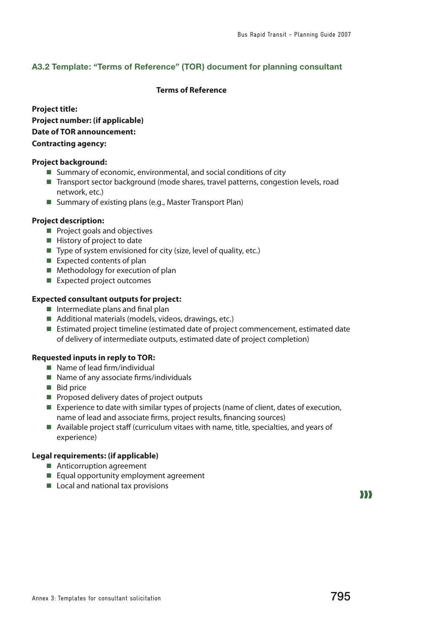# **A3.2 Template: "Terms of Reference" (TOR) document for planning consultant**

# **Terms of Reference**

**Project title: Project number: (if applicable) Date of TOR announcement: Contracting agency:**

# **Project background:**

- $\blacksquare$  Summary of economic, environmental, and social conditions of city
- Transport sector background (mode shares, travel patterns, congestion levels, road network, etc.)
- Summary of existing plans (e.g., Master Transport Plan)

# **Project description:**

- **n** Project goals and objectives
- $\blacksquare$  History of project to date
- $\blacksquare$  Type of system envisioned for city (size, level of quality, etc.)
- $\blacksquare$  Expected contents of plan
- $\blacksquare$  Methodology for execution of plan
- $\blacksquare$  Expected project outcomes

# **Expected consultant outputs for project:**

- $\blacksquare$  Intermediate plans and final plan
- $\blacksquare$  Additional materials (models, videos, drawings, etc.)
- Estimated project timeline (estimated date of project commencement, estimated date of delivery of intermediate outputs, estimated date of project completion)

# **Requested inputs in reply to TOR:**

- $\blacksquare$  Name of lead firm/individual
- $\blacksquare$  Name of any associate firms/individuals
- **Bid price**
- $\blacksquare$  Proposed delivery dates of project outputs
- Experience to date with similar types of projects (name of client, dates of execution, name of lead and associate firms, project results, financing sources)
- $\blacksquare$  Available project staff (curriculum vitaes with name, title, specialties, and years of experience)

# **Legal requirements: (if applicable)**

- $\blacksquare$  Anticorruption agreement
- $\blacksquare$  Equal opportunity employment agreement
- $\blacksquare$  Local and national tax provisions

 $\bf{D}$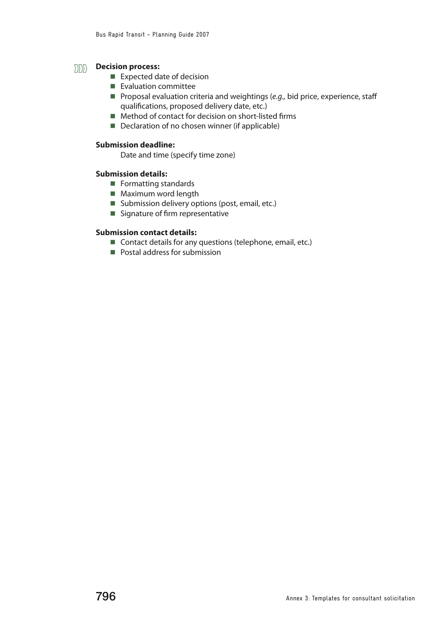#### **Decision process:**  $\langle$

- $\blacksquare$  Expected date of decision
- $\blacksquare$  Evaluation committee
- **Proposal evaluation criteria and weightings (e.g., bid price, experience, staff** qualifications, proposed delivery date, etc.)
- $\blacksquare$  Method of contact for decision on short-listed firms
- $\blacksquare$  Declaration of no chosen winner (if applicable)

# **Submission deadline:**

Date and time (specify time zone)

# **Submission details:**

- $\blacksquare$  Formatting standards
- $\blacksquare$  Maximum word length
- Submission delivery options (post, email, etc.)
- $\blacksquare$  Signature of firm representative

# **Submission contact details:**

- Contact details for any questions (telephone, email, etc.)
- $\blacksquare$  Postal address for submission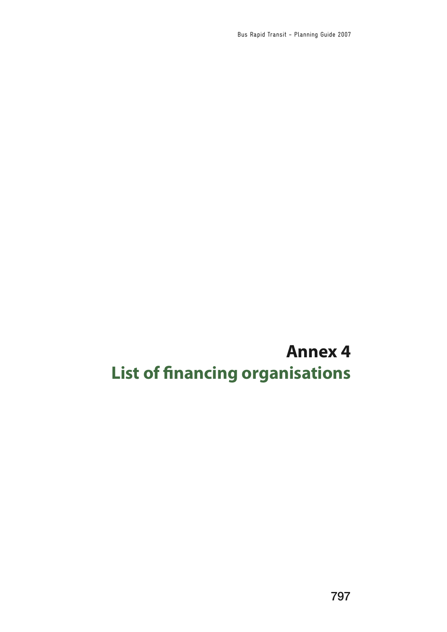Bus Rapid Transit - Planning Guide 2007

# **Annex 4 List of financing organisations**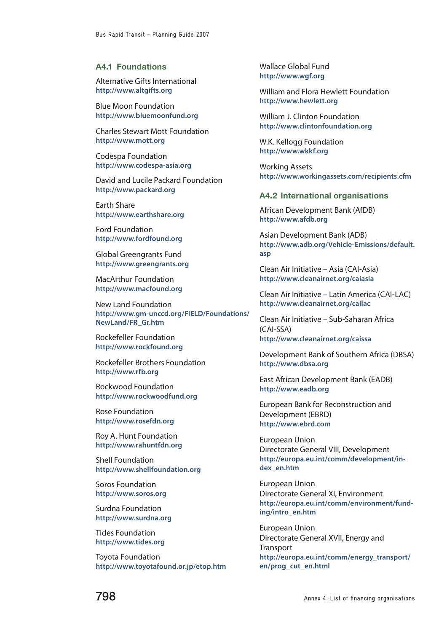#### **A4.1 Foundations**

Alternative Gifts International **<http://www.altgifts.org>**

Blue Moon Foundation **<http://www.bluemoonfund.org>**

Charles Stewart Mott Foundation **<http://www.mott.org>**

Codespa Foundation **<http://www.codespa-asia.org>**

David and Lucile Packard Foundation **<http://www.packard.org>**

Earth Share **<http://www.earthshare.org>**

Ford Foundation **<http://www.fordfound.org>**

Global Greengrants Fund **<http://www.greengrants.org>**

MacArthur Foundation **<http://www.macfound.org>**

New Land Foundation **[http://www.gm-unccd.org/FIELD/Foundations/](http://www.gm-unccd.org/FIELD/Foundations/NewLand/FR_Gr.htm) [NewLand/FR\\_Gr.htm](http://www.gm-unccd.org/FIELD/Foundations/NewLand/FR_Gr.htm)**

Rockefeller Foundation **<http://www.rockfound.org>**

Rockefeller Brothers Foundation **<http://www.rfb.org>**

Rockwood Foundation **<http://www.rockwoodfund.org>**

Rose Foundation **<http://www.rosefdn.org>**

Roy A. Hunt Foundation **<http://www.rahuntfdn.org>**

Shell Foundation **<http://www.shellfoundation.org>**

Soros Foundation **<http://www.soros.org>**

Surdna Foundation **<http://www.surdna.org>**

Tides Foundation **<http://www.tides.org>**

Toyota Foundation **<http://www.toyotafound.or.jp/etop.htm>** Wallace Global Fund **<http://www.wgf.org>**

William and Flora Hewlett Foundation **<http://www.hewlett.org>**

William J. Clinton Foundation **<http://www.clintonfoundation.org>**

W.K. Kellogg Foundation **<http://www.wkkf.org>**

Working Assets **<http://www.workingassets.com/recipients.cfm>**

# **A4.2 International organisations**

African Development Bank (AfDB) **<http://www.afdb.org>**

Asian Development Bank (ADB) **[http://www.adb.org/Vehicle-Emissions/default.](http://www.adb.org/Vehicle-Emissions/default.asp) [asp](http://www.adb.org/Vehicle-Emissions/default.asp)**

Clean Air Initiative – Asia (CAI-Asia) **<http://www.cleanairnet.org/caiasia>**

Clean Air Initiative – Latin America (CAI-LAC) **<http://www.cleanairnet.org/cailac>**

Clean Air Initiative – Sub-Saharan Africa (CAI-SSA) **<http://www.cleanairnet.org/caissa>**

Development Bank of Southern Africa (DBSA) **<http://www.dbsa.org>**

East African Development Bank (EADB) **<http://www.eadb.org>**

European Bank for Reconstruction and Development (EBRD) **<http://www.ebrd.com>**

European Union Directorate General VIII, Development **[http://europa.eu.int/comm/development/in](http://europa.eu.int/comm/development/index_en.htm)[dex\\_en.htm](http://europa.eu.int/comm/development/index_en.htm)**

European Union Directorate General XI, Environment **[http://europa.eu.int/comm/environment/fund](http://europa.eu.int/comm/environment/funding/intro_en.htm)[ing/intro\\_en.htm](http://europa.eu.int/comm/environment/funding/intro_en.htm)**

European Union Directorate General XVII, Energy and **Transport [http://europa.eu.int/comm/energy\\_transport/](http://europa.eu.int/comm/energy_transport/en/prog_cut_en.html) [en/prog\\_cut\\_en.html](http://europa.eu.int/comm/energy_transport/en/prog_cut_en.html)**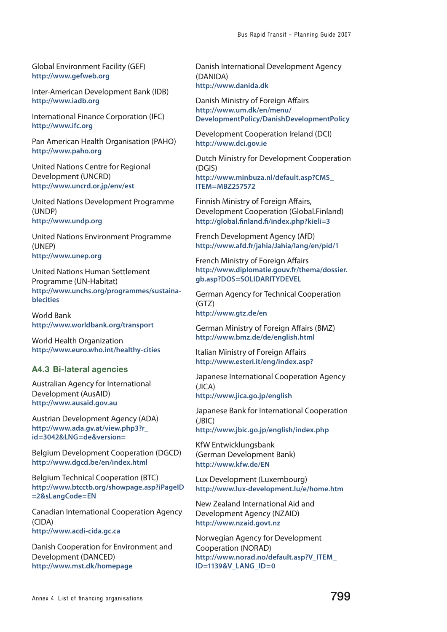Global Environment Facility (GEF) **<http://www.gefweb.org>**

Inter-American Development Bank (IDB) **<http://www.iadb.org>**

International Finance Corporation (IFC) **<http://www.ifc.org>**

Pan American Health Organisation (PAHO) **<http://www.paho.org>**

United Nations Centre for Regional Development (UNCRD) **<http://www.uncrd.or.jp/env/est>**

United Nations Development Programme (UNDP) **<http://www.undp.org>**

United Nations Environment Programme (UNEP) **<http://www.unep.org>**

United Nations Human Settlement Programme (UN-Habitat) **[http://www.unchs.org/programmes/sustaina](http://www.unchs.org/programmes/sustainablecities)[blecities](http://www.unchs.org/programmes/sustainablecities)**

World Bank **<http://www.worldbank.org/transport>**

World Health Organization **<http://www.euro.who.int/healthy-cities>**

# **A4.3 Bi-lateral agencies**

Australian Agency for International Development (AusAID) **<http://www.ausaid.gov.au>**

Austrian Development Agency (ADA) **[http://www.ada.gv.at/view.php3?r\\_](http://www.ada.gv.at/view.php3?r_id=3042&LNG=de&version=) [id=3042&LNG=de&version=](http://www.ada.gv.at/view.php3?r_id=3042&LNG=de&version=)**

Belgium Development Cooperation (DGCD) **<http://www.dgcd.be/en/index.html>**

Belgium Technical Cooperation (BTC) **[http://www.btcctb.org/showpage.asp?iPageID](http://www.btcctb.org/showpage.asp?iPageID=2&sLangCode=EN) [=2&sLangCode=EN](http://www.btcctb.org/showpage.asp?iPageID=2&sLangCode=EN)**

Canadian International Cooperation Agency (CIDA) **<http://www.acdi-cida.gc.ca>**

Danish Cooperation for Environment and Development (DANCED) **<http://www.mst.dk/homepage>**

Danish International Development Agency (DANIDA) **<http://www.danida.dk>**

Danish Ministry of Foreign Affairs **[http://www.um.dk/en/menu/](http://www.um.dk/en/menu/DevelopmentPolicy/DanishDevelopmentPolicy) [DevelopmentPolicy/DanishDevelopmentPolicy](http://www.um.dk/en/menu/DevelopmentPolicy/DanishDevelopmentPolicy)**

Development Cooperation Ireland (DCI) **<http://www.dci.gov.ie>**

Dutch Ministry for Development Cooperation (DGIS) **[http://www.minbuza.nl/default.asp?CMS\\_](http://www.minbuza.nl/default.asp?CMS_ITEM=MBZ257572)**

**[ITEM=MBZ257572](http://www.minbuza.nl/default.asp?CMS_ITEM=MBZ257572)**

Finnish Ministry of Foreign Affairs, Development Cooperation (Global.Finland) **<http://global.finland.fi/index.php?kieli=3>**

French Development Agency (AfD) **<http://www.afd.fr/jahia/Jahia/lang/en/pid/1>**

French Ministry of Foreign Affairs **[http://www.diplomatie.gouv.fr/thema/dossier.](http://www.diplomatie.gouv.fr/thema/dossier.gb.asp?DOS=SOLIDARITYDEVEL) [gb.asp?DOS=SOLIDARITYDEVEL](http://www.diplomatie.gouv.fr/thema/dossier.gb.asp?DOS=SOLIDARITYDEVEL)**

German Agency for Technical Cooperation (GTZ) **<http://www.gtz.de/en>**

German Ministry of Foreign Affairs (BMZ) **<http://www.bmz.de/de/english.html>**

Italian Ministry of Foreign Affairs **<http://www.esteri.it/eng/index.asp?>**

Japanese International Cooperation Agency (JICA) **<http://www.jica.go.jp/english>**

Japanese Bank for International Cooperation (JBIC) **<http://www.jbic.go.jp/english/index.php>**

KfW Entwicklungsbank (German Development Bank)

**<http://www.kfw.de/EN>**

Lux Development (Luxembourg) **<http://www.lux-development.lu/e/home.htm>**

New Zealand International Aid and Development Agency (NZAID) **<http://www.nzaid.govt.nz>**

Norwegian Agency for Development Cooperation (NORAD) **[http://www.norad.no/default.asp?V\\_ITEM\\_](http://www.norad.no/default.asp?V_ITEM_ID=1139&V_LANG_ID=0) [ID=1139&V\\_LANG\\_ID=0](http://www.norad.no/default.asp?V_ITEM_ID=1139&V_LANG_ID=0)**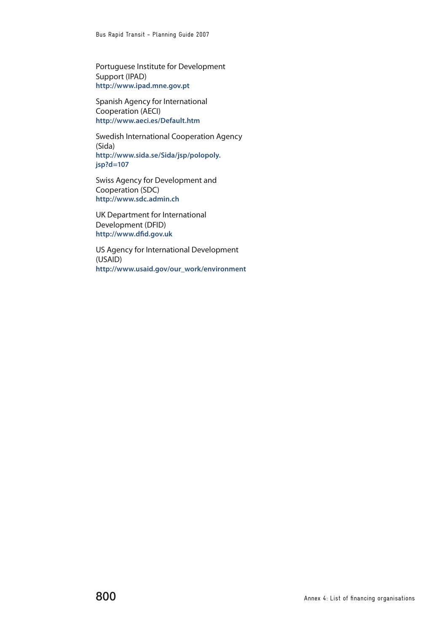Portuguese Institute for Development Support (IPAD) **<http://www.ipad.mne.gov.pt>**

Spanish Agency for International Cooperation (AECI) **[http://www.aeci.es/Default.htm](http://www.aeci.es/Default.htm )**

Swedish International Cooperation Agency (Sida) **[http://www.sida.se/Sida/jsp/polopoly.](http://www.sida.se/Sida/jsp/polopoly.jsp?d=107) [jsp?d=107](http://www.sida.se/Sida/jsp/polopoly.jsp?d=107)**

Swiss Agency for Development and Cooperation (SDC) **<http://www.sdc.admin.ch>**

UK Department for International Development (DFID) **<http://www.dfid.gov.uk>**

US Agency for International Development (USAID) **[http://www.usaid.gov/our\\_work/environment](http://www.usaid.gov/our_work/environment)**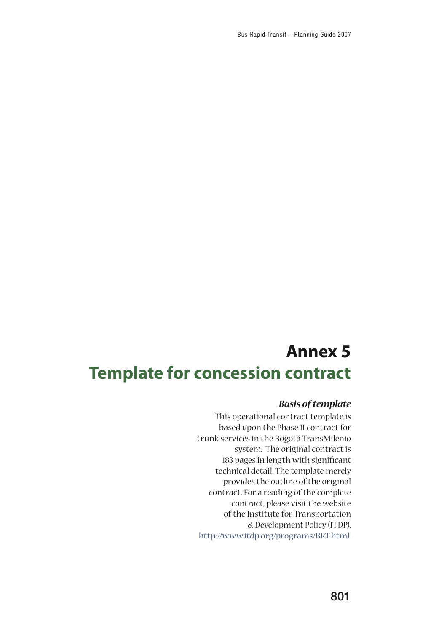# **Annex 5 Template for concession contract**

# *Basis of template*

This operational contract template is based upon the Phase II contract for trunk services in the Bogotá TransMilenio system. The original contract is 183 pages in length with significant technical detail. The template merely provides the outline of the original contract. For a reading of the complete contract, please visit the website of the Institute for Transportation & Development Policy (ITDP), [http://www.itdp.org/programs/BRT.html.](http://www.itdp.org/programs/BRT.html)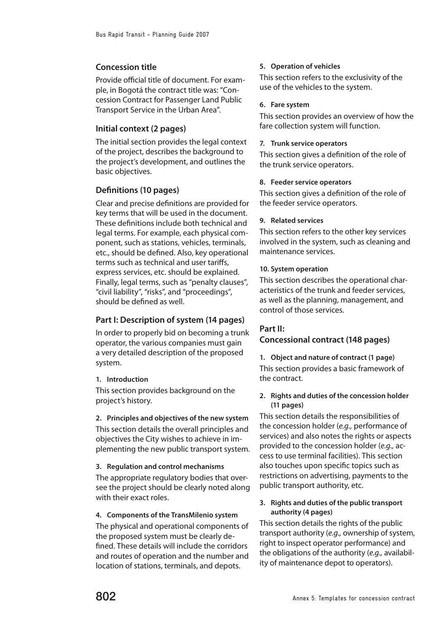# **Concession title**

Provide official title of document. For example, in Bogotá the contract title was: "Concession Contract for Passenger Land Public Transport Service in the Urban Area".

# **Initial context (2 pages)**

The initial section provides the legal context of the project, describes the background to the project's development, and outlines the basic objectives.

# **Definitions (10 pages)**

Clear and precise definitions are provided for key terms that will be used in the document. These definitions include both technical and legal terms. For example, each physical component, such as stations, vehicles, terminals, etc., should be defined. Also, key operational terms such as technical and user tariffs, express services, etc. should be explained. Finally, legal terms, such as "penalty clauses", "civil liability", "risks", and "proceedings", should be defined as well.

# **Part I: Description of system (14 pages)**

In order to properly bid on becoming a trunk operator, the various companies must gain a very detailed description of the proposed system.

### **1. Introduction**

This section provides background on the project's history.

**2. Principles and objectives of the new system**

This section details the overall principles and objectives the City wishes to achieve in implementing the new public transport system.

**3. Regulation and control mechanisms**

The appropriate regulatory bodies that oversee the project should be clearly noted along with their exact roles.

### **4. Components of the TransMilenio system**

The physical and operational components of the proposed system must be clearly defined. These details will include the corridors and routes of operation and the number and location of stations, terminals, and depots.

# **5. Operation of vehicles**

This section refers to the exclusivity of the use of the vehicles to the system.

### **6. Fare system**

This section provides an overview of how the fare collection system will function.

#### **7. Trunk service operators**

This section gives a definition of the role of the trunk service operators.

#### **8. Feeder service operators**

This section gives a definition of the role of the feeder service operators.

#### **9. Related services**

This section refers to the other key services involved in the system, such as cleaning and maintenance services.

#### **10. System operation**

This section describes the operational characteristics of the trunk and feeder services, as well as the planning, management, and control of those services.

# **Part II:**

# **Concessional contract (148 pages)**

**1. Object and nature of contract (1 page)** This section provides a basic framework of the contract.

# **2. Rights and duties of the concession holder (11 pages)**

This section details the responsibilities of the concession holder (e.g., performance of services) and also notes the rights or aspects provided to the concession holder (e.g., access to use terminal facilities). This section also touches upon specific topics such as restrictions on advertising, payments to the public transport authority, etc.

# **3. Rights and duties of the public transport authority (4 pages)**

This section details the rights of the public transport authority (e.g., ownership of system, right to inspect operator performance) and the obligations of the authority (e.g., availability of maintenance depot to operators).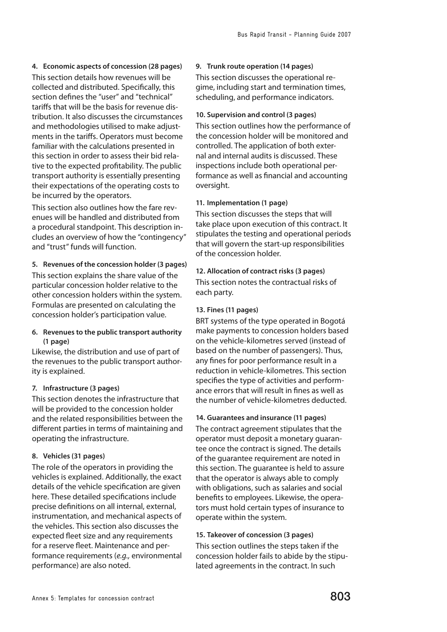**4. Economic aspects of concession (28 pages)** This section details how revenues will be collected and distributed. Specifically, this section defines the "user" and "technical" tariffs that will be the basis for revenue distribution. It also discusses the circumstances and methodologies utilised to make adjustments in the tariffs. Operators must become familiar with the calculations presented in this section in order to assess their bid relative to the expected profitability. The public transport authority is essentially presenting their expectations of the operating costs to be incurred by the operators.

This section also outlines how the fare revenues will be handled and distributed from a procedural standpoint. This description includes an overview of how the "contingency" and "trust" funds will function.

# **5. Revenues of the concession holder (3 pages)**

This section explains the share value of the particular concession holder relative to the other concession holders within the system. Formulas are presented on calculating the concession holder's participation value.

# **6. Revenues to the public transport authority (1 page)**

Likewise, the distribution and use of part of the revenues to the public transport authority is explained.

# **7. Infrastructure (3 pages)**

This section denotes the infrastructure that will be provided to the concession holder and the related responsibilities between the different parties in terms of maintaining and operating the infrastructure.

# **8. Vehicles (31 pages)**

The role of the operators in providing the vehicles is explained. Additionally, the exact details of the vehicle specification are given here. These detailed specifications include precise definitions on all internal, external, instrumentation, and mechanical aspects of the vehicles. This section also discusses the expected fleet size and any requirements for a reserve fleet. Maintenance and performance requirements (e.g., environmental performance) are also noted.

# **9. Trunk route operation (14 pages)**

This section discusses the operational regime, including start and termination times, scheduling, and performance indicators.

### **10. Supervision and control (3 pages)**

This section outlines how the performance of the concession holder will be monitored and controlled. The application of both external and internal audits is discussed. These inspections include both operational performance as well as financial and accounting oversight.

# **11. Implementation (1 page)**

This section discusses the steps that will take place upon execution of this contract. It stipulates the testing and operational periods that will govern the start-up responsibilities of the concession holder.

**12. Allocation of contract risks (3 pages)** This section notes the contractual risks of each party.

# **13. Fines (11 pages)**

BRT systems of the type operated in Bogotá make payments to concession holders based on the vehicle-kilometres served (instead of based on the number of passengers). Thus, any fines for poor performance result in a reduction in vehicle-kilometres. This section specifies the type of activities and performance errors that will result in fines as well as the number of vehicle-kilometres deducted.

# **14. Guarantees and insurance (11 pages)**

The contract agreement stipulates that the operator must deposit a monetary guarantee once the contract is signed. The details of the guarantee requirement are noted in this section. The guarantee is held to assure that the operator is always able to comply with obligations, such as salaries and social benefits to employees. Likewise, the operators must hold certain types of insurance to operate within the system.

# **15. Takeover of concession (3 pages)**

This section outlines the steps taken if the concession holder fails to abide by the stipulated agreements in the contract. In such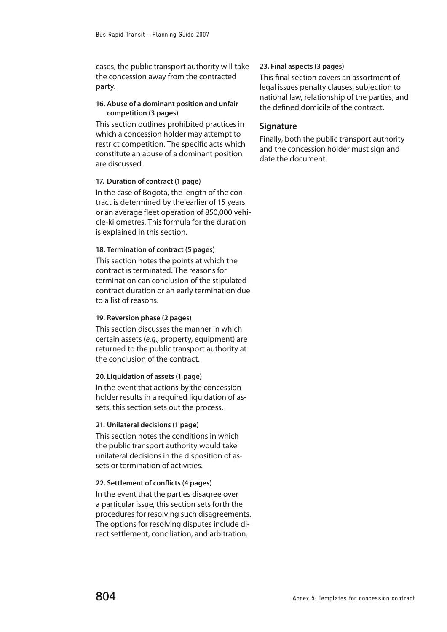cases, the public transport authority will take the concession away from the contracted party.

# **16. Abuse of a dominant position and unfair competition (3 pages)**

This section outlines prohibited practices in which a concession holder may attempt to restrict competition. The specific acts which constitute an abuse of a dominant position are discussed.

# **17. Duration of contract (1 page)**

In the case of Bogotá, the length of the contract is determined by the earlier of 15 years or an average fleet operation of 850,000 vehicle-kilometres. This formula for the duration is explained in this section.

### **18. Termination of contract (5 pages)**

This section notes the points at which the contract is terminated. The reasons for termination can conclusion of the stipulated contract duration or an early termination due to a list of reasons.

#### **19. Reversion phase (2 pages)**

This section discusses the manner in which certain assets (e.g., property, equipment) are returned to the public transport authority at the conclusion of the contract.

#### **20. Liquidation of assets (1 page)**

In the event that actions by the concession holder results in a required liquidation of assets, this section sets out the process.

#### **21. Unilateral decisions (1 page)**

This section notes the conditions in which the public transport authority would take unilateral decisions in the disposition of assets or termination of activities.

# **22. Settlement of conflicts (4 pages)**

In the event that the parties disagree over a particular issue, this section sets forth the procedures for resolving such disagreements. The options for resolving disputes include direct settlement, conciliation, and arbitration.

#### **23. Final aspects (3 pages)**

This final section covers an assortment of legal issues penalty clauses, subjection to national law, relationship of the parties, and the defined domicile of the contract.

# **Signature**

Finally, both the public transport authority and the concession holder must sign and date the document.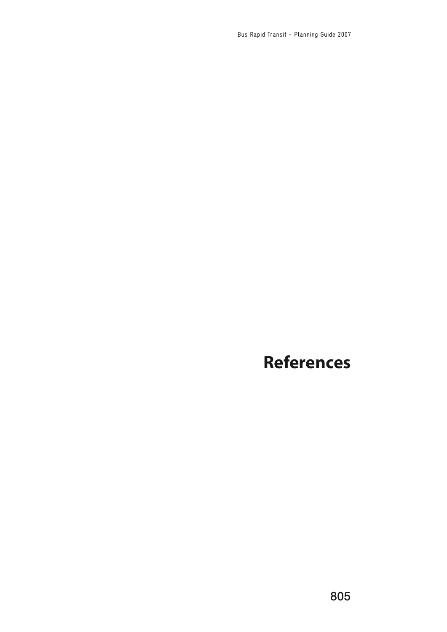Bus Rapid Transit - Planning Guide 2007

# **References**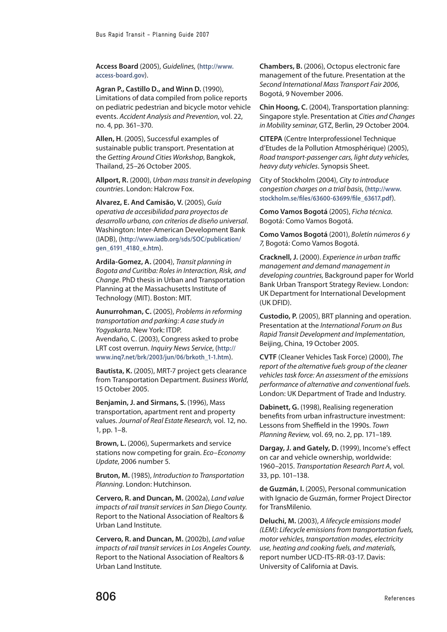**Access Board** (2005), Guidelines, (**[http://www.](http://www.access-board.gov) [access-board.gov](http://www.access-board.gov)**).

**Agran P., Castillo D., and Winn D.** (1990), Limitations of data compiled from police reports on pediatric pedestrian and bicycle motor vehicle events. Accident Analysis and Prevention, vol. 22, no. 4, pp. 361–370.

**Allen, H**. (2005), Successful examples of sustainable public transport. Presentation at the Getting Around Cities Workshop, Bangkok, Thailand, 25–26 October 2005.

**Allport, R.** (2000), Urban mass transit in developing countries. London: Halcrow Fox.

**Alvarez, E. And Camisão, V.** (2005), Guía operativa de accesibilidad para proyectos de desarrollo urbano, con criterios de diseño universal. Washington: Inter-American Development Bank (IADB), (**[http://www.iadb.org/sds/SOC/publication/](http://www.iadb.org/sds/SOC/publication/gen_6191_4180_e.htm) [gen\\_6191\\_4180\\_e.htm](http://www.iadb.org/sds/SOC/publication/gen_6191_4180_e.htm)**).

**Ardila-Gomez, A.** (2004), Transit planning in Bogota and Curitiba: Roles in Interaction, Risk, and Change. PhD thesis in Urban and Transportation Planning at the Massachusetts Institute of Technology (MIT). Boston: MIT.

**Aunurrohman, C.** (2005), Problems in reforming transportation and parking: A case study in Yogyakarta. New York: ITDP. Avendaño, C. (2003), Congress asked to probe

LRT cost overrun. Inquiry News Service, (**[http://](http://www.inq7.net/brk/2003/jun/06/brkoth_1-1.htm) [www.inq7.net/brk/2003/jun/06/brkoth\\_1-1.htm](http://www.inq7.net/brk/2003/jun/06/brkoth_1-1.htm)**).

**Bautista, K.** (2005), MRT-7 project gets clearance from Transportation Department. Business World, 15 October 2005.

**Benjamin, J. and Sirmans, S.** (1996), Mass transportation, apartment rent and property values. Journal of Real Estate Research, vol. 12, no. 1, pp. 1–8.

**Brown, L.** (2006), Supermarkets and service stations now competing for grain. Eco–Economy Update, 2006 number 5.

**Bruton, M.** (1985), Introduction to Transportation Planning. London: Hutchinson.

**Cervero, R. and Duncan, M.** (2002a), Land value impacts of rail transit services in San Diego County. Report to the National Association of Realtors & Urban Land Institute.

**Cervero, R. and Duncan, M.** (2002b), Land value impacts of rail transit services in Los Angeles County. Report to the National Association of Realtors & Urban Land Institute.

**Chambers, B.** (2006), Octopus electronic fare management of the future. Presentation at the Second International Mass Transport Fair 2006, Bogotá, 9 November 2006.

**Chin Hoong, C.** (2004), Transportation planning: Singapore style. Presentation at Cities and Changes in Mobility seminar, GTZ, Berlin, 29 October 2004.

**CITEPA** (Centre Interprofessionel Technique d'Etudes de la Pollution Atmosphérique) (2005), Road transport-passenger cars, light duty vehicles, heavy duty vehicles. Synopsis Sheet.

City of Stockholm (2004), City to introduce congestion charges on a trial basis, (**[http://www.](http://www.stockholm.se/files/63600-63699/file_63617.pdf) [stockholm.se/files/63600-63699/file\\_63617.pdf](http://www.stockholm.se/files/63600-63699/file_63617.pdf)**).

**Como Vamos Bogotá** (2005), Ficha técnica. Bogotá: Como Vamos Bogotá.

**Como Vamos Bogotá** (2001), Boletín números 6 y 7, Bogotá: Como Vamos Bogotá.

**Cracknell, J.** (2000). Experience in urban traffic management and demand management in developing countries, Background paper for World Bank Urban Transport Strategy Review. London: UK Department for International Development (UK DFID).

**Custodio, P.** (2005), BRT planning and operation. Presentation at the International Forum on Bus Rapid Transit Development and Implementation, Beijing, China, 19 October 2005.

**CVTF** (Cleaner Vehicles Task Force) (2000), The report of the alternative fuels group of the cleaner vehicles task force: An assessment of the emissions performance of alternative and conventional fuels. London: UK Department of Trade and Industry.

**Dabinett, G.** (1998), Realising regeneration benefits from urban infrastructure investment: Lessons from Sheffield in the 1990s. Town Planning Review, vol. 69, no. 2, pp. 171–189.

**Dargay, J. and Gately, D.** (1999), Income's effect on car and vehicle ownership, worldwide: 1960–2015. Transportation Research Part A, vol. 33, pp. 101–138.

**de Guzmán, I.** (2005), Personal communication with Ignacio de Guzmán, former Project Director for TransMilenio.

**Deluchi, M.** (2003), A lifecycle emissions model (LEM): Lifecycle emissions from transportation fuels, motor vehicles, transportation modes, electricity use, heating and cooking fuels, and materials, report number UCD-ITS-RR-03-17. Davis: University of California at Davis.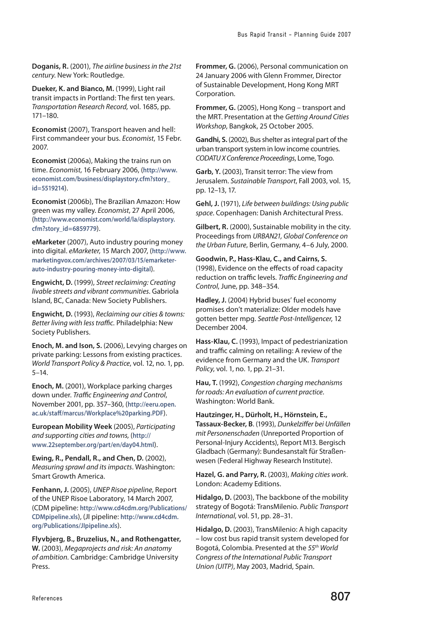**Doganis, R.** (2001), The airline business in the 21st century. New York: Routledge.

**Dueker, K. and Bianco, M.** (1999), Light rail transit impacts in Portland: The first ten years. Transportation Research Record, vol. 1685, pp. 171–180.

**Economist** (2007), Transport heaven and hell: First commandeer your bus. Economist, 15 Febr. 2007.

**Economist** (2006a), Making the trains run on time. Economist, 16 February 2006, (**[http://www.](http://www.economist.com/business/displaystory.cfm?story_id=5519214) [economist.com/business/displaystory.cfm?story\\_](http://www.economist.com/business/displaystory.cfm?story_id=5519214) [id=5519214](http://www.economist.com/business/displaystory.cfm?story_id=5519214)**).

**Economist** (2006b), The Brazilian Amazon: How green was my valley. Economist, 27 April 2006, (**[http://www.economist.com/world/la/displaystory.](http://www.economist.com/world/la/displaystory.cfm?story_id=6859779) [cfm?story\\_id=6859779](http://www.economist.com/world/la/displaystory.cfm?story_id=6859779)**).

**eMarketer** (2007), Auto industry pouring money into digital. eMarketer, 15 March 2007, (**[http://www.](http://www.marketingvox.com/archives/2007/03/15/emarketer-auto-industry-pouring-money-into-digital) [marketingvox.com/archives/2007/03/15/emarketer](http://www.marketingvox.com/archives/2007/03/15/emarketer-auto-industry-pouring-money-into-digital)[auto-industry-pouring-money-into-digital](http://www.marketingvox.com/archives/2007/03/15/emarketer-auto-industry-pouring-money-into-digital)**).

**Engwicht, D.** (1999), Street reclaiming: Creating livable streets and vibrant communities. Gabriola Island, BC, Canada: New Society Publishers.

**Engwicht, D.** (1993), Reclaiming our cities & towns: Better living with less traffic. Philadelphia: New Society Publishers.

**Enoch, M. and Ison, S.** (2006), Levying charges on private parking: Lessons from existing practices. World Transport Policy & Practice, vol. 12, no. 1, pp. 5–14.

**Enoch, M.** (2001), Workplace parking charges down under. Traffic Engineering and Control, November 2001, pp. 357–360, (**[http://eeru.open.](http://eeru.open.ac.uk/staff/marcus/Workplace%20parking.PDF) [ac.uk/staff/marcus/Workplace%20parking.PDF](http://eeru.open.ac.uk/staff/marcus/Workplace%20parking.PDF)**).

**European Mobility Week** (2005), Participating and supporting cities and towns, (**[http://](http://www.22september.org/part/en/day04.html) [www.22september.org/part/en/day04.html](http://www.22september.org/part/en/day04.html)**).

**Ewing, R., Pendall, R., and Chen, D.** (2002), Measuring sprawl and its impacts. Washington: Smart Growth America.

**Fenhann, J.** (2005), UNEP Risoe pipeline, Report of the UNEP Risoe Laboratory, 14 March 2007, (CDM pipeline: **[http://www.cd4cdm.org/Publications/](http://www.cd4cdm.org/Publications/CDMpipeline.xls) [CDMpipeline.xls](http://www.cd4cdm.org/Publications/CDMpipeline.xls)**), (JI pipeline: **[http://www.cd4cdm.](http://www.cd4cdm.org/Publications/JIpipeline.xls) [org/Publications/JIpipeline.xls](http://www.cd4cdm.org/Publications/JIpipeline.xls)**).

**Flyvbjerg, B., Bruzelius, N., and Rothengatter, W.** (2003), Megaprojects and risk: An anatomy of ambition. Cambridge: Cambridge University Press.

**Frommer, G.** (2006), Personal communication on 24 January 2006 with Glenn Frommer, Director of Sustainable Development, Hong Kong MRT Corporation.

**Frommer, G.** (2005), Hong Kong – transport and the MRT. Presentation at the Getting Around Cities Workshop, Bangkok, 25 October 2005.

**Gandhi, S.** (2002), Bus shelter as integral part of the urban transport system in low income countries. CODATU X Conference Proceedings, Lome, Togo.

**Garb, Y.** (2003), Transit terror: The view from Jerusalem. Sustainable Transport, Fall 2003, vol. 15, pp. 12–13, 17.

**Gehl, J.** (1971), Life between buildings: Using public space. Copenhagen: Danish Architectural Press.

**Gilbert, R.** (2000), Sustainable mobility in the city. Proceedings from URBAN21, Global Conference on the Urban Future, Berlin, Germany, 4–6 July, 2000.

**Goodwin, P., Hass-Klau, C., and Cairns, S.** (1998), Evidence on the effects of road capacity reduction on traffic levels. Traffic Engineering and Control, June, pp. 348–354.

**Hadley, J.** (2004) Hybrid buses' fuel economy promises don't materialize: Older models have gotten better mpg. Seattle Post-Intelligencer, 12 December 2004.

**Hass-Klau, C.** (1993), Impact of pedestrianization and traffic calming on retailing: A review of the evidence from Germany and the UK. Transport Policy, vol. 1, no. 1, pp. 21–31.

**Hau, T.** (1992), Congestion charging mechanisms for roads: An evaluation of current practice. Washington: World Bank.

**Hautzinger, H., Dürholt, H., Hörnstein, E., Tassaux-Becker, B**. (1993), Dunkelziffer bei Unfällen mit Personenschaden (Unreported Proportion of Personal-Injury Accidents), Report M13. Bergisch Gladbach (Germany): Bundesanstalt für Straßenwesen (Federal Highway Research Institute).

**Hazel, G. and Parry, R.** (2003), Making cities work. London: Academy Editions.

**Hidalgo, D.** (2003), The backbone of the mobility strategy of Bogotá: TransMilenio. Public Transport International, vol. 51, pp. 28–31.

**Hidalgo, D.** (2003), TransMilenio: A high capacity – low cost bus rapid transit system developed for Bogotá, Colombia. Presented at the 55<sup>th</sup> World Congress of the International Public Transport Union (UITP), May 2003, Madrid, Spain.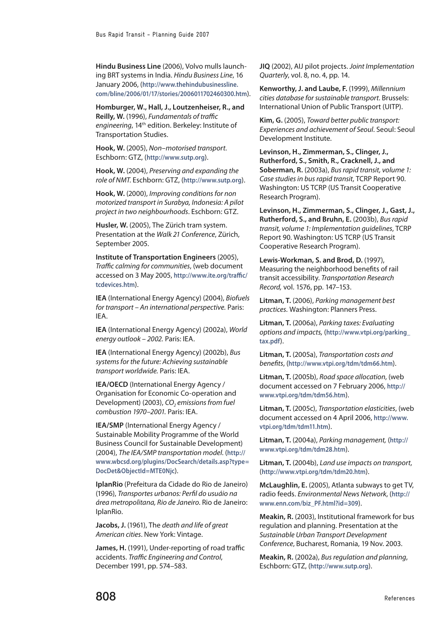**Hindu Business Line** (2006), Volvo mulls launching BRT systems in India. Hindu Business Line, 16 January 2006, (**[http://www.thehindubusinessline.](http://www.thehindubusinessline.com/bline/2006/01/17/stories/2006011702460300.htm) [com/bline/2006/01/17/stories/2006011702460300.htm](http://www.thehindubusinessline.com/bline/2006/01/17/stories/2006011702460300.htm)**).

**Homburger, W., Hall, J., Loutzenheiser, R., and Reilly, W.** (1996), Fundamentals of traffic engineering, 14<sup>th</sup> edition. Berkeley: Institute of Transportation Studies.

**Hook, W.** (2005), Non–motorised transport. Eschborn: GTZ, (**<http://www.sutp.org>**).

**Hook, W.** (2004), Preserving and expanding the role of NMT. Eschborn: GTZ, (**<http://www.sutp.org>**).

**Hook, W.** (2000), Improving conditions for non motorized transport in Surabya, Indonesia: A pilot project in two neighbourhoods. Eschborn: GTZ.

**Husler, W.** (2005), The Zürich tram system. Presentation at the Walk 21 Conference, Zürich, September 2005.

**Institute of Transportation Engineers** (2005), Traffic calming for communities, (web document accessed on 3 May 2005, **[http://www.ite.org/traffic/](http://www.ite.org/traffic/tcdevices.htm) [tcdevices.htm](http://www.ite.org/traffic/tcdevices.htm)**).

**IEA** (International Energy Agency) (2004), Biofuels for transport – An international perspective. Paris: IEA.

**IEA** (International Energy Agency) (2002a), World energy outlook – 2002. Paris: IEA.

**IEA** (International Energy Agency) (2002b), Bus systems for the future: Achieving sustainable transport worldwide. Paris: IEA.

**IEA/OECD** (International Energy Agency / Organisation for Economic Co-operation and Development) (2003),  $CO<sub>2</sub>$  emissions from fuel combustion 1970–2001. Paris: IEA.

**IEA/SMP** (International Energy Agency / Sustainable Mobility Programme of the World Business Council for Sustainable Development) (2004), The IEA/SMP transportation model. (**[http://](http://www.wbcsd.org/plugins/DocSearch/details.asp?type=DocDet&ObjectId=MTE0Njc) [www.wbcsd.org/plugins/DocSearch/details.asp?type=](http://www.wbcsd.org/plugins/DocSearch/details.asp?type=DocDet&ObjectId=MTE0Njc) [DocDet&ObjectId=MTE0Njc](http://www.wbcsd.org/plugins/DocSearch/details.asp?type=DocDet&ObjectId=MTE0Njc)**).

**IplanRio** (Prefeitura da Cidade do Rio de Janeiro) (1996), Transportes urbanos: Perfil do usuáio na área metropolitana, Rio de Janeiro. Rio de Janeiro: IplanRio.

**Jacobs, J.** (1961), The death and life of great American cities. New York: Vintage.

**James, H.** (1991), Under-reporting of road traffic accidents. Traffic Engineering and Control, December 1991, pp. 574–583.

**JIQ** (2002), AIJ pilot projects. Joint Implementation Quarterly, vol. 8, no. 4, pp. 14.

**Kenworthy, J. and Laube, F.** (1999), Millennium cities database for sustainable transport. Brussels: International Union of Public Transport (UITP).

**Kim, G.** (2005), Toward better public transport: Experiences and achievement of Seoul. Seoul: Seoul Development Institute.

**Levinson, H., Zimmerman, S., Clinger, J., Rutherford, S., Smith, R., Cracknell, J., and Soberman, R.** (2003a), Bus rapid transit, volume 1: Case studies in bus rapid transit, TCRP Report 90. Washington: US TCRP (US Transit Cooperative Research Program).

**Levinson, H., Zimmerman, S., Clinger, J., Gast, J., Rutherford, S., and Bruhn, E.** (2003b), Bus rapid transit, volume 1: Implementation guidelines, TCRP Report 90. Washington: US TCRP (US Transit Cooperative Research Program).

**Lewis-Workman, S. and Brod, D.** (1997), Measuring the neighborhood benefits of rail transit accessibility. Transportation Research Record, vol. 1576, pp. 147–153.

**Litman, T.** (2006), Parking management best practices. Washington: Planners Press.

**Litman, T.** (2006a), Parking taxes: Evaluating options and impacts, (**[http://www.vtpi.org/parking\\_](http://www.vtpi.org/parking_tax.pdf) [tax.pdf](http://www.vtpi.org/parking_tax.pdf)**).

**Litman, T.** (2005a), Transportation costs and benefits, (**<http://www.vtpi.org/tdm/tdm66.htm>**).

**Litman, T.** (2005b), Road space allocation, (web document accessed on 7 February 2006, **[http://](http://www.vtpi.org/tdm/tdm56.htm) [www.vtpi.org/tdm/tdm56.htm](http://www.vtpi.org/tdm/tdm56.htm)**).

**Litman, T.** (2005c), Transportation elasticities, (web document accessed on 4 April 2006, **[http://www.](http://www.vtpi.org/tdm/tdm11.htm) [vtpi.org/tdm/tdm11.htm](http://www.vtpi.org/tdm/tdm11.htm)**).

**Litman, T.** (2004a), Parking management, (**[http://](http://www.vtpi.org/tdm/tdm28.htm) [www.vtpi.org/tdm/tdm28.htm](http://www.vtpi.org/tdm/tdm28.htm)**).

**Litman, T.** (2004b), Land use impacts on transport, (**<http://www.vtpi.org/tdm/tdm20.htm>**).

**McLaughlin, E.** (2005), Atlanta subways to get TV, radio feeds. Environmental News Network, (**[http://](http://www.enn.com/biz_PF.html?id=309) [www.enn.com/biz\\_PF.html?id=309](http://www.enn.com/biz_PF.html?id=309)**).

**Meakin, R.** (2003), Institutional framework for bus regulation and planning. Presentation at the Sustainable Urban Transport Development Conference, Bucharest, Romania, 19 Nov. 2003.

**Meakin, R.** (2002a), Bus regulation and planning, Eschborn: GTZ, (**<http://www.sutp.org>**).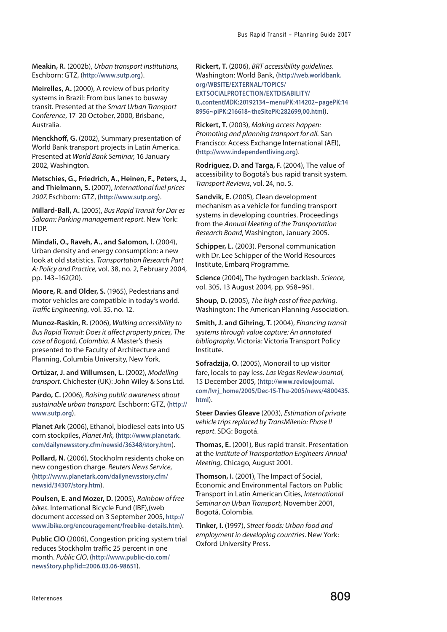**Meakin, R.** (2002b), Urban transport institutions, Eschborn: GTZ, (**<http://www.sutp.org>**).

**Meirelles, A.** (2000), A review of bus priority systems in Brazil: From bus lanes to busway transit. Presented at the Smart Urban Transport Conference, 17–20 October, 2000, Brisbane, Australia.

**Menckhoff, G.** (2002), Summary presentation of World Bank transport projects in Latin America. Presented at World Bank Seminar, 16 January 2002, Washington.

**Metschies, G., Friedrich, A., Heinen, F., Peters, J., and Thielmann, S.** (2007), International fuel prices 2007. Eschborn: GTZ, (**<http://www.sutp.org>**).

**Millard-Ball, A.** (2005), Bus Rapid Transit for Dar es Salaam: Parking management report. New York: ITDP.

**Mindali, O., Raveh, A., and Salomon, I.** (2004), Urban density and energy consumption: a new look at old statistics. Transportation Research Part A: Policy and Practice, vol. 38, no. 2, February 2004, pp. 143–162(20).

**Moore, R. and Older, S.** (1965), Pedestrians and motor vehicles are compatible in today's world. Traffic Engineering, vol. 35, no. 12.

**Munoz-Raskin, R.** (2006), Walking accessibility to Bus Rapid Transit: Does it affect property prices, The case of Bogotá, Colombia. A Master's thesis presented to the Faculty of Architecture and Planning, Columbia University, New York.

**Ortúzar, J. and Willumsen, L.** (2002), Modelling transport. Chichester (UK): John Wiley & Sons Ltd.

Pardo, C. (2006), Raising public awareness about sustainable urban transport. Eschborn: GTZ, (**[http://](http://www.sutp.org) [www.sutp.org](http://www.sutp.org)**).

**Planet Ark** (2006), Ethanol, biodiesel eats into US corn stockpiles, Planet Ark, (**[http://www.planetark.](http://www.planetark.com/dailynewsstory.cfm/newsid/36348/story.htm) [com/dailynewsstory.cfm/newsid/36348/story.htm](http://www.planetark.com/dailynewsstory.cfm/newsid/36348/story.htm)**).

**Pollard, N.** (2006), Stockholm residents choke on new congestion charge. Reuters News Service, (**[http://www.planetark.com/dailynewsstory.cfm/](http://www.planetark.com/dailynewsstory.cfm/newsid/34307/story.htm) [newsid/34307/story.htm](http://www.planetark.com/dailynewsstory.cfm/newsid/34307/story.htm)**).

**Poulsen, E. and Mozer, D.** (2005), Rainbow of free bikes. International Bicycle Fund (IBF),(web document accessed on 3 September 2005, **[http://](http://www.ibike.org/encouragement/freebike-details.htm) [www.ibike.org/encouragement/freebike-details.htm](http://www.ibike.org/encouragement/freebike-details.htm)**).

**Public CIO** (2006), Congestion pricing system trial reduces Stockholm traffic 25 percent in one month. Public CIO, (**[http://www.public-cio.com/](http://www.public-cio.com/newsStory.php?id=2006.03.06-98651) [newsStory.php?id=2006.03.06-98651](http://www.public-cio.com/newsStory.php?id=2006.03.06-98651)**).

**Rickert, T.** (2006), BRT accessibility guidelines. Washington: World Bank, (**[http://web.worldbank.](http://web.worldbank.org/WBSITE/EXTERNAL/TOPICS/EXTSOCIALPROTECTION/EXTDISABILITY/0,,contentMDK:2019) [org/WBSITE/EXTERNAL/TOPICS/](http://web.worldbank.org/WBSITE/EXTERNAL/TOPICS/EXTSOCIALPROTECTION/EXTDISABILITY/0,,contentMDK:2019) [EXTSOCIALPROTECTION/EXTDISABILITY/](http://web.worldbank.org/WBSITE/EXTERNAL/TOPICS/EXTSOCIALPROTECTION/EXTDISABILITY/0,,contentMDK:2019) [0,,contentMDK:20192134~menuPK:414202~pagePK:14](http://web.worldbank.org/WBSITE/EXTERNAL/TOPICS/EXTSOCIALPROTECTION/EXTDISABILITY/0,,contentMDK:2019) [8956~piPK:216618~theSitePK:282699,00.html](http://web.worldbank.org/WBSITE/EXTERNAL/TOPICS/EXTSOCIALPROTECTION/EXTDISABILITY/0,,contentMDK:2019)**).

**Rickert, T.** (2003), Making access happen: Promoting and planning transport for all. San Francisco: Access Exchange International (AEI), (**<http://www.independentliving.org>**).

**Rodriguez, D. and Targa, F.** (2004), The value of accessibility to Bogotá's bus rapid transit system. Transport Reviews, vol. 24, no. 5.

**Sandvik, E.** (2005), Clean development mechanism as a vehicle for funding transport systems in developing countries. Proceedings from the Annual Meeting of the Transportation Research Board, Washington, January 2005.

**Schipper, L.** (2003). Personal communication with Dr. Lee Schipper of the World Resources Institute, Embarq Programme.

**Science** (2004), The hydrogen backlash. Science, vol. 305, 13 August 2004, pp. 958–961.

**Shoup, D.** (2005), The high cost of free parking. Washington: The American Planning Association.

**Smith, J. and Gihring, T.** (2004), Financing transit systems through value capture: An annotated bibliography. Victoria: Victoria Transport Policy Institute.

**Sofradzija, O.** (2005), Monorail to up visitor fare, locals to pay less. Las Vegas Review-Journal, 15 December 2005, (**[http://www.reviewjournal.](http://www.reviewjournal.com/lvrj_home/2005/Dec-15-Thu-2005/news/4800435.html) [com/lvrj\\_home/2005/Dec-15-Thu-2005/news/4800435.](http://www.reviewjournal.com/lvrj_home/2005/Dec-15-Thu-2005/news/4800435.html) [html](http://www.reviewjournal.com/lvrj_home/2005/Dec-15-Thu-2005/news/4800435.html)**).

**Steer Davies Gleave** (2003), Estimation of private vehicle trips replaced by TransMilenio: Phase II report. SDG: Bogotá.

**Thomas, E.** (2001), Bus rapid transit. Presentation at the Institute of Transportation Engineers Annual Meeting, Chicago, August 2001.

**Thomson, I.** (2001), The Impact of Social, Economic and Environmental Factors on Public Transport in Latin American Cities, International Seminar on Urban Transport, November 2001, Bogotá, Colombia.

**Tinker, I.** (1997), Street foods: Urban food and employment in developing countries. New York: Oxford University Press.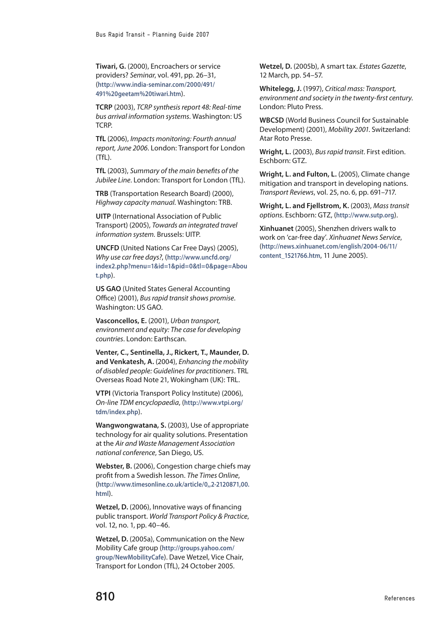**Tiwari, G.** (2000), Encroachers or service providers? Seminar, vol. 491, pp. 26–31, (**[http://www.india-seminar.com/2000/491/](http://www.india-seminar.com/2000/491/491%20geetam%20tiwari.htm) [491%20geetam%20tiwari.htm](http://www.india-seminar.com/2000/491/491%20geetam%20tiwari.htm)**).

**TCRP** (2003), TCRP synthesis report 48: Real-time bus arrival information systems. Washington: US TCRP.

**TfL** (2006), Impacts monitoring: Fourth annual report, June 2006. London: Transport for London (TfL).

**TfL** (2003), Summary of the main benefits of the Jubilee Line. London: Transport for London (TfL).

**TRB** (Transportation Research Board) (2000), Highway capacity manual. Washington: TRB.

**UITP** (International Association of Public Transport) (2005), Towards an integrated travel information system. Brussels: UITP.

**UNCFD** (United Nations Car Free Days) (2005), Why use car free days?, (**[http://www.uncfd.org/](http://www.uncfd.org/index2.php?menu=1&id=1&pid=0&tl=0&page=About.php) [index2.php?menu=1&id=1&pid=0&tl=0&page=Abou](http://www.uncfd.org/index2.php?menu=1&id=1&pid=0&tl=0&page=About.php) [t.php](http://www.uncfd.org/index2.php?menu=1&id=1&pid=0&tl=0&page=About.php)**).

**US GAO** (United States General Accounting Office) (2001), Bus rapid transit shows promise. Washington: US GAO.

**Vasconcellos, E.** (2001), Urban transport, environment and equity: The case for developing countries. London: Earthscan.

**Venter, C., Sentinella, J., Rickert, T., Maunder, D. and Venkatesh, A.** (2004), Enhancing the mobility of disabled people: Guidelines for practitioners. TRL Overseas Road Note 21, Wokingham (UK): TRL.

**VTPI** (Victoria Transport Policy Institute) (2006), On-line TDM encyclopaedia, (**[http://www.vtpi.org/](http://www.vtpi.org/tdm/index.php) [tdm/index.php](http://www.vtpi.org/tdm/index.php)**).

**Wangwongwatana, S.** (2003), Use of appropriate technology for air quality solutions. Presentation at the Air and Waste Management Association national conference, San Diego, US.

**Webster, B.** (2006), Congestion charge chiefs may profit from a Swedish lesson. The Times Online, (**[http://www.timesonline.co.uk/article/0,,2-2120871,00.](http://www.timesonline.co.uk/article/0,,2-2120871,00.html) [html](http://www.timesonline.co.uk/article/0,,2-2120871,00.html)**).

**Wetzel, D.** (2006), Innovative ways of financing public transport. World Transport Policy & Practice, vol. 12, no. 1, pp. 40–46.

**Wetzel, D.** (2005a), Communication on the New Mobility Cafe group (**[http://groups.yahoo.com/](http://groups.yahoo.com/group/NewMobilityCafe) [group/NewMobilityCafe](http://groups.yahoo.com/group/NewMobilityCafe)**). Dave Wetzel, Vice Chair, Transport for London (TfL), 24 October 2005.

**Wetzel, D.** (2005b), A smart tax. Estates Gazette, 12 March, pp. 54–57.

**Whitelegg, J.** (1997), Critical mass: Transport, environment and society in the twenty-first century. London: Pluto Press.

**WBCSD** (World Business Council for Sustainable Development) (2001), Mobility 2001. Switzerland: Atar Roto Presse.

**Wright, L.** (2003), Bus rapid transit. First edition. Eschborn: GTZ.

**Wright, L. and Fulton, L.** (2005), Climate change mitigation and transport in developing nations. Transport Reviews, vol. 25, no. 6, pp. 691–717.

**Wright, L. and Fjellstrom, K.** (2003), Mass transit options. Eschborn: GTZ, (**<http://www.sutp.org>**).

**Xinhuanet** (2005), Shenzhen drivers walk to work on 'car-free day'. Xinhuanet News Service, (**[http://news.xinhuanet.com/english/2004-06/11/](http://news.xinhuanet.com/english/2004-06/11/content_1521766.htm) [content\\_1521766.htm](http://news.xinhuanet.com/english/2004-06/11/content_1521766.htm)**, 11 June 2005).